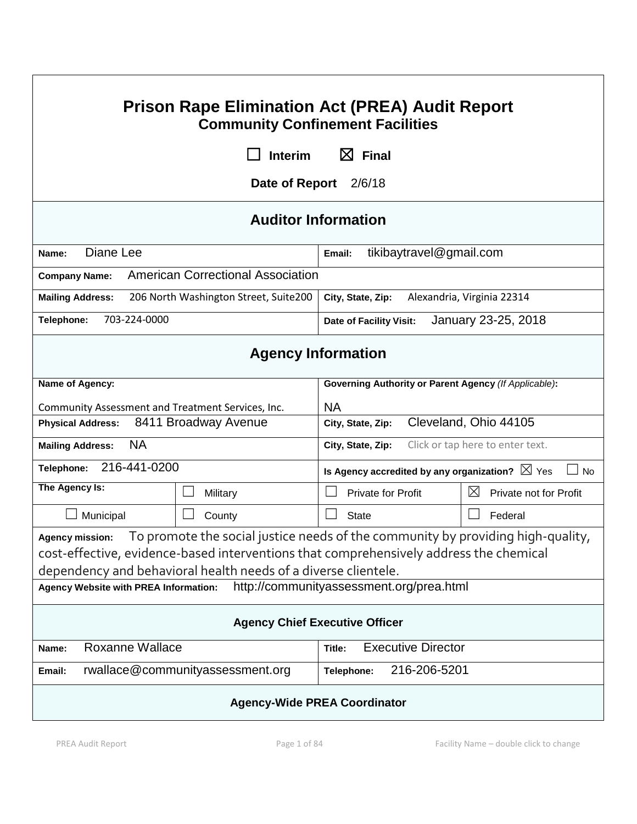| <b>Prison Rape Elimination Act (PREA) Audit Report</b><br><b>Community Confinement Facilities</b>                                                                                                                                                                     |                                       |                                                                 |                                       |  |
|-----------------------------------------------------------------------------------------------------------------------------------------------------------------------------------------------------------------------------------------------------------------------|---------------------------------------|-----------------------------------------------------------------|---------------------------------------|--|
|                                                                                                                                                                                                                                                                       | <b>Interim</b>                        | $\boxtimes$ Final                                               |                                       |  |
|                                                                                                                                                                                                                                                                       | Date of Report                        | 2/6/18                                                          |                                       |  |
| <b>Auditor Information</b>                                                                                                                                                                                                                                            |                                       |                                                                 |                                       |  |
| Diane Lee<br>Name:                                                                                                                                                                                                                                                    |                                       | tikibaytravel@gmail.com<br>Email:                               |                                       |  |
| <b>American Correctional Association</b><br><b>Company Name:</b>                                                                                                                                                                                                      |                                       |                                                                 |                                       |  |
| <b>Mailing Address:</b>                                                                                                                                                                                                                                               | 206 North Washington Street, Suite200 | Alexandria, Virginia 22314<br>City, State, Zip:                 |                                       |  |
| 703-224-0000<br>Telephone:                                                                                                                                                                                                                                            |                                       | Date of Facility Visit:                                         | January 23-25, 2018                   |  |
| <b>Agency Information</b>                                                                                                                                                                                                                                             |                                       |                                                                 |                                       |  |
| Name of Agency:                                                                                                                                                                                                                                                       |                                       | Governing Authority or Parent Agency (If Applicable):           |                                       |  |
| Community Assessment and Treatment Services, Inc.                                                                                                                                                                                                                     |                                       | <b>NA</b>                                                       |                                       |  |
| 8411 Broadway Avenue<br><b>Physical Address:</b>                                                                                                                                                                                                                      |                                       | Cleveland, Ohio 44105<br>City, State, Zip:                      |                                       |  |
| <b>NA</b><br><b>Mailing Address:</b>                                                                                                                                                                                                                                  |                                       | Click or tap here to enter text.<br>City, State, Zip:           |                                       |  |
| 216-441-0200<br>Telephone:                                                                                                                                                                                                                                            |                                       | Is Agency accredited by any organization? $\boxtimes$ Yes<br>No |                                       |  |
| The Agency Is:                                                                                                                                                                                                                                                        | Military                              | Private for Profit                                              | $\boxtimes$<br>Private not for Profit |  |
| Municipal                                                                                                                                                                                                                                                             | County                                | <b>State</b>                                                    | Federal                               |  |
| To promote the social justice needs of the community by providing high-quality,<br><b>Agency mission:</b><br>cost-effective, evidence-based interventions that comprehensively address the chemical<br>dependency and behavioral health needs of a diverse clientele. |                                       |                                                                 |                                       |  |
| http://communityassessment.org/prea.html<br><b>Agency Website with PREA Information:</b>                                                                                                                                                                              |                                       |                                                                 |                                       |  |
| <b>Agency Chief Executive Officer</b>                                                                                                                                                                                                                                 |                                       |                                                                 |                                       |  |
| <b>Roxanne Wallace</b><br><b>Executive Director</b><br>Name:<br>Title:                                                                                                                                                                                                |                                       |                                                                 |                                       |  |
| rwallace@communityassessment.org<br>216-206-5201<br>Email:<br>Telephone:                                                                                                                                                                                              |                                       |                                                                 |                                       |  |
| <b>Agency-Wide PREA Coordinator</b>                                                                                                                                                                                                                                   |                                       |                                                                 |                                       |  |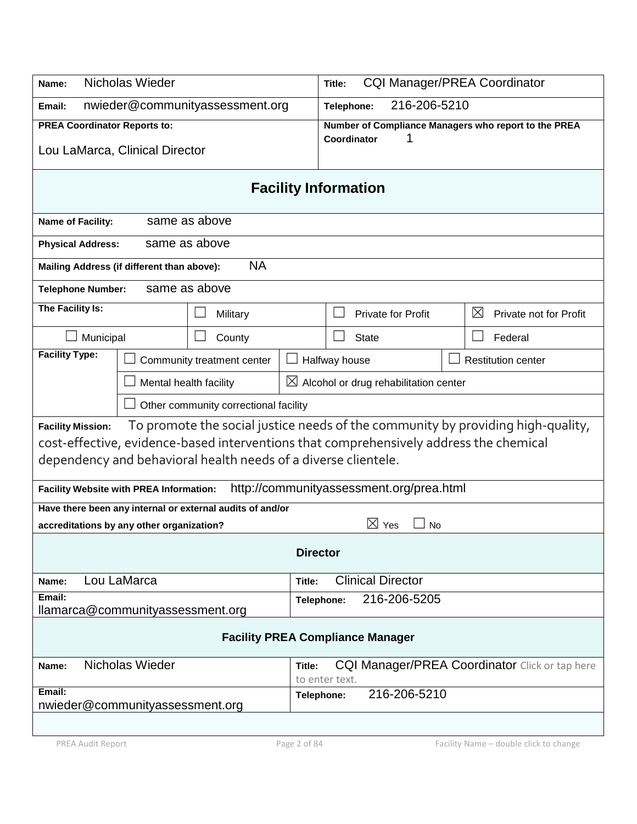| Nicholas Wieder<br>Name:                                                               |                                                                                 |                             | <b>CQI Manager/PREA Coordinator</b><br>Title:     |                                          |  |                                                       |
|----------------------------------------------------------------------------------------|---------------------------------------------------------------------------------|-----------------------------|---------------------------------------------------|------------------------------------------|--|-------------------------------------------------------|
| nwieder@communityassessment.org<br>Email:                                              |                                                                                 |                             | 216-206-5210<br>Telephone:                        |                                          |  |                                                       |
| <b>PREA Coordinator Reports to:</b>                                                    |                                                                                 |                             |                                                   |                                          |  | Number of Compliance Managers who report to the PREA  |
| Lou LaMarca, Clinical Director                                                         |                                                                                 |                             | Coordinator                                       | 1                                        |  |                                                       |
|                                                                                        |                                                                                 | <b>Facility Information</b> |                                                   |                                          |  |                                                       |
| Name of Facility:                                                                      | same as above                                                                   |                             |                                                   |                                          |  |                                                       |
| <b>Physical Address:</b>                                                               | same as above                                                                   |                             |                                                   |                                          |  |                                                       |
| Mailing Address (if different than above):                                             | <b>NA</b>                                                                       |                             |                                                   |                                          |  |                                                       |
| <b>Telephone Number:</b>                                                               | same as above                                                                   |                             |                                                   |                                          |  |                                                       |
| The Facility Is:                                                                       | Military                                                                        |                             |                                                   | <b>Private for Profit</b>                |  | $\boxtimes$<br>Private not for Profit                 |
| Municipal                                                                              | County                                                                          |                             | <b>State</b>                                      |                                          |  | Federal                                               |
| <b>Facility Type:</b>                                                                  | Community treatment center                                                      |                             | Halfway house                                     |                                          |  | <b>Restitution center</b>                             |
|                                                                                        | Mental health facility                                                          |                             | $\boxtimes$ Alcohol or drug rehabilitation center |                                          |  |                                                       |
|                                                                                        | Other community correctional facility                                           |                             |                                                   |                                          |  |                                                       |
| <b>Facility Mission:</b>                                                               | To promote the social justice needs of the community by providing high-quality, |                             |                                                   |                                          |  |                                                       |
| cost-effective, evidence-based interventions that comprehensively address the chemical |                                                                                 |                             |                                                   |                                          |  |                                                       |
| dependency and behavioral health needs of a diverse clientele.                         |                                                                                 |                             |                                                   |                                          |  |                                                       |
| <b>Facility Website with PREA Information:</b>                                         |                                                                                 |                             |                                                   | http://communityassessment.org/prea.html |  |                                                       |
| Have there been any internal or external audits of and/or                              |                                                                                 |                             |                                                   |                                          |  |                                                       |
| accreditations by any other organization?                                              |                                                                                 |                             |                                                   | $\boxtimes$ Yes<br>No                    |  |                                                       |
| <b>Director</b>                                                                        |                                                                                 |                             |                                                   |                                          |  |                                                       |
| Lou LaMarca<br>Name:                                                                   |                                                                                 | Title:                      | <b>Clinical Director</b>                          |                                          |  |                                                       |
| Email:<br>llamarca@communityassessment.org                                             |                                                                                 | Telephone:                  |                                                   | 216-206-5205                             |  |                                                       |
|                                                                                        |                                                                                 |                             |                                                   |                                          |  |                                                       |
| <b>Facility PREA Compliance Manager</b>                                                |                                                                                 |                             |                                                   |                                          |  |                                                       |
| Nicholas Wieder<br>Name:                                                               |                                                                                 | Title:                      | to enter text.                                    |                                          |  | <b>CQI Manager/PREA Coordinator</b> Click or tap here |
| Email:<br>nwieder@communityassessment.org                                              |                                                                                 | Telephone:                  |                                                   | 216-206-5210                             |  |                                                       |
|                                                                                        |                                                                                 |                             |                                                   |                                          |  |                                                       |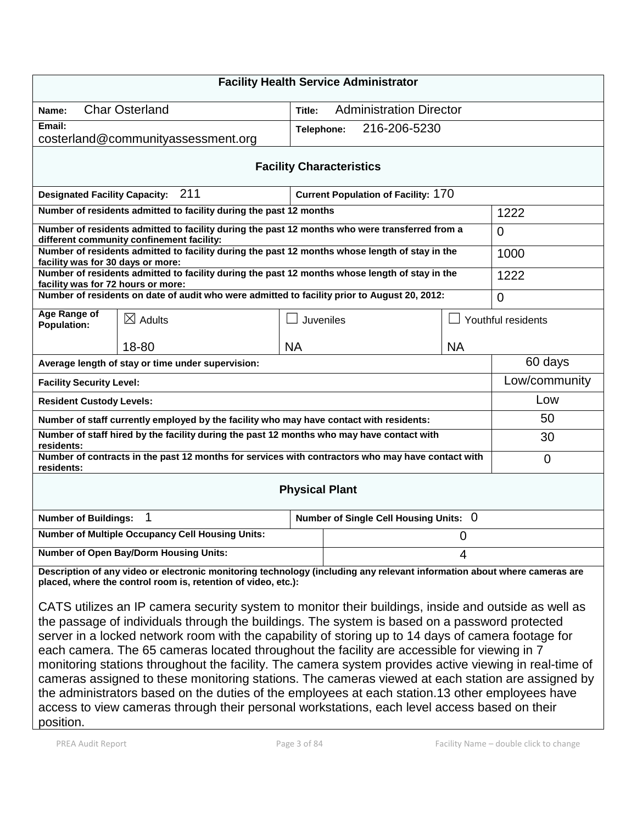| <b>Facility Health Service Administrator</b>                                                                                                                                                                                                                                                                                                                                                                                                                                                                                                                                                                                                                                                                                                                                                                                              |                                                                                                                                                                                           |                       |                                            |           |                    |
|-------------------------------------------------------------------------------------------------------------------------------------------------------------------------------------------------------------------------------------------------------------------------------------------------------------------------------------------------------------------------------------------------------------------------------------------------------------------------------------------------------------------------------------------------------------------------------------------------------------------------------------------------------------------------------------------------------------------------------------------------------------------------------------------------------------------------------------------|-------------------------------------------------------------------------------------------------------------------------------------------------------------------------------------------|-----------------------|--------------------------------------------|-----------|--------------------|
| Name:                                                                                                                                                                                                                                                                                                                                                                                                                                                                                                                                                                                                                                                                                                                                                                                                                                     | <b>Char Osterland</b>                                                                                                                                                                     | Title:                | <b>Administration Director</b>             |           |                    |
| Email:                                                                                                                                                                                                                                                                                                                                                                                                                                                                                                                                                                                                                                                                                                                                                                                                                                    |                                                                                                                                                                                           |                       | 216-206-5230<br>Telephone:                 |           |                    |
|                                                                                                                                                                                                                                                                                                                                                                                                                                                                                                                                                                                                                                                                                                                                                                                                                                           | costerland@communityassessment.org                                                                                                                                                        |                       |                                            |           |                    |
|                                                                                                                                                                                                                                                                                                                                                                                                                                                                                                                                                                                                                                                                                                                                                                                                                                           |                                                                                                                                                                                           |                       | <b>Facility Characteristics</b>            |           |                    |
| <b>Designated Facility Capacity:</b>                                                                                                                                                                                                                                                                                                                                                                                                                                                                                                                                                                                                                                                                                                                                                                                                      | 211                                                                                                                                                                                       |                       | <b>Current Population of Facility: 170</b> |           |                    |
|                                                                                                                                                                                                                                                                                                                                                                                                                                                                                                                                                                                                                                                                                                                                                                                                                                           | Number of residents admitted to facility during the past 12 months                                                                                                                        |                       |                                            |           | 1222               |
|                                                                                                                                                                                                                                                                                                                                                                                                                                                                                                                                                                                                                                                                                                                                                                                                                                           | Number of residents admitted to facility during the past 12 months who were transferred from a<br>different community confinement facility:                                               |                       |                                            |           | $\overline{0}$     |
| facility was for 30 days or more:                                                                                                                                                                                                                                                                                                                                                                                                                                                                                                                                                                                                                                                                                                                                                                                                         | Number of residents admitted to facility during the past 12 months whose length of stay in the                                                                                            |                       |                                            |           | 1000               |
| facility was for 72 hours or more:                                                                                                                                                                                                                                                                                                                                                                                                                                                                                                                                                                                                                                                                                                                                                                                                        | Number of residents admitted to facility during the past 12 months whose length of stay in the                                                                                            |                       |                                            |           | 1222               |
|                                                                                                                                                                                                                                                                                                                                                                                                                                                                                                                                                                                                                                                                                                                                                                                                                                           | Number of residents on date of audit who were admitted to facility prior to August 20, 2012:                                                                                              |                       |                                            |           | $\overline{0}$     |
| Age Range of<br><b>Population:</b>                                                                                                                                                                                                                                                                                                                                                                                                                                                                                                                                                                                                                                                                                                                                                                                                        | $\boxtimes$ Adults                                                                                                                                                                        |                       | Juveniles                                  |           | Youthful residents |
|                                                                                                                                                                                                                                                                                                                                                                                                                                                                                                                                                                                                                                                                                                                                                                                                                                           | 18-80                                                                                                                                                                                     | <b>NA</b>             |                                            | <b>NA</b> |                    |
|                                                                                                                                                                                                                                                                                                                                                                                                                                                                                                                                                                                                                                                                                                                                                                                                                                           | Average length of stay or time under supervision:                                                                                                                                         |                       |                                            |           | 60 days            |
| <b>Facility Security Level:</b>                                                                                                                                                                                                                                                                                                                                                                                                                                                                                                                                                                                                                                                                                                                                                                                                           |                                                                                                                                                                                           |                       |                                            |           | Low/community      |
| <b>Resident Custody Levels:</b>                                                                                                                                                                                                                                                                                                                                                                                                                                                                                                                                                                                                                                                                                                                                                                                                           |                                                                                                                                                                                           |                       |                                            |           | Low                |
|                                                                                                                                                                                                                                                                                                                                                                                                                                                                                                                                                                                                                                                                                                                                                                                                                                           | Number of staff currently employed by the facility who may have contact with residents:                                                                                                   |                       |                                            |           | 50                 |
| residents:                                                                                                                                                                                                                                                                                                                                                                                                                                                                                                                                                                                                                                                                                                                                                                                                                                | Number of staff hired by the facility during the past 12 months who may have contact with                                                                                                 |                       |                                            |           | 30                 |
| Number of contracts in the past 12 months for services with contractors who may have contact with<br>$\mathbf 0$<br>residents:                                                                                                                                                                                                                                                                                                                                                                                                                                                                                                                                                                                                                                                                                                            |                                                                                                                                                                                           |                       |                                            |           |                    |
|                                                                                                                                                                                                                                                                                                                                                                                                                                                                                                                                                                                                                                                                                                                                                                                                                                           |                                                                                                                                                                                           | <b>Physical Plant</b> |                                            |           |                    |
| <b>Number of Buildings:</b>                                                                                                                                                                                                                                                                                                                                                                                                                                                                                                                                                                                                                                                                                                                                                                                                               | 1                                                                                                                                                                                         |                       | Number of Single Cell Housing Units: 0     |           |                    |
| <b>Number of Multiple Occupancy Cell Housing Units:</b><br><sup>0</sup>                                                                                                                                                                                                                                                                                                                                                                                                                                                                                                                                                                                                                                                                                                                                                                   |                                                                                                                                                                                           |                       |                                            |           |                    |
|                                                                                                                                                                                                                                                                                                                                                                                                                                                                                                                                                                                                                                                                                                                                                                                                                                           | <b>Number of Open Bay/Dorm Housing Units:</b>                                                                                                                                             |                       | 4                                          |           |                    |
|                                                                                                                                                                                                                                                                                                                                                                                                                                                                                                                                                                                                                                                                                                                                                                                                                                           | Description of any video or electronic monitoring technology (including any relevant information about where cameras are<br>placed, where the control room is, retention of video, etc.): |                       |                                            |           |                    |
| CATS utilizes an IP camera security system to monitor their buildings, inside and outside as well as<br>the passage of individuals through the buildings. The system is based on a password protected<br>server in a locked network room with the capability of storing up to 14 days of camera footage for<br>each camera. The 65 cameras located throughout the facility are accessible for viewing in 7<br>monitoring stations throughout the facility. The camera system provides active viewing in real-time of<br>cameras assigned to these monitoring stations. The cameras viewed at each station are assigned by<br>the administrators based on the duties of the employees at each station.13 other employees have<br>access to view cameras through their personal workstations, each level access based on their<br>position. |                                                                                                                                                                                           |                       |                                            |           |                    |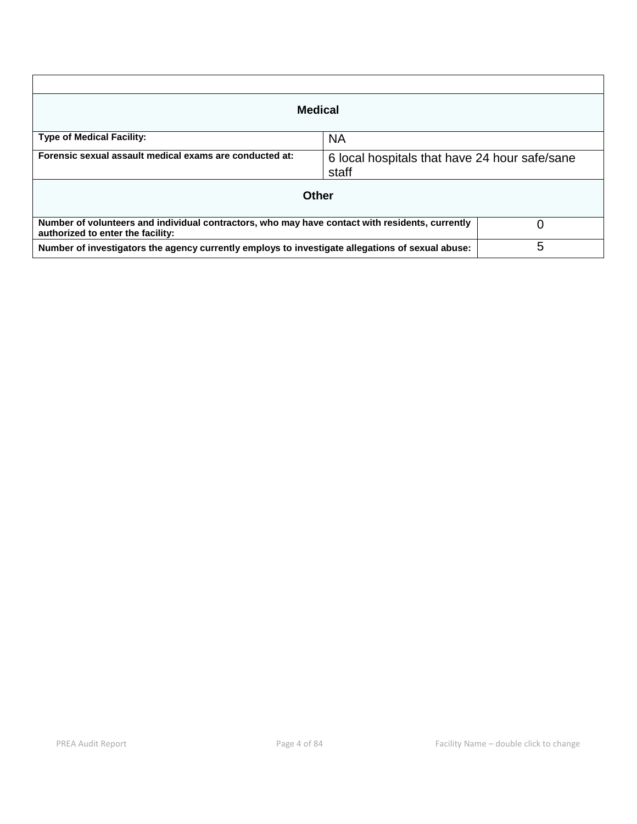| <b>Medical</b>                                                                                                                       |                                                        |   |  |  |
|--------------------------------------------------------------------------------------------------------------------------------------|--------------------------------------------------------|---|--|--|
| <b>Type of Medical Facility:</b>                                                                                                     | <b>NA</b>                                              |   |  |  |
| Forensic sexual assault medical exams are conducted at:                                                                              | 6 local hospitals that have 24 hour safe/sane<br>staff |   |  |  |
| Other                                                                                                                                |                                                        |   |  |  |
| Number of volunteers and individual contractors, who may have contact with residents, currently<br>authorized to enter the facility: |                                                        |   |  |  |
| Number of investigators the agency currently employs to investigate allegations of sexual abuse:                                     |                                                        | 5 |  |  |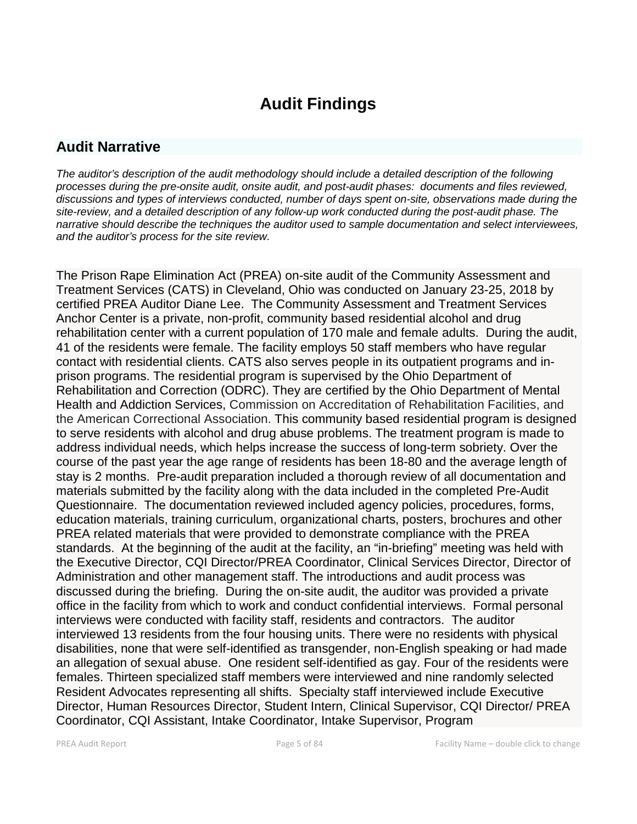# **Audit Findings**

# **Audit Narrative**

*The auditor's description of the audit methodology should include a detailed description of the following processes during the pre-onsite audit, onsite audit, and post-audit phases: documents and files reviewed, discussions and types of interviews conducted, number of days spent on-site, observations made during the site-review, and a detailed description of any follow-up work conducted during the post-audit phase. The narrative should describe the techniques the auditor used to sample documentation and select interviewees, and the auditor's process for the site review.*

The Prison Rape Elimination Act (PREA) on-site audit of the Community Assessment and Treatment Services (CATS) in Cleveland, Ohio was conducted on January 23-25, 2018 by certified PREA Auditor Diane Lee. The Community Assessment and Treatment Services Anchor Center is a private, non-profit, community based residential alcohol and drug rehabilitation center with a current population of 170 male and female adults. During the audit, 41 of the residents were female. The facility employs 50 staff members who have regular contact with residential clients. CATS also serves people in its outpatient programs and inprison programs. The residential program is supervised by the Ohio Department of Rehabilitation and Correction (ODRC). They are certified by the Ohio Department of Mental Health and Addiction Services, Commission on Accreditation of Rehabilitation Facilities, and the American Correctional Association. This community based residential program is designed to serve residents with alcohol and drug abuse problems. The treatment program is made to address individual needs, which helps increase the success of long-term sobriety. Over the course of the past year the age range of residents has been 18-80 and the average length of stay is 2 months. Pre-audit preparation included a thorough review of all documentation and materials submitted by the facility along with the data included in the completed Pre-Audit Questionnaire. The documentation reviewed included agency policies, procedures, forms, education materials, training curriculum, organizational charts, posters, brochures and other PREA related materials that were provided to demonstrate compliance with the PREA standards. At the beginning of the audit at the facility, an "in-briefing" meeting was held with the Executive Director, CQI Director/PREA Coordinator, Clinical Services Director, Director of Administration and other management staff. The introductions and audit process was discussed during the briefing. During the on-site audit, the auditor was provided a private office in the facility from which to work and conduct confidential interviews. Formal personal interviews were conducted with facility staff, residents and contractors. The auditor interviewed 13 residents from the four housing units. There were no residents with physical disabilities, none that were self-identified as transgender, non-English speaking or had made an allegation of sexual abuse. One resident self-identified as gay. Four of the residents were females. Thirteen specialized staff members were interviewed and nine randomly selected Resident Advocates representing all shifts. Specialty staff interviewed include Executive Director, Human Resources Director, Student Intern, Clinical Supervisor, CQI Director/ PREA Coordinator, CQI Assistant, Intake Coordinator, Intake Supervisor, Program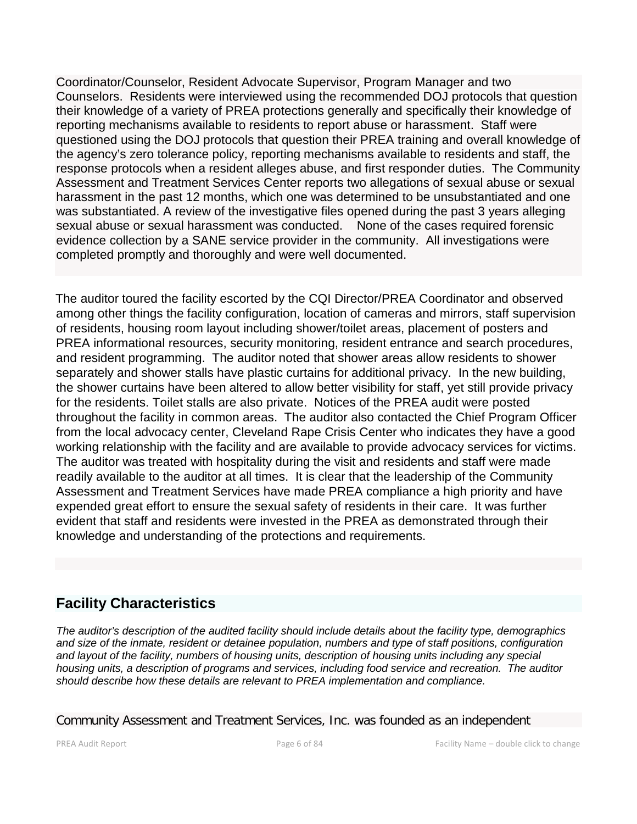Coordinator/Counselor, Resident Advocate Supervisor, Program Manager and two Counselors. Residents were interviewed using the recommended DOJ protocols that question their knowledge of a variety of PREA protections generally and specifically their knowledge of reporting mechanisms available to residents to report abuse or harassment. Staff were questioned using the DOJ protocols that question their PREA training and overall knowledge of the agency's zero tolerance policy, reporting mechanisms available to residents and staff, the response protocols when a resident alleges abuse, and first responder duties. The Community Assessment and Treatment Services Center reports two allegations of sexual abuse or sexual harassment in the past 12 months, which one was determined to be unsubstantiated and one was substantiated. A review of the investigative files opened during the past 3 years alleging sexual abuse or sexual harassment was conducted. None of the cases required forensic evidence collection by a SANE service provider in the community. All investigations were completed promptly and thoroughly and were well documented.

The auditor toured the facility escorted by the CQI Director/PREA Coordinator and observed among other things the facility configuration, location of cameras and mirrors, staff supervision of residents, housing room layout including shower/toilet areas, placement of posters and PREA informational resources, security monitoring, resident entrance and search procedures, and resident programming. The auditor noted that shower areas allow residents to shower separately and shower stalls have plastic curtains for additional privacy. In the new building, the shower curtains have been altered to allow better visibility for staff, yet still provide privacy for the residents. Toilet stalls are also private. Notices of the PREA audit were posted throughout the facility in common areas. The auditor also contacted the Chief Program Officer from the local advocacy center, Cleveland Rape Crisis Center who indicates they have a good working relationship with the facility and are available to provide advocacy services for victims. The auditor was treated with hospitality during the visit and residents and staff were made readily available to the auditor at all times. It is clear that the leadership of the Community Assessment and Treatment Services have made PREA compliance a high priority and have expended great effort to ensure the sexual safety of residents in their care. It was further evident that staff and residents were invested in the PREA as demonstrated through their knowledge and understanding of the protections and requirements.

# **Facility Characteristics**

*The auditor's description of the audited facility should include details about the facility type, demographics and size of the inmate, resident or detainee population, numbers and type of staff positions, configuration and layout of the facility, numbers of housing units, description of housing units including any special housing units, a description of programs and services, including food service and recreation. The auditor should describe how these details are relevant to PREA implementation and compliance.*

Community Assessment and Treatment Services, Inc. was founded as an independent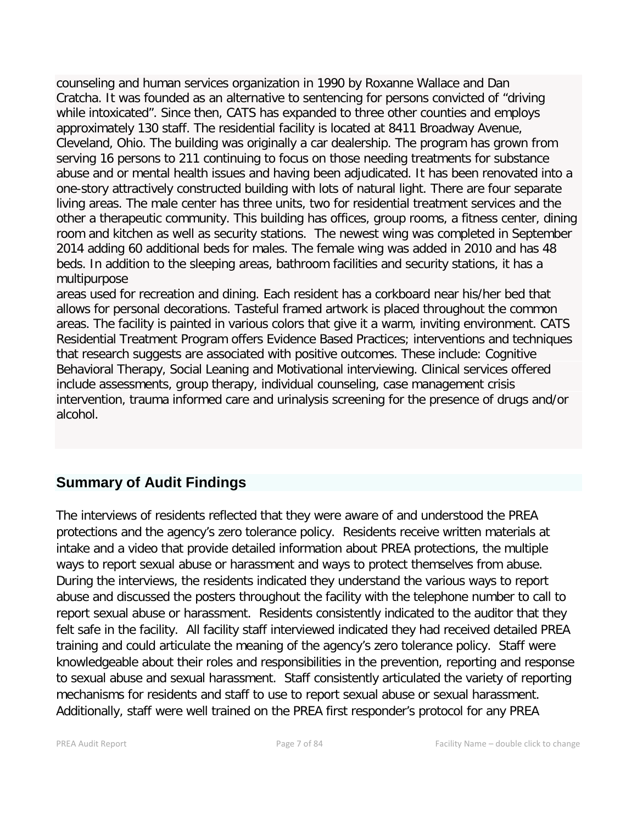counseling and human services organization in 1990 by Roxanne Wallace and Dan Cratcha. It was founded as an alternative to sentencing for persons convicted of "driving while intoxicated". Since then, CATS has expanded to three other counties and employs approximately 130 staff. The residential facility is located at 8411 Broadway Avenue, Cleveland, Ohio. The building was originally a car dealership. The program has grown from serving 16 persons to 211 continuing to focus on those needing treatments for substance abuse and or mental health issues and having been adjudicated. It has been renovated into a one-story attractively constructed building with lots of natural light. There are four separate living areas. The male center has three units, two for residential treatment services and the other a therapeutic community. This building has offices, group rooms, a fitness center, dining room and kitchen as well as security stations. The newest wing was completed in September 2014 adding 60 additional beds for males. The female wing was added in 2010 and has 48 beds. In addition to the sleeping areas, bathroom facilities and security stations, it has a multipurpose

areas used for recreation and dining. Each resident has a corkboard near his/her bed that allows for personal decorations. Tasteful framed artwork is placed throughout the common areas. The facility is painted in various colors that give it a warm, inviting environment. CATS Residential Treatment Program offers Evidence Based Practices; interventions and techniques that research suggests are associated with positive outcomes. These include: Cognitive Behavioral Therapy, Social Leaning and Motivational interviewing. Clinical services offered include assessments, group therapy, individual counseling, case management crisis intervention, trauma informed care and urinalysis screening for the presence of drugs and/or alcohol.

# **Summary of Audit Findings**

The interviews of residents reflected that they were aware of and understood the PREA protections and the agency's zero tolerance policy. Residents receive written materials at intake and a video that provide detailed information about PREA protections, the multiple ways to report sexual abuse or harassment and ways to protect themselves from abuse. During the interviews, the residents indicated they understand the various ways to report abuse and discussed the posters throughout the facility with the telephone number to call to report sexual abuse or harassment. Residents consistently indicated to the auditor that they felt safe in the facility. All facility staff interviewed indicated they had received detailed PREA training and could articulate the meaning of the agency's zero tolerance policy. Staff were knowledgeable about their roles and responsibilities in the prevention, reporting and response to sexual abuse and sexual harassment. Staff consistently articulated the variety of reporting mechanisms for residents and staff to use to report sexual abuse or sexual harassment. Additionally, staff were well trained on the PREA first responder's protocol for any PREA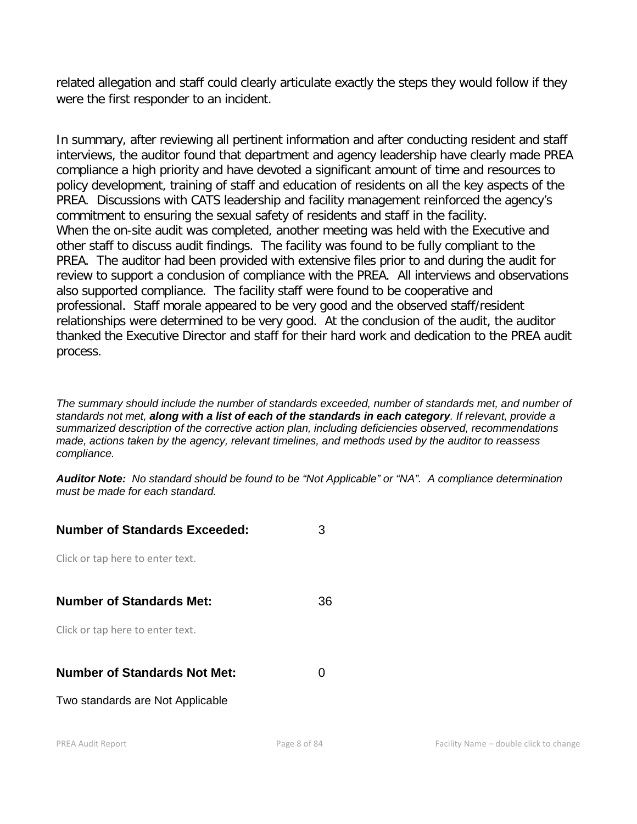related allegation and staff could clearly articulate exactly the steps they would follow if they were the first responder to an incident.

In summary, after reviewing all pertinent information and after conducting resident and staff interviews, the auditor found that department and agency leadership have clearly made PREA compliance a high priority and have devoted a significant amount of time and resources to policy development, training of staff and education of residents on all the key aspects of the PREA. Discussions with CATS leadership and facility management reinforced the agency's commitment to ensuring the sexual safety of residents and staff in the facility. When the on-site audit was completed, another meeting was held with the Executive and other staff to discuss audit findings. The facility was found to be fully compliant to the PREA. The auditor had been provided with extensive files prior to and during the audit for review to support a conclusion of compliance with the PREA. All interviews and observations also supported compliance. The facility staff were found to be cooperative and professional. Staff morale appeared to be very good and the observed staff/resident relationships were determined to be very good. At the conclusion of the audit, the auditor thanked the Executive Director and staff for their hard work and dedication to the PREA audit process.

*The summary should include the number of standards exceeded, number of standards met, and number of standards not met, along with a list of each of the standards in each category. If relevant, provide a summarized description of the corrective action plan, including deficiencies observed, recommendations made, actions taken by the agency, relevant timelines, and methods used by the auditor to reassess compliance.*

*Auditor Note: No standard should be found to be "Not Applicable" or "NA". A compliance determination must be made for each standard.*

| <b>Number of Standards Exceeded:</b> |    |
|--------------------------------------|----|
| Click or tap here to enter text.     |    |
|                                      |    |
| <b>Number of Standards Met:</b>      | 36 |
| Click or tap here to enter text.     |    |
|                                      |    |
| <b>Number of Standards Not Met:</b>  |    |
| Two standards are Not Applicable     |    |
|                                      |    |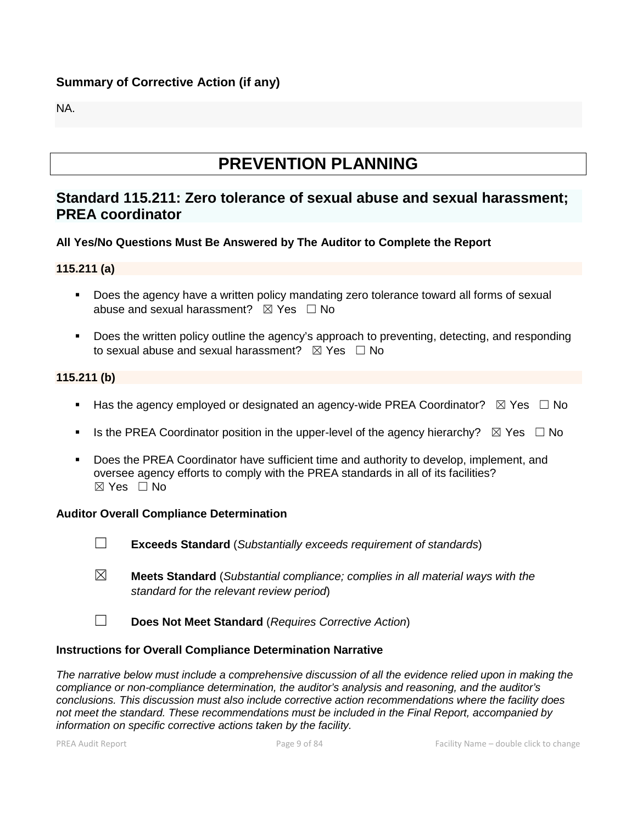# **Summary of Corrective Action (if any)**

NA.

# **PREVENTION PLANNING**

# **Standard 115.211: Zero tolerance of sexual abuse and sexual harassment; PREA coordinator**

#### **All Yes/No Questions Must Be Answered by The Auditor to Complete the Report**

#### **115.211 (a)**

- **Does the agency have a written policy mandating zero tolerance toward all forms of sexual** abuse and sexual harassment?  $\boxtimes$  Yes  $\Box$  No
- **Does the written policy outline the agency's approach to preventing, detecting, and responding** to sexual abuse and sexual harassment?  $\boxtimes$  Yes  $\Box$  No

#### **115.211 (b)**

- Has the agency employed or designated an agency-wide PREA Coordinator?  $\boxtimes$  Yes  $\Box$  No
- Is the PREA Coordinator position in the upper-level of the agency hierarchy?  $\boxtimes$  Yes  $\Box$  No
- Does the PREA Coordinator have sufficient time and authority to develop, implement, and oversee agency efforts to comply with the PREA standards in all of its facilities?  $\boxtimes$  Yes  $\Box$  No

#### **Auditor Overall Compliance Determination**

- ☐ **Exceeds Standard** (*Substantially exceeds requirement of standards*)
- ☒ **Meets Standard** (*Substantial compliance; complies in all material ways with the standard for the relevant review period*)
- ☐ **Does Not Meet Standard** (*Requires Corrective Action*)

#### **Instructions for Overall Compliance Determination Narrative**

*The narrative below must include a comprehensive discussion of all the evidence relied upon in making the compliance or non-compliance determination, the auditor's analysis and reasoning, and the auditor's conclusions. This discussion must also include corrective action recommendations where the facility does not meet the standard. These recommendations must be included in the Final Report, accompanied by information on specific corrective actions taken by the facility.*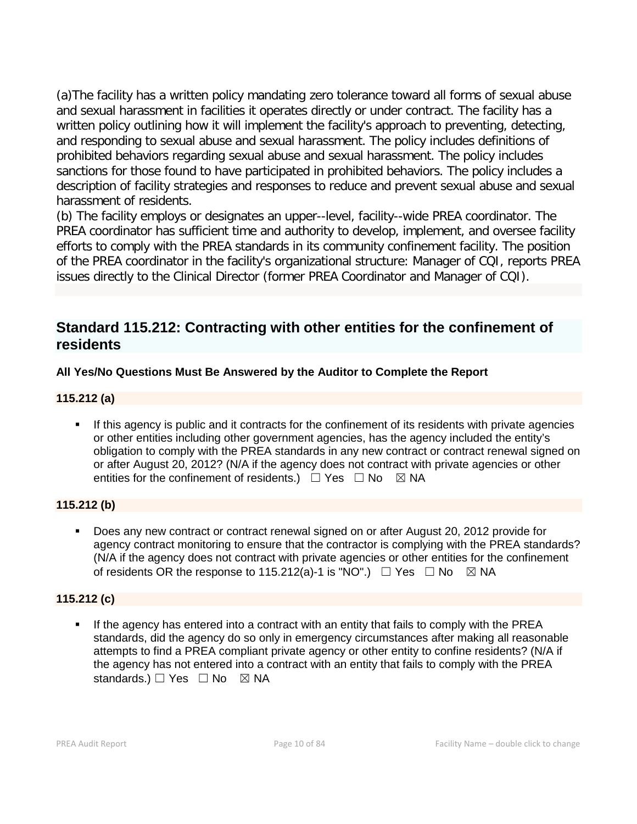(a)The facility has a written policy mandating zero tolerance toward all forms of sexual abuse and sexual harassment in facilities it operates directly or under contract. The facility has a written policy outlining how it will implement the facility's approach to preventing, detecting, and responding to sexual abuse and sexual harassment. The policy includes definitions of prohibited behaviors regarding sexual abuse and sexual harassment. The policy includes sanctions for those found to have participated in prohibited behaviors. The policy includes a description of facility strategies and responses to reduce and prevent sexual abuse and sexual harassment of residents.

(b) The facility employs or designates an upper--level, facility--wide PREA coordinator. The PREA coordinator has sufficient time and authority to develop, implement, and oversee facility efforts to comply with the PREA standards in its community confinement facility. The position of the PREA coordinator in the facility's organizational structure: Manager of CQI, reports PREA issues directly to the Clinical Director (former PREA Coordinator and Manager of CQI).

# **Standard 115.212: Contracting with other entities for the confinement of residents**

# **All Yes/No Questions Must Be Answered by the Auditor to Complete the Report**

# **115.212 (a)**

 If this agency is public and it contracts for the confinement of its residents with private agencies or other entities including other government agencies, has the agency included the entity's obligation to comply with the PREA standards in any new contract or contract renewal signed on or after August 20, 2012? (N/A if the agency does not contract with private agencies or other entities for the confinement of residents.)  $\Box$  Yes  $\Box$  No  $\boxtimes$  NA

# **115.212 (b)**

 Does any new contract or contract renewal signed on or after August 20, 2012 provide for agency contract monitoring to ensure that the contractor is complying with the PREA standards? (N/A if the agency does not contract with private agencies or other entities for the confinement of residents OR the response to 115.212(a)-1 is "NO".)  $\Box$  Yes  $\Box$  No  $\boxtimes$  NA

# **115.212 (c)**

 If the agency has entered into a contract with an entity that fails to comply with the PREA standards, did the agency do so only in emergency circumstances after making all reasonable attempts to find a PREA compliant private agency or other entity to confine residents? (N/A if the agency has not entered into a contract with an entity that fails to comply with the PREA standards.) □ Yes □ No ⊠ NA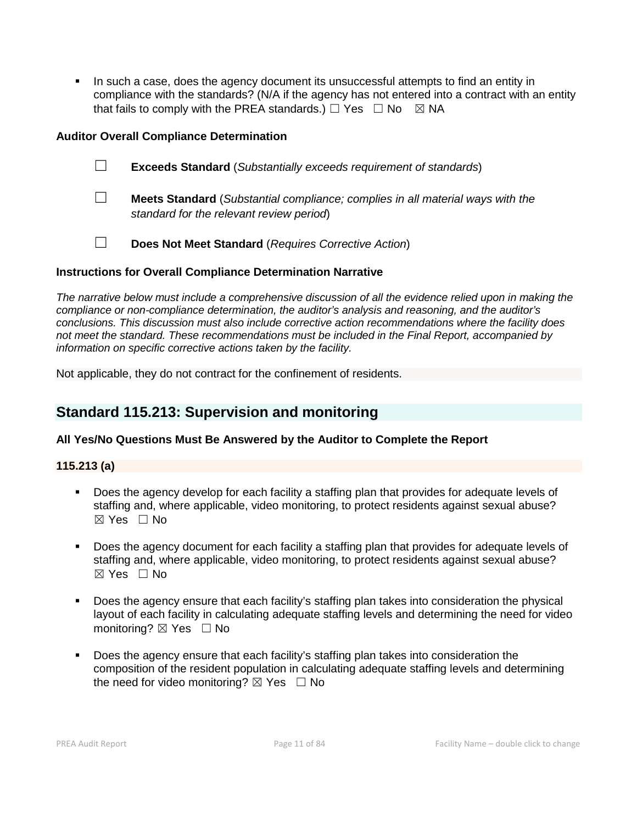In such a case, does the agency document its unsuccessful attempts to find an entity in compliance with the standards? (N/A if the agency has not entered into a contract with an entity that fails to comply with the PREA standards.)  $\Box$  Yes  $\Box$  No  $\boxtimes$  NA

#### **Auditor Overall Compliance Determination**

- ☐ **Exceeds Standard** (*Substantially exceeds requirement of standards*)
- ☐ **Meets Standard** (*Substantial compliance; complies in all material ways with the standard for the relevant review period*)
- ☐ **Does Not Meet Standard** (*Requires Corrective Action*)

#### **Instructions for Overall Compliance Determination Narrative**

*The narrative below must include a comprehensive discussion of all the evidence relied upon in making the compliance or non-compliance determination, the auditor's analysis and reasoning, and the auditor's conclusions. This discussion must also include corrective action recommendations where the facility does not meet the standard. These recommendations must be included in the Final Report, accompanied by information on specific corrective actions taken by the facility.*

Not applicable, they do not contract for the confinement of residents.

# **Standard 115.213: Supervision and monitoring**

#### **All Yes/No Questions Must Be Answered by the Auditor to Complete the Report**

#### **115.213 (a)**

- Does the agency develop for each facility a staffing plan that provides for adequate levels of staffing and, where applicable, video monitoring, to protect residents against sexual abuse?  $\boxtimes$  Yes  $\Box$  No
- Does the agency document for each facility a staffing plan that provides for adequate levels of staffing and, where applicable, video monitoring, to protect residents against sexual abuse?  $\boxtimes$  Yes  $\Box$  No
- Does the agency ensure that each facility's staffing plan takes into consideration the physical layout of each facility in calculating adequate staffing levels and determining the need for video monitoring? ⊠ Yes □ No
- Does the agency ensure that each facility's staffing plan takes into consideration the composition of the resident population in calculating adequate staffing levels and determining the need for video monitoring?  $\boxtimes$  Yes  $\Box$  No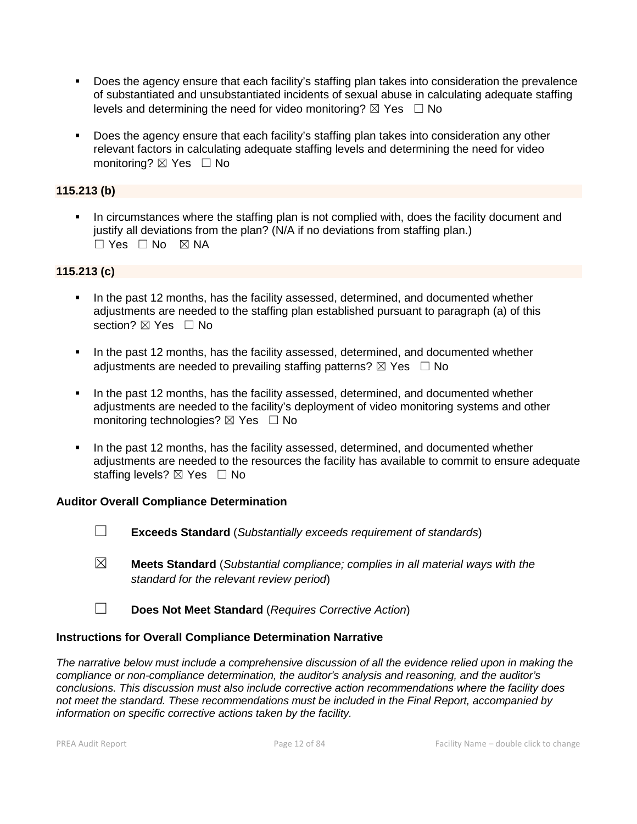- Does the agency ensure that each facility's staffing plan takes into consideration the prevalence of substantiated and unsubstantiated incidents of sexual abuse in calculating adequate staffing levels and determining the need for video monitoring?  $\boxtimes$  Yes  $\Box$  No
- Does the agency ensure that each facility's staffing plan takes into consideration any other relevant factors in calculating adequate staffing levels and determining the need for video monitoring? ⊠ Yes □ No

### **115.213 (b)**

 In circumstances where the staffing plan is not complied with, does the facility document and justify all deviations from the plan? (N/A if no deviations from staffing plan.)  $\Box$  Yes  $\Box$  No  $\boxtimes$  NA

#### **115.213 (c)**

- In the past 12 months, has the facility assessed, determined, and documented whether adjustments are needed to the staffing plan established pursuant to paragraph (a) of this section? ⊠ Yes □ No
- In the past 12 months, has the facility assessed, determined, and documented whether adjustments are needed to prevailing staffing patterns?  $\boxtimes$  Yes  $\Box$  No
- In the past 12 months, has the facility assessed, determined, and documented whether adjustments are needed to the facility's deployment of video monitoring systems and other monitoring technologies? ⊠ Yes □ No
- In the past 12 months, has the facility assessed, determined, and documented whether adjustments are needed to the resources the facility has available to commit to ensure adequate staffing levels?  $\boxtimes$  Yes  $\Box$  No

#### **Auditor Overall Compliance Determination**

- ☐ **Exceeds Standard** (*Substantially exceeds requirement of standards*)
- ☒ **Meets Standard** (*Substantial compliance; complies in all material ways with the standard for the relevant review period*)
- ☐ **Does Not Meet Standard** (*Requires Corrective Action*)

#### **Instructions for Overall Compliance Determination Narrative**

*The narrative below must include a comprehensive discussion of all the evidence relied upon in making the compliance or non-compliance determination, the auditor's analysis and reasoning, and the auditor's conclusions. This discussion must also include corrective action recommendations where the facility does not meet the standard. These recommendations must be included in the Final Report, accompanied by information on specific corrective actions taken by the facility.*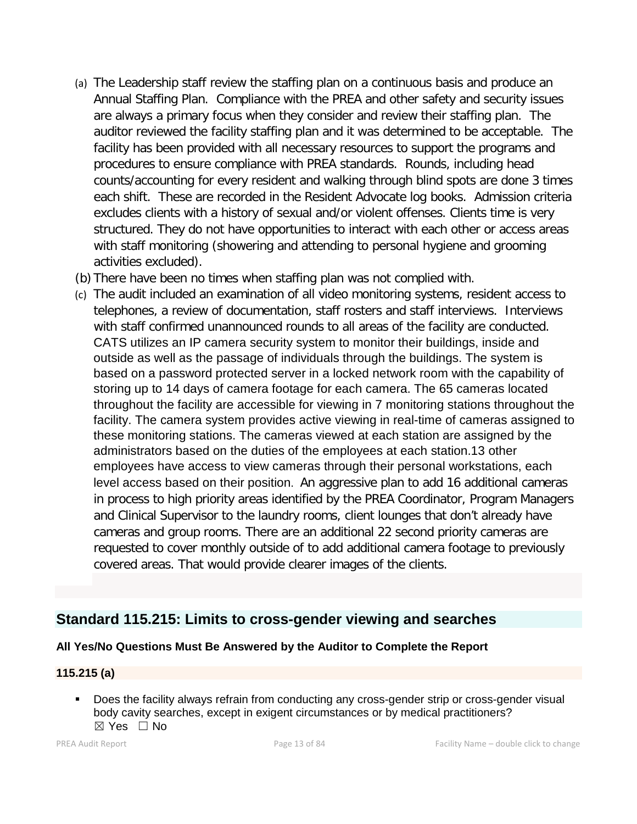- (a) The Leadership staff review the staffing plan on a continuous basis and produce an Annual Staffing Plan. Compliance with the PREA and other safety and security issues are always a primary focus when they consider and review their staffing plan. The auditor reviewed the facility staffing plan and it was determined to be acceptable. The facility has been provided with all necessary resources to support the programs and procedures to ensure compliance with PREA standards. Rounds, including head counts/accounting for every resident and walking through blind spots are done 3 times each shift. These are recorded in the Resident Advocate log books. Admission criteria excludes clients with a history of sexual and/or violent offenses. Clients time is very structured. They do not have opportunities to interact with each other or access areas with staff monitoring (showering and attending to personal hygiene and grooming activities excluded).
- (b) There have been no times when staffing plan was not complied with.
- (c) The audit included an examination of all video monitoring systems, resident access to telephones, a review of documentation, staff rosters and staff interviews. Interviews with staff confirmed unannounced rounds to all areas of the facility are conducted. CATS utilizes an IP camera security system to monitor their buildings, inside and outside as well as the passage of individuals through the buildings. The system is based on a password protected server in a locked network room with the capability of storing up to 14 days of camera footage for each camera. The 65 cameras located throughout the facility are accessible for viewing in 7 monitoring stations throughout the facility. The camera system provides active viewing in real-time of cameras assigned to these monitoring stations. The cameras viewed at each station are assigned by the administrators based on the duties of the employees at each station.13 other employees have access to view cameras through their personal workstations, each level access based on their position. An aggressive plan to add 16 additional cameras in process to high priority areas identified by the PREA Coordinator, Program Managers and Clinical Supervisor to the laundry rooms, client lounges that don't already have cameras and group rooms. There are an additional 22 second priority cameras are requested to cover monthly outside of to add additional camera footage to previously covered areas. That would provide clearer images of the clients.

# **Standard 115.215: Limits to cross-gender viewing and searches**

#### **All Yes/No Questions Must Be Answered by the Auditor to Complete the Report**

#### **115.215 (a)**

 Does the facility always refrain from conducting any cross-gender strip or cross-gender visual body cavity searches, except in exigent circumstances or by medical practitioners? ☒ Yes ☐ No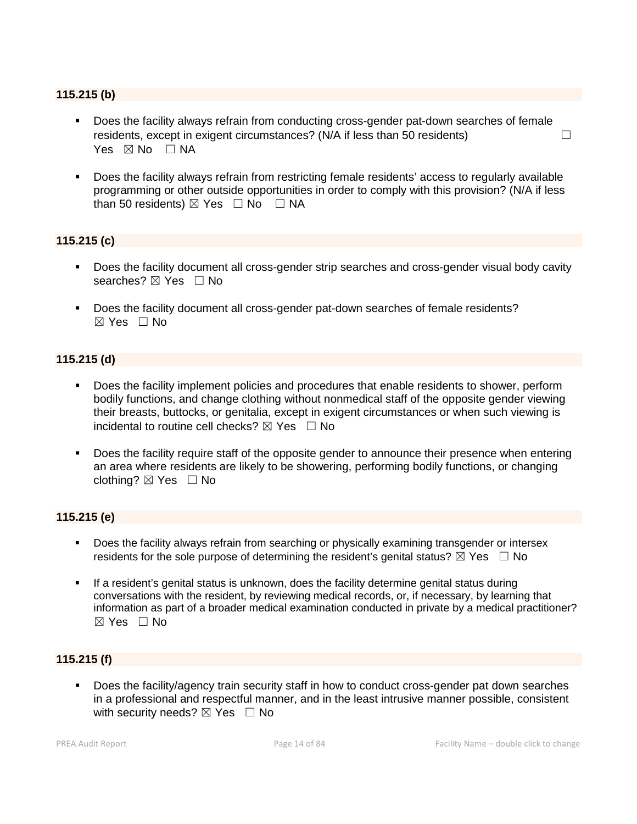#### **115.215 (b)**

- Does the facility always refrain from conducting cross-gender pat-down searches of female residents, except in exigent circumstances? ( $N/A$  if less than 50 residents)  $\Box$ Yes  $\boxtimes$  No  $\Box$  NA
- Does the facility always refrain from restricting female residents' access to regularly available programming or other outside opportunities in order to comply with this provision? (N/A if less than 50 residents)  $\boxtimes$  Yes  $\Box$  No  $\Box$  NA

### **115.215 (c)**

- Does the facility document all cross-gender strip searches and cross-gender visual body cavity searches? ⊠ Yes □ No
- Does the facility document all cross-gender pat-down searches of female residents?  $\boxtimes$  Yes  $\Box$  No

#### **115.215 (d)**

- Does the facility implement policies and procedures that enable residents to shower, perform bodily functions, and change clothing without nonmedical staff of the opposite gender viewing their breasts, buttocks, or genitalia, except in exigent circumstances or when such viewing is incidental to routine cell checks?  $\boxtimes$  Yes  $\Box$  No
- Does the facility require staff of the opposite gender to announce their presence when entering an area where residents are likely to be showering, performing bodily functions, or changing clothing?  $\boxtimes$  Yes  $\Box$  No

#### **115.215 (e)**

- **Does the facility always refrain from searching or physically examining transgender or intersex** residents for the sole purpose of determining the resident's genital status?  $\boxtimes$  Yes  $\Box$  No
- If a resident's genital status is unknown, does the facility determine genital status during conversations with the resident, by reviewing medical records, or, if necessary, by learning that information as part of a broader medical examination conducted in private by a medical practitioner?  $\boxtimes$  Yes  $\Box$  No

#### **115.215 (f)**

 Does the facility/agency train security staff in how to conduct cross-gender pat down searches in a professional and respectful manner, and in the least intrusive manner possible, consistent with security needs?  $\boxtimes$  Yes  $\Box$  No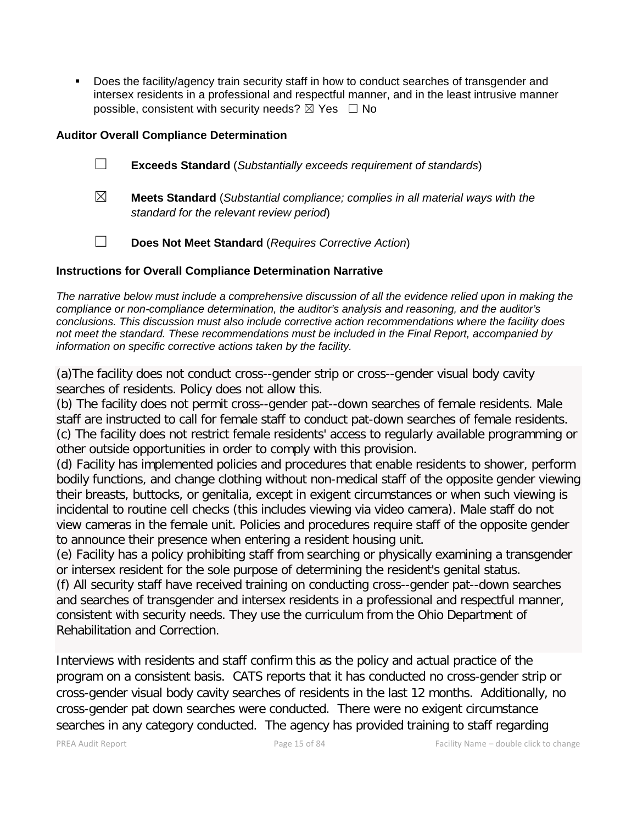Does the facility/agency train security staff in how to conduct searches of transgender and intersex residents in a professional and respectful manner, and in the least intrusive manner possible, consistent with security needs?  $\boxtimes$  Yes  $\Box$  No

### **Auditor Overall Compliance Determination**

- ☐ **Exceeds Standard** (*Substantially exceeds requirement of standards*)
- ☒ **Meets Standard** (*Substantial compliance; complies in all material ways with the standard for the relevant review period*)
- ☐ **Does Not Meet Standard** (*Requires Corrective Action*)

### **Instructions for Overall Compliance Determination Narrative**

*The narrative below must include a comprehensive discussion of all the evidence relied upon in making the compliance or non-compliance determination, the auditor's analysis and reasoning, and the auditor's conclusions. This discussion must also include corrective action recommendations where the facility does not meet the standard. These recommendations must be included in the Final Report, accompanied by information on specific corrective actions taken by the facility.*

(a)The facility does not conduct cross--gender strip or cross--gender visual body cavity searches of residents. Policy does not allow this.

(b) The facility does not permit cross--gender pat--down searches of female residents. Male staff are instructed to call for female staff to conduct pat-down searches of female residents. (c) The facility does not restrict female residents' access to regularly available programming or other outside opportunities in order to comply with this provision.

(d) Facility has implemented policies and procedures that enable residents to shower, perform bodily functions, and change clothing without non-medical staff of the opposite gender viewing their breasts, buttocks, or genitalia, except in exigent circumstances or when such viewing is incidental to routine cell checks (this includes viewing via video camera). Male staff do not view cameras in the female unit. Policies and procedures require staff of the opposite gender to announce their presence when entering a resident housing unit.

(e) Facility has a policy prohibiting staff from searching or physically examining a transgender or intersex resident for the sole purpose of determining the resident's genital status.

(f) All security staff have received training on conducting cross--gender pat--down searches and searches of transgender and intersex residents in a professional and respectful manner, consistent with security needs. They use the curriculum from the Ohio Department of Rehabilitation and Correction.

Interviews with residents and staff confirm this as the policy and actual practice of the program on a consistent basis. CATS reports that it has conducted no cross-gender strip or cross-gender visual body cavity searches of residents in the last 12 months. Additionally, no cross-gender pat down searches were conducted. There were no exigent circumstance searches in any category conducted. The agency has provided training to staff regarding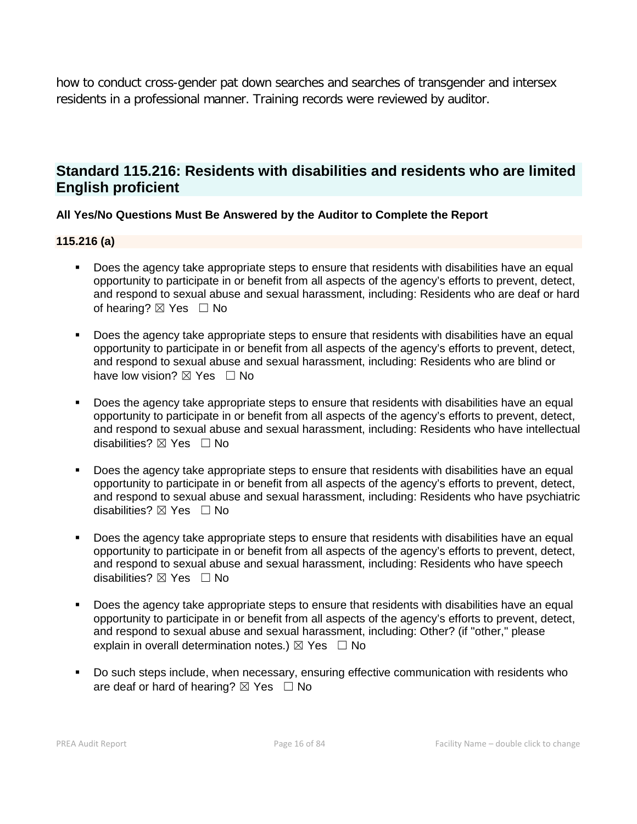how to conduct cross-gender pat down searches and searches of transgender and intersex residents in a professional manner. Training records were reviewed by auditor.

# **Standard 115.216: Residents with disabilities and residents who are limited English proficient**

# **All Yes/No Questions Must Be Answered by the Auditor to Complete the Report**

#### **115.216 (a)**

- Does the agency take appropriate steps to ensure that residents with disabilities have an equal opportunity to participate in or benefit from all aspects of the agency's efforts to prevent, detect, and respond to sexual abuse and sexual harassment, including: Residents who are deaf or hard of hearing?  $\boxtimes$  Yes  $\Box$  No
- Does the agency take appropriate steps to ensure that residents with disabilities have an equal opportunity to participate in or benefit from all aspects of the agency's efforts to prevent, detect, and respond to sexual abuse and sexual harassment, including: Residents who are blind or have low vision?  $\boxtimes$  Yes  $\Box$  No
- Does the agency take appropriate steps to ensure that residents with disabilities have an equal opportunity to participate in or benefit from all aspects of the agency's efforts to prevent, detect, and respond to sexual abuse and sexual harassment, including: Residents who have intellectual disabilities?  $\boxtimes$  Yes  $\Box$  No
- Does the agency take appropriate steps to ensure that residents with disabilities have an equal opportunity to participate in or benefit from all aspects of the agency's efforts to prevent, detect, and respond to sexual abuse and sexual harassment, including: Residents who have psychiatric disabilities?  $\boxtimes$  Yes  $\Box$  No
- Does the agency take appropriate steps to ensure that residents with disabilities have an equal opportunity to participate in or benefit from all aspects of the agency's efforts to prevent, detect, and respond to sexual abuse and sexual harassment, including: Residents who have speech disabilities? ⊠ Yes □ No
- **Does the agency take appropriate steps to ensure that residents with disabilities have an equal** opportunity to participate in or benefit from all aspects of the agency's efforts to prevent, detect, and respond to sexual abuse and sexual harassment, including: Other? (if "other," please explain in overall determination notes.)  $\boxtimes$  Yes  $\Box$  No
- Do such steps include, when necessary, ensuring effective communication with residents who are deaf or hard of hearing?  $\boxtimes$  Yes  $\Box$  No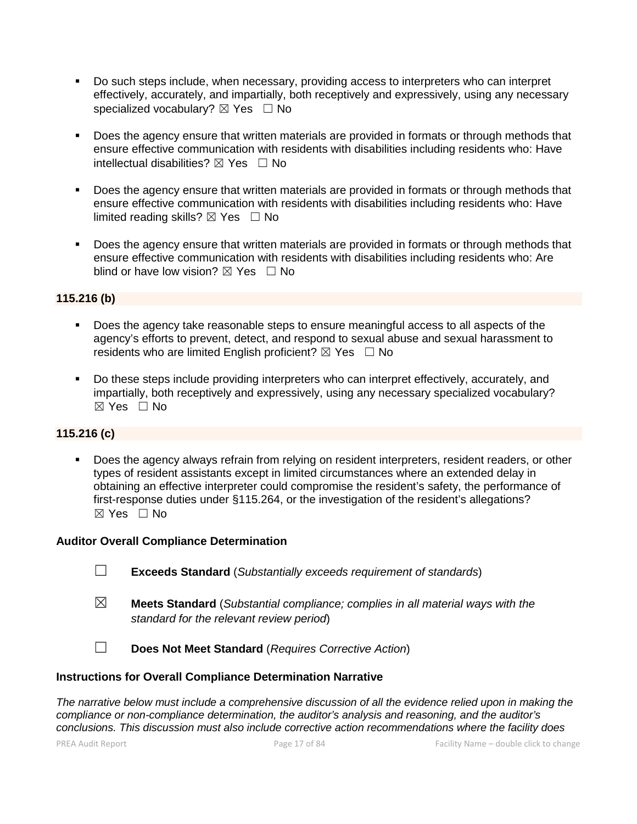- Do such steps include, when necessary, providing access to interpreters who can interpret effectively, accurately, and impartially, both receptively and expressively, using any necessary specialized vocabulary?  $\boxtimes$  Yes  $\Box$  No
- Does the agency ensure that written materials are provided in formats or through methods that ensure effective communication with residents with disabilities including residents who: Have intellectual disabilities?  $\boxtimes$  Yes  $\Box$  No
- Does the agency ensure that written materials are provided in formats or through methods that ensure effective communication with residents with disabilities including residents who: Have limited reading skills?  $\boxtimes$  Yes  $\Box$  No
- Does the agency ensure that written materials are provided in formats or through methods that ensure effective communication with residents with disabilities including residents who: Are blind or have low vision?  $\boxtimes$  Yes  $\Box$  No

### **115.216 (b)**

- Does the agency take reasonable steps to ensure meaningful access to all aspects of the agency's efforts to prevent, detect, and respond to sexual abuse and sexual harassment to residents who are limited English proficient?  $\boxtimes$  Yes  $\Box$  No
- Do these steps include providing interpreters who can interpret effectively, accurately, and impartially, both receptively and expressively, using any necessary specialized vocabulary? ☒ Yes ☐ No

#### **115.216 (c)**

 Does the agency always refrain from relying on resident interpreters, resident readers, or other types of resident assistants except in limited circumstances where an extended delay in obtaining an effective interpreter could compromise the resident's safety, the performance of first-response duties under §115.264, or the investigation of the resident's allegations? ☒ Yes ☐ No

#### **Auditor Overall Compliance Determination**

- ☐ **Exceeds Standard** (*Substantially exceeds requirement of standards*)
- ☒ **Meets Standard** (*Substantial compliance; complies in all material ways with the standard for the relevant review period*)

☐ **Does Not Meet Standard** (*Requires Corrective Action*)

#### **Instructions for Overall Compliance Determination Narrative**

*The narrative below must include a comprehensive discussion of all the evidence relied upon in making the compliance or non-compliance determination, the auditor's analysis and reasoning, and the auditor's conclusions. This discussion must also include corrective action recommendations where the facility does*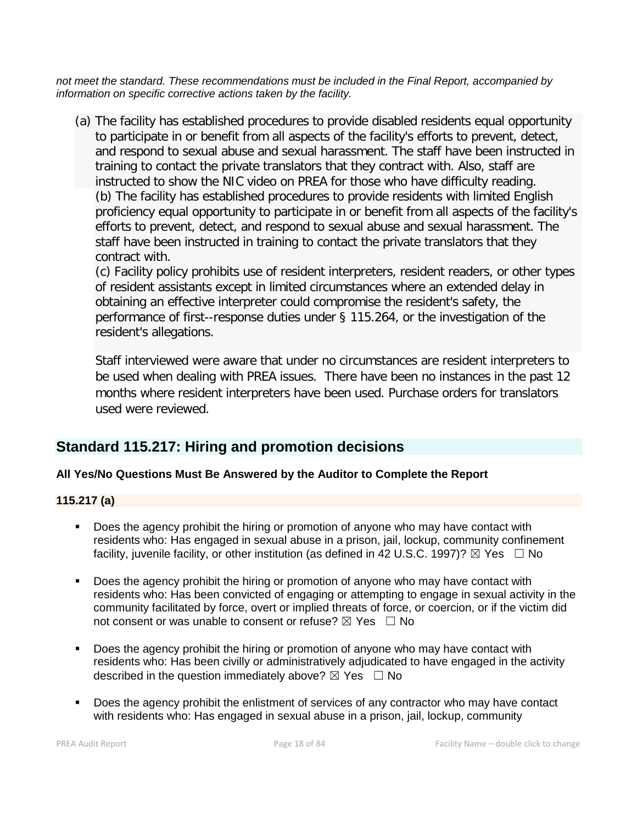*not meet the standard. These recommendations must be included in the Final Report, accompanied by information on specific corrective actions taken by the facility.*

(a) The facility has established procedures to provide disabled residents equal opportunity to participate in or benefit from all aspects of the facility's efforts to prevent, detect, and respond to sexual abuse and sexual harassment. The staff have been instructed in training to contact the private translators that they contract with. Also, staff are instructed to show the NIC video on PREA for those who have difficulty reading. (b) The facility has established procedures to provide residents with limited English proficiency equal opportunity to participate in or benefit from all aspects of the facility's efforts to prevent, detect, and respond to sexual abuse and sexual harassment. The staff have been instructed in training to contact the private translators that they contract with.

(c) Facility policy prohibits use of resident interpreters, resident readers, or other types of resident assistants except in limited circumstances where an extended delay in obtaining an effective interpreter could compromise the resident's safety, the performance of first--response duties under § 115.264, or the investigation of the resident's allegations.

Staff interviewed were aware that under no circumstances are resident interpreters to be used when dealing with PREA issues. There have been no instances in the past 12 months where resident interpreters have been used. Purchase orders for translators used were reviewed.

# **Standard 115.217: Hiring and promotion decisions**

# **All Yes/No Questions Must Be Answered by the Auditor to Complete the Report**

# **115.217 (a)**

- Does the agency prohibit the hiring or promotion of anyone who may have contact with residents who: Has engaged in sexual abuse in a prison, jail, lockup, community confinement facility, juvenile facility, or other institution (as defined in 42 U.S.C. 1997)?  $\boxtimes$  Yes  $\Box$  No
- Does the agency prohibit the hiring or promotion of anyone who may have contact with residents who: Has been convicted of engaging or attempting to engage in sexual activity in the community facilitated by force, overt or implied threats of force, or coercion, or if the victim did not consent or was unable to consent or refuse?  $\boxtimes$  Yes  $\Box$  No
- Does the agency prohibit the hiring or promotion of anyone who may have contact with residents who: Has been civilly or administratively adjudicated to have engaged in the activity described in the question immediately above?  $\boxtimes$  Yes  $\Box$  No
- Does the agency prohibit the enlistment of services of any contractor who may have contact with residents who: Has engaged in sexual abuse in a prison, jail, lockup, community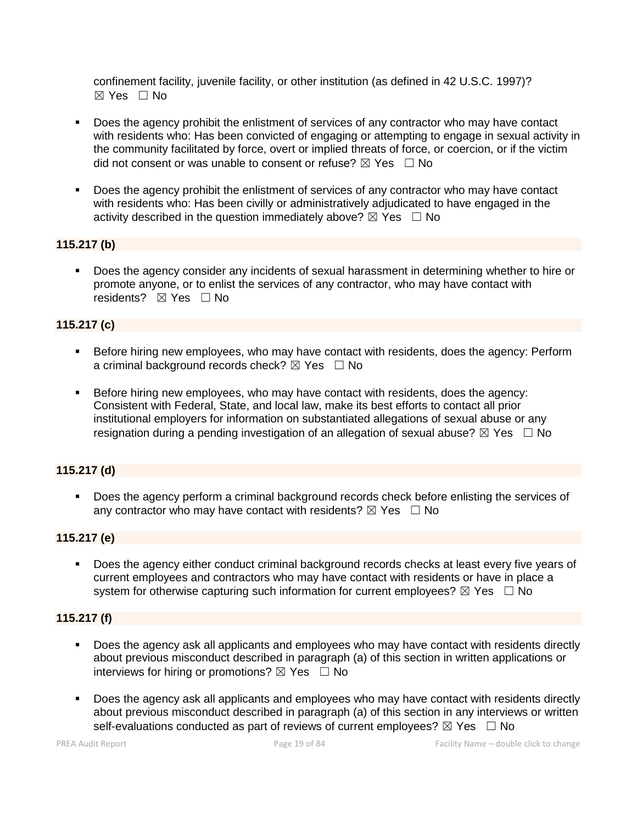confinement facility, juvenile facility, or other institution (as defined in 42 U.S.C. 1997)? ☒ Yes ☐ No

- Does the agency prohibit the enlistment of services of any contractor who may have contact with residents who: Has been convicted of engaging or attempting to engage in sexual activity in the community facilitated by force, overt or implied threats of force, or coercion, or if the victim did not consent or was unable to consent or refuse?  $\boxtimes$  Yes  $\Box$  No
- Does the agency prohibit the enlistment of services of any contractor who may have contact with residents who: Has been civilly or administratively adjudicated to have engaged in the activity described in the question immediately above?  $\boxtimes$  Yes  $\Box$  No

#### **115.217 (b)**

 Does the agency consider any incidents of sexual harassment in determining whether to hire or promote anyone, or to enlist the services of any contractor, who may have contact with residents? **⊠** Yes □ No

#### **115.217 (c)**

- Before hiring new employees, who may have contact with residents, does the agency: Perform a criminal background records check?  $\boxtimes$  Yes  $\Box$  No
- Before hiring new employees, who may have contact with residents, does the agency: Consistent with Federal, State, and local law, make its best efforts to contact all prior institutional employers for information on substantiated allegations of sexual abuse or any resignation during a pending investigation of an allegation of sexual abuse?  $\boxtimes$  Yes  $\Box$  No

#### **115.217 (d)**

**Does the agency perform a criminal background records check before enlisting the services of** any contractor who may have contact with residents?  $\boxtimes$  Yes  $\Box$  No

#### **115.217 (e)**

 Does the agency either conduct criminal background records checks at least every five years of current employees and contractors who may have contact with residents or have in place a system for otherwise capturing such information for current employees?  $\boxtimes$  Yes  $\Box$  No

#### **115.217 (f)**

- Does the agency ask all applicants and employees who may have contact with residents directly about previous misconduct described in paragraph (a) of this section in written applications or interviews for hiring or promotions?  $\boxtimes$  Yes  $\Box$  No
- Does the agency ask all applicants and employees who may have contact with residents directly about previous misconduct described in paragraph (a) of this section in any interviews or written self-evaluations conducted as part of reviews of current employees?  $\boxtimes$  Yes  $\Box$  No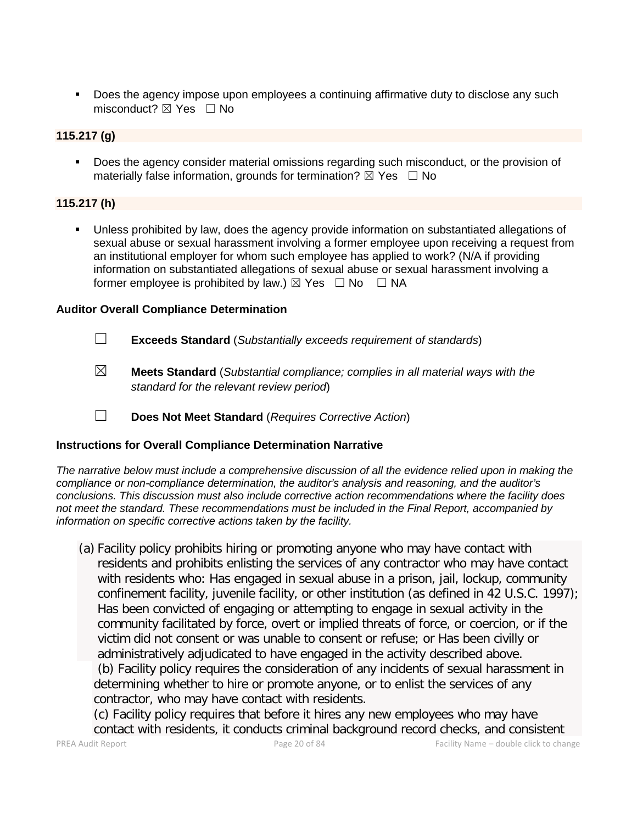Does the agency impose upon employees a continuing affirmative duty to disclose any such misconduct?  $\boxtimes$  Yes  $\Box$  No

#### **115.217 (g)**

 Does the agency consider material omissions regarding such misconduct, or the provision of materially false information, grounds for termination?  $\boxtimes$  Yes  $\Box$  No

#### **115.217 (h)**

 Unless prohibited by law, does the agency provide information on substantiated allegations of sexual abuse or sexual harassment involving a former employee upon receiving a request from an institutional employer for whom such employee has applied to work? (N/A if providing information on substantiated allegations of sexual abuse or sexual harassment involving a former employee is prohibited by law.)  $\boxtimes$  Yes  $\Box$  No  $\Box$  NA

#### **Auditor Overall Compliance Determination**

- ☐ **Exceeds Standard** (*Substantially exceeds requirement of standards*)
- ☒ **Meets Standard** (*Substantial compliance; complies in all material ways with the standard for the relevant review period*)
- ☐ **Does Not Meet Standard** (*Requires Corrective Action*)

#### **Instructions for Overall Compliance Determination Narrative**

*The narrative below must include a comprehensive discussion of all the evidence relied upon in making the compliance or non-compliance determination, the auditor's analysis and reasoning, and the auditor's conclusions. This discussion must also include corrective action recommendations where the facility does not meet the standard. These recommendations must be included in the Final Report, accompanied by information on specific corrective actions taken by the facility.*

(a) Facility policy prohibits hiring or promoting anyone who may have contact with residents and prohibits enlisting the services of any contractor who may have contact with residents who: Has engaged in sexual abuse in a prison, jail, lockup, community confinement facility, juvenile facility, or other institution (as defined in 42 U.S.C. 1997); Has been convicted of engaging or attempting to engage in sexual activity in the community facilitated by force, overt or implied threats of force, or coercion, or if the victim did not consent or was unable to consent or refuse; or Has been civilly or administratively adjudicated to have engaged in the activity described above. (b) Facility policy requires the consideration of any incidents of sexual harassment in determining whether to hire or promote anyone, or to enlist the services of any contractor, who may have contact with residents.

(c) Facility policy requires that before it hires any new employees who may have contact with residents, it conducts criminal background record checks, and consistent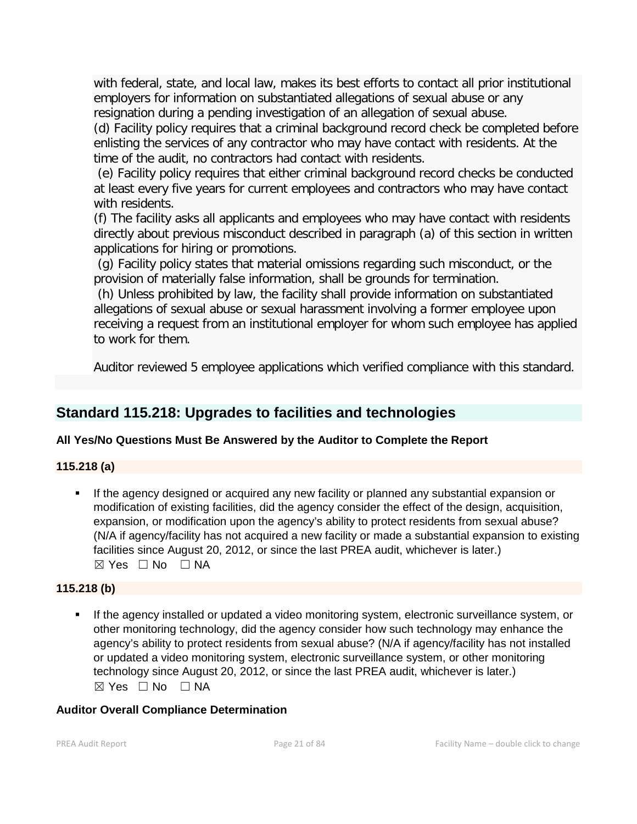with federal, state, and local law, makes its best efforts to contact all prior institutional employers for information on substantiated allegations of sexual abuse or any resignation during a pending investigation of an allegation of sexual abuse.

(d) Facility policy requires that a criminal background record check be completed before enlisting the services of any contractor who may have contact with residents. At the time of the audit, no contractors had contact with residents.

(e) Facility policy requires that either criminal background record checks be conducted at least every five years for current employees and contractors who may have contact with residents.

(f) The facility asks all applicants and employees who may have contact with residents directly about previous misconduct described in paragraph (a) of this section in written applications for hiring or promotions.

(g) Facility policy states that material omissions regarding such misconduct, or the provision of materially false information, shall be grounds for termination.

(h) Unless prohibited by law, the facility shall provide information on substantiated allegations of sexual abuse or sexual harassment involving a former employee upon receiving a request from an institutional employer for whom such employee has applied to work for them.

Auditor reviewed 5 employee applications which verified compliance with this standard.

# **Standard 115.218: Upgrades to facilities and technologies**

# **All Yes/No Questions Must Be Answered by the Auditor to Complete the Report**

# **115.218 (a)**

 If the agency designed or acquired any new facility or planned any substantial expansion or modification of existing facilities, did the agency consider the effect of the design, acquisition, expansion, or modification upon the agency's ability to protect residents from sexual abuse? (N/A if agency/facility has not acquired a new facility or made a substantial expansion to existing facilities since August 20, 2012, or since the last PREA audit, whichever is later.)  $\boxtimes$  Yes  $\Box$  No  $\Box$  NA

# **115.218 (b)**

 If the agency installed or updated a video monitoring system, electronic surveillance system, or other monitoring technology, did the agency consider how such technology may enhance the agency's ability to protect residents from sexual abuse? (N/A if agency/facility has not installed or updated a video monitoring system, electronic surveillance system, or other monitoring technology since August 20, 2012, or since the last PREA audit, whichever is later.)  $\boxtimes$  Yes  $\Box$  No  $\Box$  NA

# **Auditor Overall Compliance Determination**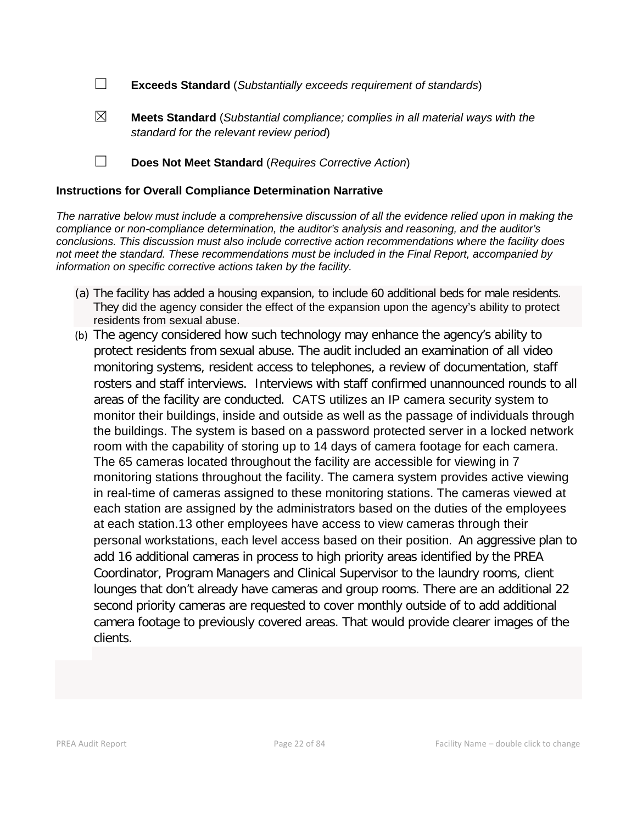☐ **Exceeds Standard** (*Substantially exceeds requirement of standards*)

☒ **Meets Standard** (*Substantial compliance; complies in all material ways with the standard for the relevant review period*)

☐ **Does Not Meet Standard** (*Requires Corrective Action*)

#### **Instructions for Overall Compliance Determination Narrative**

*The narrative below must include a comprehensive discussion of all the evidence relied upon in making the compliance or non-compliance determination, the auditor's analysis and reasoning, and the auditor's conclusions. This discussion must also include corrective action recommendations where the facility does not meet the standard. These recommendations must be included in the Final Report, accompanied by information on specific corrective actions taken by the facility.*

- (a) The facility has added a housing expansion, to include 60 additional beds for male residents. They did the agency consider the effect of the expansion upon the agency's ability to protect residents from sexual abuse.
- (b) The agency considered how such technology may enhance the agency's ability to protect residents from sexual abuse. The audit included an examination of all video monitoring systems, resident access to telephones, a review of documentation, staff rosters and staff interviews. Interviews with staff confirmed unannounced rounds to all areas of the facility are conducted. CATS utilizes an IP camera security system to monitor their buildings, inside and outside as well as the passage of individuals through the buildings. The system is based on a password protected server in a locked network room with the capability of storing up to 14 days of camera footage for each camera. The 65 cameras located throughout the facility are accessible for viewing in 7 monitoring stations throughout the facility. The camera system provides active viewing in real-time of cameras assigned to these monitoring stations. The cameras viewed at each station are assigned by the administrators based on the duties of the employees at each station.13 other employees have access to view cameras through their personal workstations, each level access based on their position. An aggressive plan to add 16 additional cameras in process to high priority areas identified by the PREA Coordinator, Program Managers and Clinical Supervisor to the laundry rooms, client lounges that don't already have cameras and group rooms. There are an additional 22 second priority cameras are requested to cover monthly outside of to add additional camera footage to previously covered areas. That would provide clearer images of the clients.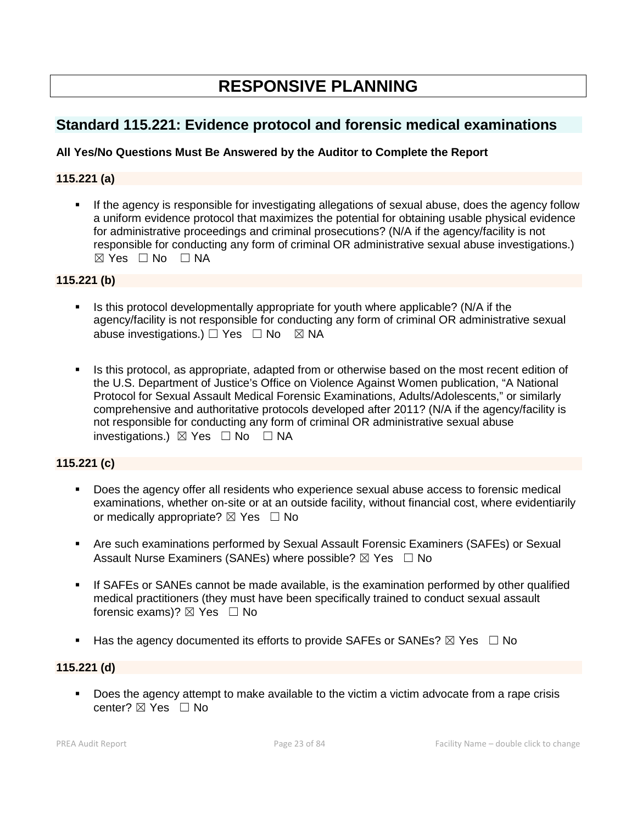# **RESPONSIVE PLANNING**

# **Standard 115.221: Evidence protocol and forensic medical examinations**

### **All Yes/No Questions Must Be Answered by the Auditor to Complete the Report**

#### **115.221 (a)**

 If the agency is responsible for investigating allegations of sexual abuse, does the agency follow a uniform evidence protocol that maximizes the potential for obtaining usable physical evidence for administrative proceedings and criminal prosecutions? (N/A if the agency/facility is not responsible for conducting any form of criminal OR administrative sexual abuse investigations.)  $\boxtimes$  Yes  $\Box$  No  $\Box$  NA

#### **115.221 (b)**

- Is this protocol developmentally appropriate for youth where applicable? (N/A if the agency/facility is not responsible for conducting any form of criminal OR administrative sexual abuse investigations.)  $\Box$  Yes  $\Box$  No  $\boxtimes$  NA
- Is this protocol, as appropriate, adapted from or otherwise based on the most recent edition of the U.S. Department of Justice's Office on Violence Against Women publication, "A National Protocol for Sexual Assault Medical Forensic Examinations, Adults/Adolescents," or similarly comprehensive and authoritative protocols developed after 2011? (N/A if the agency/facility is not responsible for conducting any form of criminal OR administrative sexual abuse investigations.) ☒ Yes ☐ No ☐ NA

#### **115.221 (c)**

- Does the agency offer all residents who experience sexual abuse access to forensic medical examinations, whether on-site or at an outside facility, without financial cost, where evidentiarily or medically appropriate?  $\boxtimes$  Yes  $\Box$  No
- Are such examinations performed by Sexual Assault Forensic Examiners (SAFEs) or Sexual Assault Nurse Examiners (SANEs) where possible?  $\boxtimes$  Yes  $\Box$  No
- If SAFEs or SANEs cannot be made available, is the examination performed by other qualified medical practitioners (they must have been specifically trained to conduct sexual assault forensic exams)?  $\boxtimes$  Yes  $\Box$  No
- Has the agency documented its efforts to provide SAFEs or SANEs?  $\boxtimes$  Yes  $\Box$  No

#### **115.221 (d)**

 Does the agency attempt to make available to the victim a victim advocate from a rape crisis center? ☒ Yes ☐ No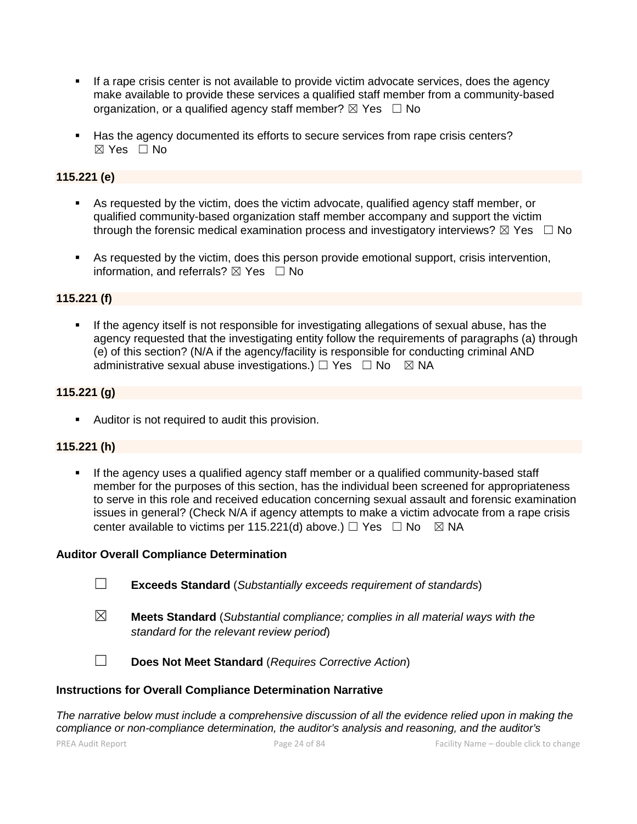- If a rape crisis center is not available to provide victim advocate services, does the agency make available to provide these services a qualified staff member from a community-based organization, or a qualified agency staff member?  $\boxtimes$  Yes  $\Box$  No
- Has the agency documented its efforts to secure services from rape crisis centers?  $\boxtimes$  Yes  $\Box$  No

#### **115.221 (e)**

- As requested by the victim, does the victim advocate, qualified agency staff member, or qualified community-based organization staff member accompany and support the victim through the forensic medical examination process and investigatory interviews?  $\boxtimes$  Yes  $\Box$  No
- As requested by the victim, does this person provide emotional support, crisis intervention, information, and referrals?  $\boxtimes$  Yes  $\Box$  No

#### **115.221 (f)**

 If the agency itself is not responsible for investigating allegations of sexual abuse, has the agency requested that the investigating entity follow the requirements of paragraphs (a) through (e) of this section? (N/A if the agency/facility is responsible for conducting criminal AND administrative sexual abuse investigations.)  $\Box$  Yes  $\Box$  No  $\boxtimes$  NA

#### **115.221 (g)**

Auditor is not required to audit this provision.

#### **115.221 (h)**

 If the agency uses a qualified agency staff member or a qualified community-based staff member for the purposes of this section, has the individual been screened for appropriateness to serve in this role and received education concerning sexual assault and forensic examination issues in general? (Check N/A if agency attempts to make a victim advocate from a rape crisis center available to victims per 115.221(d) above.)  $\Box$  Yes  $\Box$  No  $\boxtimes$  NA

#### **Auditor Overall Compliance Determination**

- ☐ **Exceeds Standard** (*Substantially exceeds requirement of standards*)
- ☒ **Meets Standard** (*Substantial compliance; complies in all material ways with the standard for the relevant review period*)

☐ **Does Not Meet Standard** (*Requires Corrective Action*)

#### **Instructions for Overall Compliance Determination Narrative**

*The narrative below must include a comprehensive discussion of all the evidence relied upon in making the compliance or non-compliance determination, the auditor's analysis and reasoning, and the auditor's*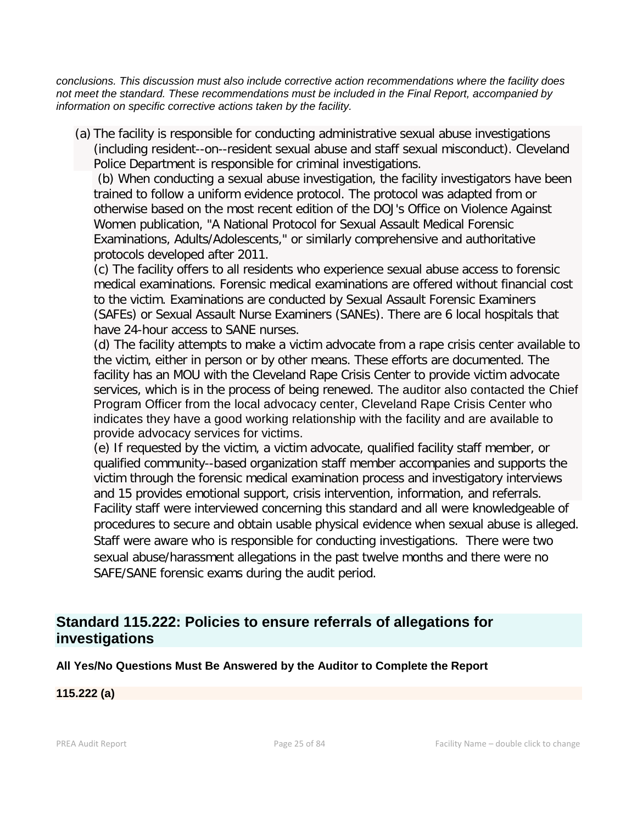*conclusions. This discussion must also include corrective action recommendations where the facility does not meet the standard. These recommendations must be included in the Final Report, accompanied by information on specific corrective actions taken by the facility.*

(a) The facility is responsible for conducting administrative sexual abuse investigations (including resident--on--resident sexual abuse and staff sexual misconduct). Cleveland Police Department is responsible for criminal investigations.

(b) When conducting a sexual abuse investigation, the facility investigators have been trained to follow a uniform evidence protocol. The protocol was adapted from or otherwise based on the most recent edition of the DOJ's Office on Violence Against Women publication, "A National Protocol for Sexual Assault Medical Forensic Examinations, Adults/Adolescents," or similarly comprehensive and authoritative protocols developed after 2011.

(c) The facility offers to all residents who experience sexual abuse access to forensic medical examinations. Forensic medical examinations are offered without financial cost to the victim. Examinations are conducted by Sexual Assault Forensic Examiners (SAFEs) or Sexual Assault Nurse Examiners (SANEs). There are 6 local hospitals that have 24-hour access to SANE nurses.

(d) The facility attempts to make a victim advocate from a rape crisis center available to the victim, either in person or by other means. These efforts are documented. The facility has an MOU with the Cleveland Rape Crisis Center to provide victim advocate services, which is in the process of being renewed. The auditor also contacted the Chief Program Officer from the local advocacy center, Cleveland Rape Crisis Center who indicates they have a good working relationship with the facility and are available to provide advocacy services for victims.

(e) If requested by the victim, a victim advocate, qualified facility staff member, or qualified community--based organization staff member accompanies and supports the victim through the forensic medical examination process and investigatory interviews and 15 provides emotional support, crisis intervention, information, and referrals. Facility staff were interviewed concerning this standard and all were knowledgeable of procedures to secure and obtain usable physical evidence when sexual abuse is alleged. Staff were aware who is responsible for conducting investigations. There were two sexual abuse/harassment allegations in the past twelve months and there were no SAFE/SANE forensic exams during the audit period.

# **Standard 115.222: Policies to ensure referrals of allegations for investigations**

# **All Yes/No Questions Must Be Answered by the Auditor to Complete the Report**

# **115.222 (a)**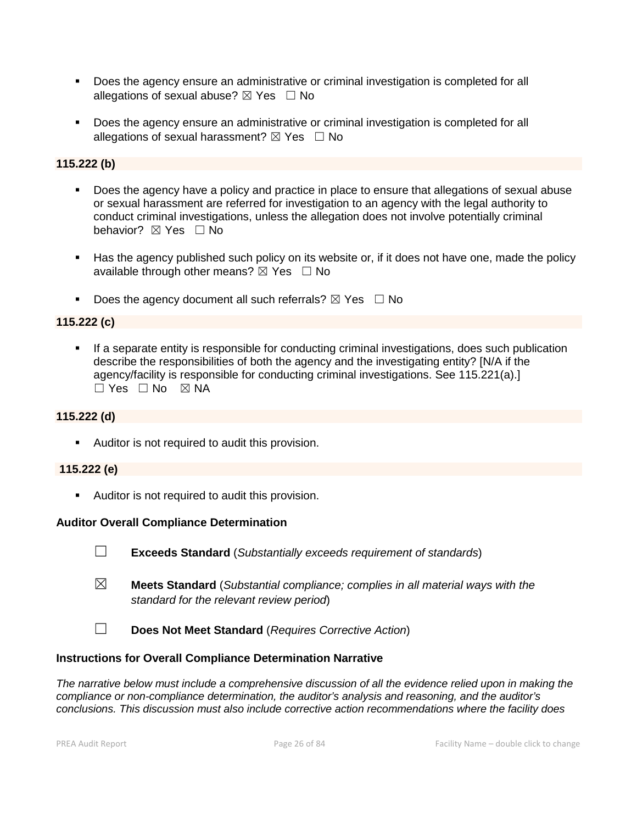- Does the agency ensure an administrative or criminal investigation is completed for all allegations of sexual abuse?  $\boxtimes$  Yes  $\Box$  No
- Does the agency ensure an administrative or criminal investigation is completed for all allegations of sexual harassment?  $\boxtimes$  Yes  $\Box$  No

### **115.222 (b)**

- Does the agency have a policy and practice in place to ensure that allegations of sexual abuse or sexual harassment are referred for investigation to an agency with the legal authority to conduct criminal investigations, unless the allegation does not involve potentially criminal behavior? **⊠** Yes □ No
- Has the agency published such policy on its website or, if it does not have one, made the policy available through other means?  $\boxtimes$  Yes  $\Box$  No
- Does the agency document all such referrals?  $\boxtimes$  Yes  $\Box$  No

#### **115.222 (c)**

 If a separate entity is responsible for conducting criminal investigations, does such publication describe the responsibilities of both the agency and the investigating entity? [N/A if the agency/facility is responsible for conducting criminal investigations. See 115.221(a).]  $\Box$  Yes  $\Box$  No  $\boxtimes$  NA

#### **115.222 (d)**

Auditor is not required to audit this provision.

#### **115.222 (e)**

Auditor is not required to audit this provision.

#### **Auditor Overall Compliance Determination**

- ☐ **Exceeds Standard** (*Substantially exceeds requirement of standards*)
- ☒ **Meets Standard** (*Substantial compliance; complies in all material ways with the standard for the relevant review period*)
- ☐ **Does Not Meet Standard** (*Requires Corrective Action*)

#### **Instructions for Overall Compliance Determination Narrative**

*The narrative below must include a comprehensive discussion of all the evidence relied upon in making the compliance or non-compliance determination, the auditor's analysis and reasoning, and the auditor's conclusions. This discussion must also include corrective action recommendations where the facility does*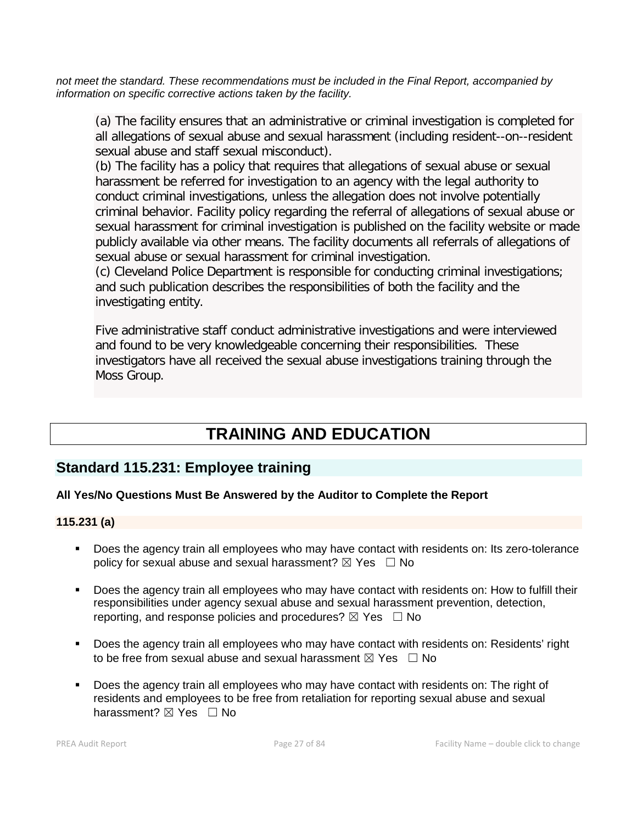*not meet the standard. These recommendations must be included in the Final Report, accompanied by information on specific corrective actions taken by the facility.*

(a) The facility ensures that an administrative or criminal investigation is completed for all allegations of sexual abuse and sexual harassment (including resident--on--resident sexual abuse and staff sexual misconduct).

(b) The facility has a policy that requires that allegations of sexual abuse or sexual harassment be referred for investigation to an agency with the legal authority to conduct criminal investigations, unless the allegation does not involve potentially criminal behavior. Facility policy regarding the referral of allegations of sexual abuse or sexual harassment for criminal investigation is published on the facility website or made publicly available via other means. The facility documents all referrals of allegations of sexual abuse or sexual harassment for criminal investigation.

(c) Cleveland Police Department is responsible for conducting criminal investigations; and such publication describes the responsibilities of both the facility and the investigating entity.

Five administrative staff conduct administrative investigations and were interviewed and found to be very knowledgeable concerning their responsibilities. These investigators have all received the sexual abuse investigations training through the Moss Group.

# **TRAINING AND EDUCATION**

# **Standard 115.231: Employee training**

# **All Yes/No Questions Must Be Answered by the Auditor to Complete the Report**

#### **115.231 (a)**

- Does the agency train all employees who may have contact with residents on: Its zero-tolerance policy for sexual abuse and sexual harassment?  $\boxtimes$  Yes  $\Box$  No
- Does the agency train all employees who may have contact with residents on: How to fulfill their responsibilities under agency sexual abuse and sexual harassment prevention, detection, reporting, and response policies and procedures?  $\boxtimes$  Yes  $\Box$  No
- Does the agency train all employees who may have contact with residents on: Residents' right to be free from sexual abuse and sexual harassment  $\boxtimes$  Yes  $\Box$  No
- Does the agency train all employees who may have contact with residents on: The right of residents and employees to be free from retaliation for reporting sexual abuse and sexual harassment?  $\boxtimes$  Yes  $\Box$  No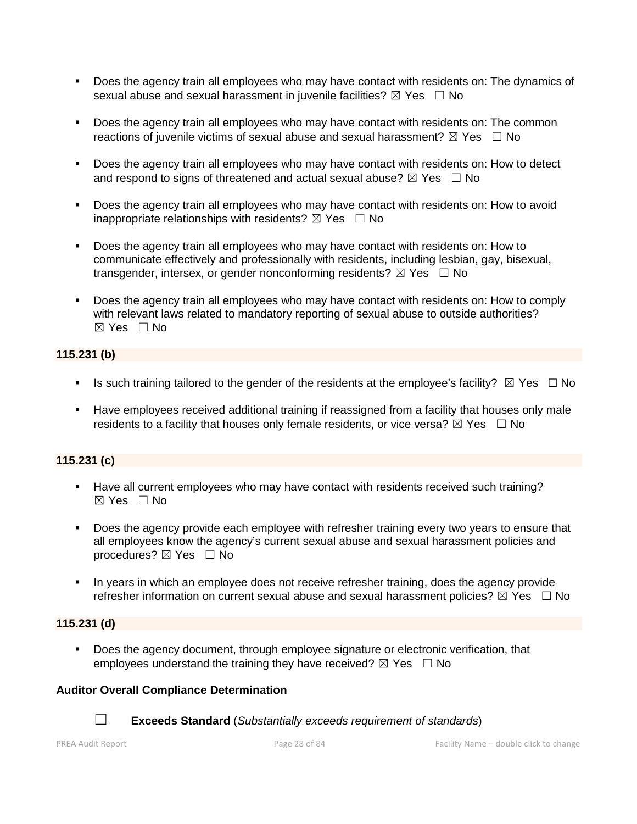- Does the agency train all employees who may have contact with residents on: The dynamics of sexual abuse and sexual harassment in juvenile facilities?  $\boxtimes$  Yes  $\Box$  No
- Does the agency train all employees who may have contact with residents on: The common reactions of juvenile victims of sexual abuse and sexual harassment?  $\boxtimes$  Yes  $\Box$  No
- Does the agency train all employees who may have contact with residents on: How to detect and respond to signs of threatened and actual sexual abuse?  $\boxtimes$  Yes  $\Box$  No
- **Does the agency train all employees who may have contact with residents on: How to avoid** inappropriate relationships with residents?  $\boxtimes$  Yes  $\Box$  No
- Does the agency train all employees who may have contact with residents on: How to communicate effectively and professionally with residents, including lesbian, gay, bisexual, transgender, intersex, or gender nonconforming residents?  $\boxtimes$  Yes  $\Box$  No
- Does the agency train all employees who may have contact with residents on: How to comply with relevant laws related to mandatory reporting of sexual abuse to outside authorities?  $\boxtimes$  Yes  $\Box$  No

### **115.231 (b)**

- Is such training tailored to the gender of the residents at the employee's facility?  $\boxtimes$  Yes  $\Box$  No
- Have employees received additional training if reassigned from a facility that houses only male residents to a facility that houses only female residents, or vice versa?  $\boxtimes$  Yes  $\Box$  No

# **115.231 (c)**

- Have all current employees who may have contact with residents received such training?  $\boxtimes$  Yes  $\Box$  No
- Does the agency provide each employee with refresher training every two years to ensure that all employees know the agency's current sexual abuse and sexual harassment policies and procedures? ⊠ Yes □ No
- In years in which an employee does not receive refresher training, does the agency provide refresher information on current sexual abuse and sexual harassment policies?  $\boxtimes$  Yes  $\Box$  No

#### **115.231 (d)**

 Does the agency document, through employee signature or electronic verification, that employees understand the training they have received?  $\boxtimes$  Yes  $\Box$  No

#### **Auditor Overall Compliance Determination**



☐ **Exceeds Standard** (*Substantially exceeds requirement of standards*)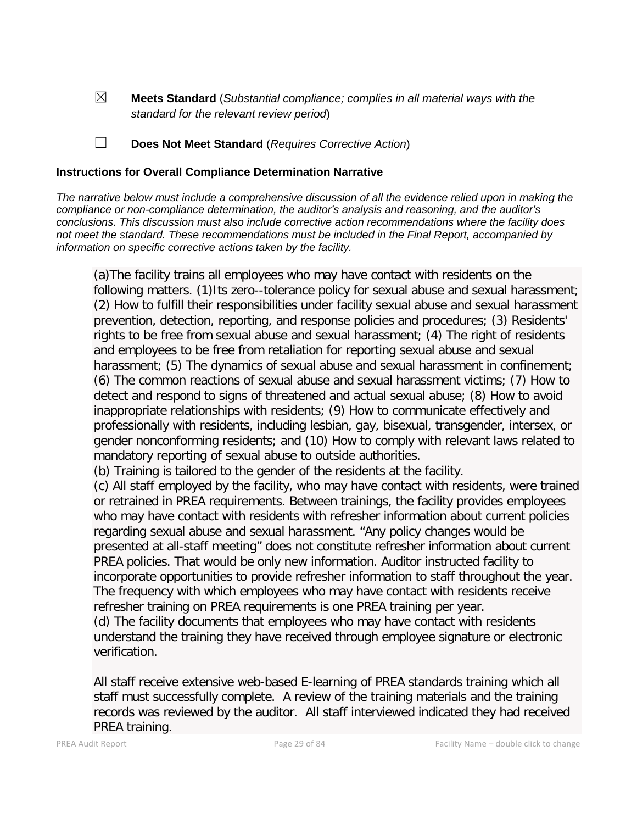☒ **Meets Standard** (*Substantial compliance; complies in all material ways with the standard for the relevant review period*)

☐ **Does Not Meet Standard** (*Requires Corrective Action*)

#### **Instructions for Overall Compliance Determination Narrative**

*The narrative below must include a comprehensive discussion of all the evidence relied upon in making the compliance or non-compliance determination, the auditor's analysis and reasoning, and the auditor's conclusions. This discussion must also include corrective action recommendations where the facility does not meet the standard. These recommendations must be included in the Final Report, accompanied by information on specific corrective actions taken by the facility.*

(a)The facility trains all employees who may have contact with residents on the following matters. (1)Its zero--tolerance policy for sexual abuse and sexual harassment; (2) How to fulfill their responsibilities under facility sexual abuse and sexual harassment prevention, detection, reporting, and response policies and procedures; (3) Residents' rights to be free from sexual abuse and sexual harassment; (4) The right of residents and employees to be free from retaliation for reporting sexual abuse and sexual harassment; (5) The dynamics of sexual abuse and sexual harassment in confinement; (6) The common reactions of sexual abuse and sexual harassment victims; (7) How to detect and respond to signs of threatened and actual sexual abuse; (8) How to avoid inappropriate relationships with residents; (9) How to communicate effectively and professionally with residents, including lesbian, gay, bisexual, transgender, intersex, or gender nonconforming residents; and (10) How to comply with relevant laws related to mandatory reporting of sexual abuse to outside authorities.

(b) Training is tailored to the gender of the residents at the facility.

(c) All staff employed by the facility, who may have contact with residents, were trained or retrained in PREA requirements. Between trainings, the facility provides employees who may have contact with residents with refresher information about current policies regarding sexual abuse and sexual harassment. "Any policy changes would be presented at all-staff meeting" does not constitute refresher information about current PREA policies. That would be only new information. Auditor instructed facility to incorporate opportunities to provide refresher information to staff throughout the year. The frequency with which employees who may have contact with residents receive refresher training on PREA requirements is one PREA training per year. (d) The facility documents that employees who may have contact with residents understand the training they have received through employee signature or electronic verification.

All staff receive extensive web-based E-learning of PREA standards training which all staff must successfully complete. A review of the training materials and the training records was reviewed by the auditor. All staff interviewed indicated they had received PREA training.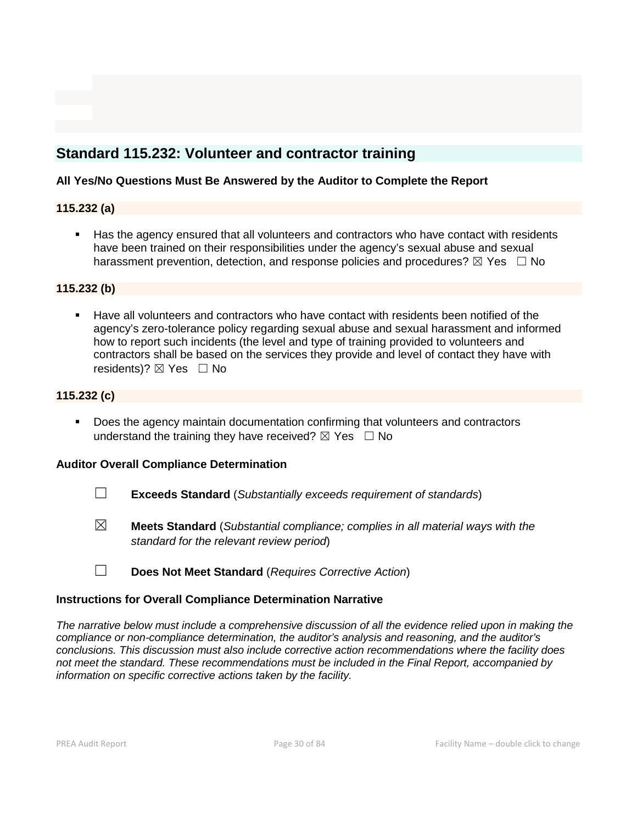# **Standard 115.232: Volunteer and contractor training**

#### **All Yes/No Questions Must Be Answered by the Auditor to Complete the Report**

### **115.232 (a)**

 Has the agency ensured that all volunteers and contractors who have contact with residents have been trained on their responsibilities under the agency's sexual abuse and sexual harassment prevention, detection, and response policies and procedures?  $\boxtimes$  Yes  $\Box$  No

### **115.232 (b)**

 Have all volunteers and contractors who have contact with residents been notified of the agency's zero-tolerance policy regarding sexual abuse and sexual harassment and informed how to report such incidents (the level and type of training provided to volunteers and contractors shall be based on the services they provide and level of contact they have with residents)?  $\boxtimes$  Yes  $\Box$  No

### **115.232 (c)**

 Does the agency maintain documentation confirming that volunteers and contractors understand the training they have received?  $\boxtimes$  Yes  $\Box$  No

#### **Auditor Overall Compliance Determination**

- ☐ **Exceeds Standard** (*Substantially exceeds requirement of standards*)
- ☒ **Meets Standard** (*Substantial compliance; complies in all material ways with the standard for the relevant review period*)
- ☐ **Does Not Meet Standard** (*Requires Corrective Action*)

#### **Instructions for Overall Compliance Determination Narrative**

*The narrative below must include a comprehensive discussion of all the evidence relied upon in making the compliance or non-compliance determination, the auditor's analysis and reasoning, and the auditor's conclusions. This discussion must also include corrective action recommendations where the facility does not meet the standard. These recommendations must be included in the Final Report, accompanied by information on specific corrective actions taken by the facility.*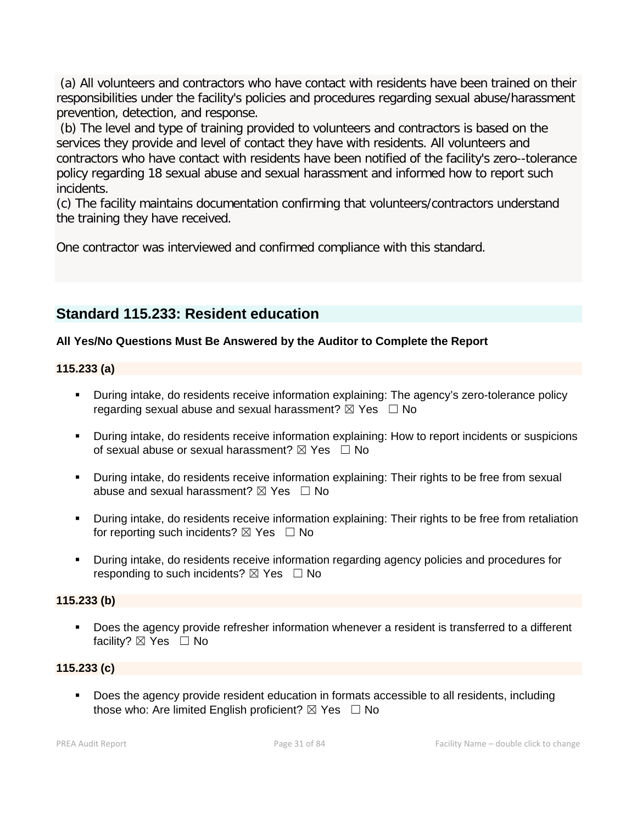(a) All volunteers and contractors who have contact with residents have been trained on their responsibilities under the facility's policies and procedures regarding sexual abuse/harassment prevention, detection, and response.

(b) The level and type of training provided to volunteers and contractors is based on the services they provide and level of contact they have with residents. All volunteers and contractors who have contact with residents have been notified of the facility's zero--tolerance policy regarding 18 sexual abuse and sexual harassment and informed how to report such incidents.

(c) The facility maintains documentation confirming that volunteers/contractors understand the training they have received.

One contractor was interviewed and confirmed compliance with this standard.

# **Standard 115.233: Resident education**

# **All Yes/No Questions Must Be Answered by the Auditor to Complete the Report**

# **115.233 (a)**

- During intake, do residents receive information explaining: The agency's zero-tolerance policy regarding sexual abuse and sexual harassment?  $\boxtimes$  Yes  $\Box$  No
- During intake, do residents receive information explaining: How to report incidents or suspicions of sexual abuse or sexual harassment?  $\boxtimes$  Yes  $\Box$  No
- During intake, do residents receive information explaining: Their rights to be free from sexual abuse and sexual harassment?  $\boxtimes$  Yes  $\Box$  No
- During intake, do residents receive information explaining: Their rights to be free from retaliation for reporting such incidents?  $\boxtimes$  Yes  $\Box$  No
- During intake, do residents receive information regarding agency policies and procedures for responding to such incidents?  $\boxtimes$  Yes  $\Box$  No

# **115.233 (b)**

 Does the agency provide refresher information whenever a resident is transferred to a different facility? ⊠ Yes □ No

# **115.233 (c)**

 Does the agency provide resident education in formats accessible to all residents, including those who: Are limited English proficient?  $\boxtimes$  Yes  $\Box$  No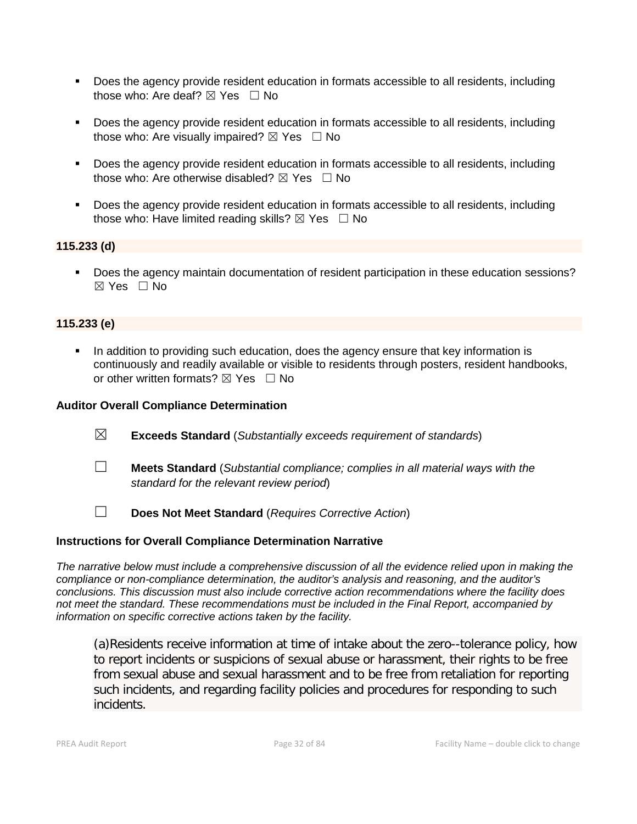- Does the agency provide resident education in formats accessible to all residents, including those who: Are deaf?  $\boxtimes$  Yes  $\Box$  No
- Does the agency provide resident education in formats accessible to all residents, including those who: Are visually impaired?  $\boxtimes$  Yes  $\Box$  No
- Does the agency provide resident education in formats accessible to all residents, including those who: Are otherwise disabled?  $\boxtimes$  Yes  $\Box$  No
- Does the agency provide resident education in formats accessible to all residents, including those who: Have limited reading skills?  $\boxtimes$  Yes  $\Box$  No

### **115.233 (d)**

 Does the agency maintain documentation of resident participation in these education sessions? ☒ Yes ☐ No

### **115.233 (e)**

 In addition to providing such education, does the agency ensure that key information is continuously and readily available or visible to residents through posters, resident handbooks, or other written formats?  $\boxtimes$  Yes  $\Box$  No

#### **Auditor Overall Compliance Determination**

- ☒ **Exceeds Standard** (*Substantially exceeds requirement of standards*)
- ☐ **Meets Standard** (*Substantial compliance; complies in all material ways with the standard for the relevant review period*)
- ☐ **Does Not Meet Standard** (*Requires Corrective Action*)

#### **Instructions for Overall Compliance Determination Narrative**

*The narrative below must include a comprehensive discussion of all the evidence relied upon in making the compliance or non-compliance determination, the auditor's analysis and reasoning, and the auditor's conclusions. This discussion must also include corrective action recommendations where the facility does not meet the standard. These recommendations must be included in the Final Report, accompanied by information on specific corrective actions taken by the facility.*

(a)Residents receive information at time of intake about the zero--tolerance policy, how to report incidents or suspicions of sexual abuse or harassment, their rights to be free from sexual abuse and sexual harassment and to be free from retaliation for reporting such incidents, and regarding facility policies and procedures for responding to such incidents.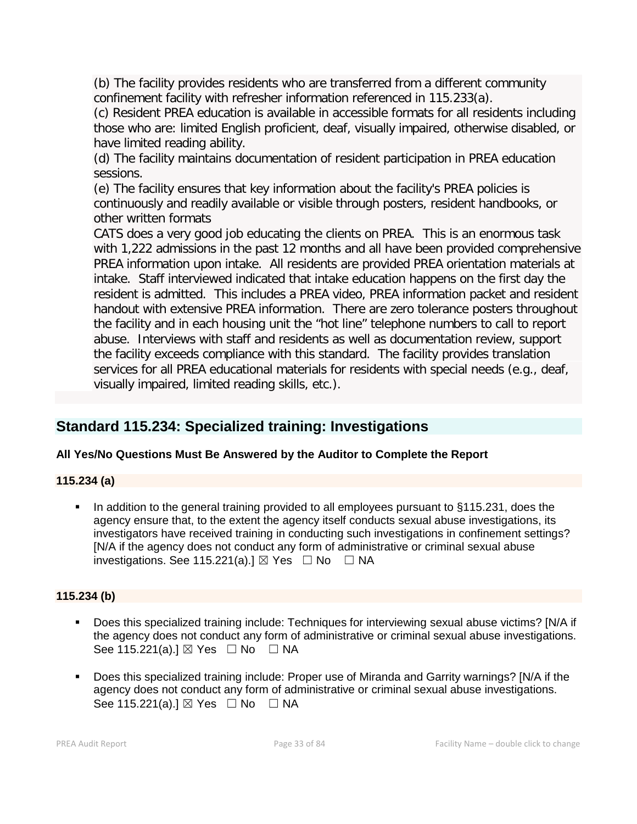(b) The facility provides residents who are transferred from a different community confinement facility with refresher information referenced in 115.233(a).

(c) Resident PREA education is available in accessible formats for all residents including those who are: limited English proficient, deaf, visually impaired, otherwise disabled, or have limited reading ability.

(d) The facility maintains documentation of resident participation in PREA education sessions.

(e) The facility ensures that key information about the facility's PREA policies is continuously and readily available or visible through posters, resident handbooks, or other written formats

CATS does a very good job educating the clients on PREA. This is an enormous task with 1,222 admissions in the past 12 months and all have been provided comprehensive PREA information upon intake. All residents are provided PREA orientation materials at intake. Staff interviewed indicated that intake education happens on the first day the resident is admitted. This includes a PREA video, PREA information packet and resident handout with extensive PREA information. There are zero tolerance posters throughout the facility and in each housing unit the "hot line" telephone numbers to call to report abuse. Interviews with staff and residents as well as documentation review, support the facility exceeds compliance with this standard. The facility provides translation services for all PREA educational materials for residents with special needs (e.g., deaf, visually impaired, limited reading skills, etc.).

# **Standard 115.234: Specialized training: Investigations**

# **All Yes/No Questions Must Be Answered by the Auditor to Complete the Report**

# **115.234 (a)**

In addition to the general training provided to all employees pursuant to §115.231, does the agency ensure that, to the extent the agency itself conducts sexual abuse investigations, its investigators have received training in conducting such investigations in confinement settings? [N/A if the agency does not conduct any form of administrative or criminal sexual abuse investigations. See 115.221(a).]  $\boxtimes$  Yes  $\Box$  No  $\Box$  NA

# **115.234 (b)**

- Does this specialized training include: Techniques for interviewing sexual abuse victims? [N/A if the agency does not conduct any form of administrative or criminal sexual abuse investigations. See 115.221(a).]  $\boxtimes$  Yes  $\Box$  No  $\Box$  NA
- Does this specialized training include: Proper use of Miranda and Garrity warnings? [N/A if the agency does not conduct any form of administrative or criminal sexual abuse investigations. See 115.221(a).]  $\boxtimes$  Yes  $\Box$  No  $\Box$  NA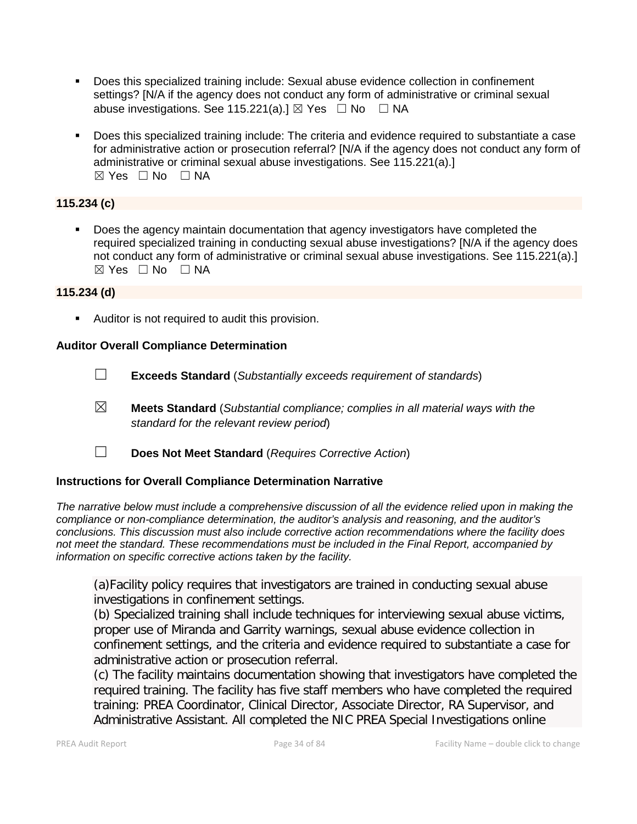- Does this specialized training include: Sexual abuse evidence collection in confinement settings? [N/A if the agency does not conduct any form of administrative or criminal sexual abuse investigations. See 115.221(a).]  $\boxtimes$  Yes  $\Box$  No  $\Box$  NA
- Does this specialized training include: The criteria and evidence required to substantiate a case for administrative action or prosecution referral? [N/A if the agency does not conduct any form of administrative or criminal sexual abuse investigations. See 115.221(a).]  $⊠ Yes □ No □ NA$

### **115.234 (c)**

 Does the agency maintain documentation that agency investigators have completed the required specialized training in conducting sexual abuse investigations? [N/A if the agency does not conduct any form of administrative or criminal sexual abuse investigations. See 115.221(a).]  $⊠ Yes □ No □ NA$ 

#### **115.234 (d)**

Auditor is not required to audit this provision.

#### **Auditor Overall Compliance Determination**

- ☐ **Exceeds Standard** (*Substantially exceeds requirement of standards*)
- ☒ **Meets Standard** (*Substantial compliance; complies in all material ways with the standard for the relevant review period*)
- ☐ **Does Not Meet Standard** (*Requires Corrective Action*)

#### **Instructions for Overall Compliance Determination Narrative**

*The narrative below must include a comprehensive discussion of all the evidence relied upon in making the compliance or non-compliance determination, the auditor's analysis and reasoning, and the auditor's conclusions. This discussion must also include corrective action recommendations where the facility does not meet the standard. These recommendations must be included in the Final Report, accompanied by information on specific corrective actions taken by the facility.*

(a)Facility policy requires that investigators are trained in conducting sexual abuse investigations in confinement settings.

(b) Specialized training shall include techniques for interviewing sexual abuse victims, proper use of Miranda and Garrity warnings, sexual abuse evidence collection in confinement settings, and the criteria and evidence required to substantiate a case for administrative action or prosecution referral.

(c) The facility maintains documentation showing that investigators have completed the required training. The facility has five staff members who have completed the required training: PREA Coordinator, Clinical Director, Associate Director, RA Supervisor, and Administrative Assistant. All completed the NIC PREA Special Investigations online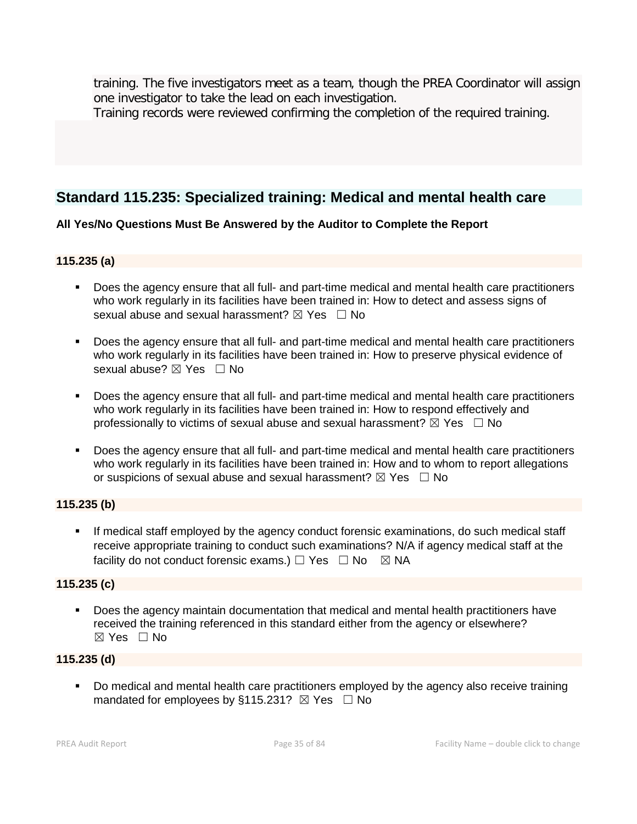training. The five investigators meet as a team, though the PREA Coordinator will assign one investigator to take the lead on each investigation.

Training records were reviewed confirming the completion of the required training.

# **Standard 115.235: Specialized training: Medical and mental health care**

# **All Yes/No Questions Must Be Answered by the Auditor to Complete the Report**

# **115.235 (a)**

- Does the agency ensure that all full- and part-time medical and mental health care practitioners who work regularly in its facilities have been trained in: How to detect and assess signs of sexual abuse and sexual harassment?  $\boxtimes$  Yes  $\Box$  No
- Does the agency ensure that all full- and part-time medical and mental health care practitioners who work regularly in its facilities have been trained in: How to preserve physical evidence of sexual abuse?  $\boxtimes$  Yes  $\Box$  No
- Does the agency ensure that all full- and part-time medical and mental health care practitioners who work regularly in its facilities have been trained in: How to respond effectively and professionally to victims of sexual abuse and sexual harassment?  $\boxtimes$  Yes  $\Box$  No
- Does the agency ensure that all full- and part-time medical and mental health care practitioners who work regularly in its facilities have been trained in: How and to whom to report allegations or suspicions of sexual abuse and sexual harassment?  $\boxtimes$  Yes  $\Box$  No

# **115.235 (b)**

 If medical staff employed by the agency conduct forensic examinations, do such medical staff receive appropriate training to conduct such examinations? N/A if agency medical staff at the facility do not conduct forensic exams.)  $\Box$  Yes  $\Box$  No  $\boxtimes$  NA

# **115.235 (c)**

 Does the agency maintain documentation that medical and mental health practitioners have received the training referenced in this standard either from the agency or elsewhere?  $\boxtimes$  Yes  $\Box$  No

# **115.235 (d)**

Do medical and mental health care practitioners employed by the agency also receive training mandated for employees by §115.231?  $\boxtimes$  Yes  $\Box$  No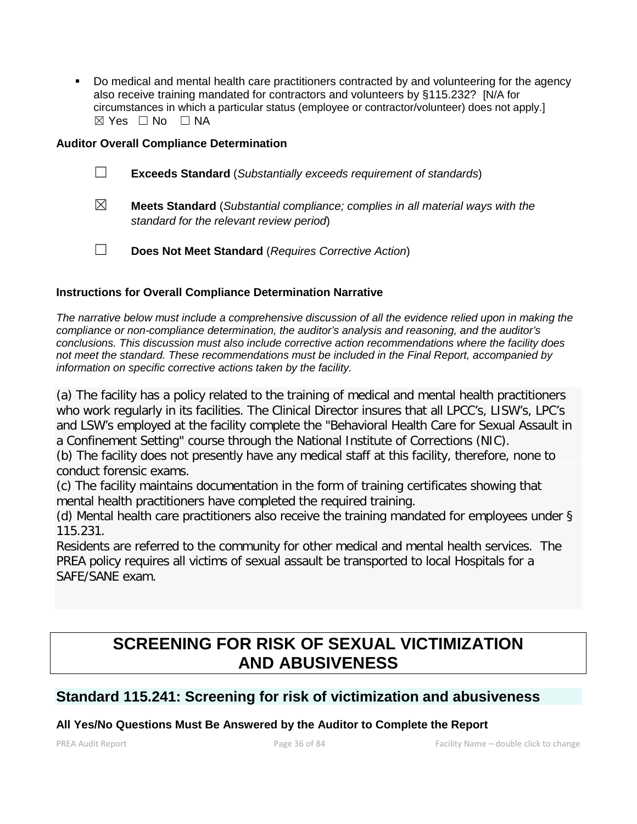Do medical and mental health care practitioners contracted by and volunteering for the agency also receive training mandated for contractors and volunteers by §115.232? [N/A for circumstances in which a particular status (employee or contractor/volunteer) does not apply.]  $\boxtimes$  Yes  $\Box$  No  $\Box$  NA

#### **Auditor Overall Compliance Determination**

- ☐ **Exceeds Standard** (*Substantially exceeds requirement of standards*)
- ☒ **Meets Standard** (*Substantial compliance; complies in all material ways with the standard for the relevant review period*)
- ☐ **Does Not Meet Standard** (*Requires Corrective Action*)

# **Instructions for Overall Compliance Determination Narrative**

*The narrative below must include a comprehensive discussion of all the evidence relied upon in making the compliance or non-compliance determination, the auditor's analysis and reasoning, and the auditor's conclusions. This discussion must also include corrective action recommendations where the facility does not meet the standard. These recommendations must be included in the Final Report, accompanied by information on specific corrective actions taken by the facility.*

(a) The facility has a policy related to the training of medical and mental health practitioners who work regularly in its facilities. The Clinical Director insures that all LPCC's, LISW's, LPC's and LSW's employed at the facility complete the "Behavioral Health Care for Sexual Assault in a Confinement Setting" course through the National Institute of Corrections (NIC).

(b) The facility does not presently have any medical staff at this facility, therefore, none to conduct forensic exams.

(c) The facility maintains documentation in the form of training certificates showing that mental health practitioners have completed the required training.

(d) Mental health care practitioners also receive the training mandated for employees under § 115.231.

Residents are referred to the community for other medical and mental health services. The PREA policy requires all victims of sexual assault be transported to local Hospitals for a SAFE/SANE exam.

# **SCREENING FOR RISK OF SEXUAL VICTIMIZATION AND ABUSIVENESS**

# **Standard 115.241: Screening for risk of victimization and abusiveness**

# **All Yes/No Questions Must Be Answered by the Auditor to Complete the Report**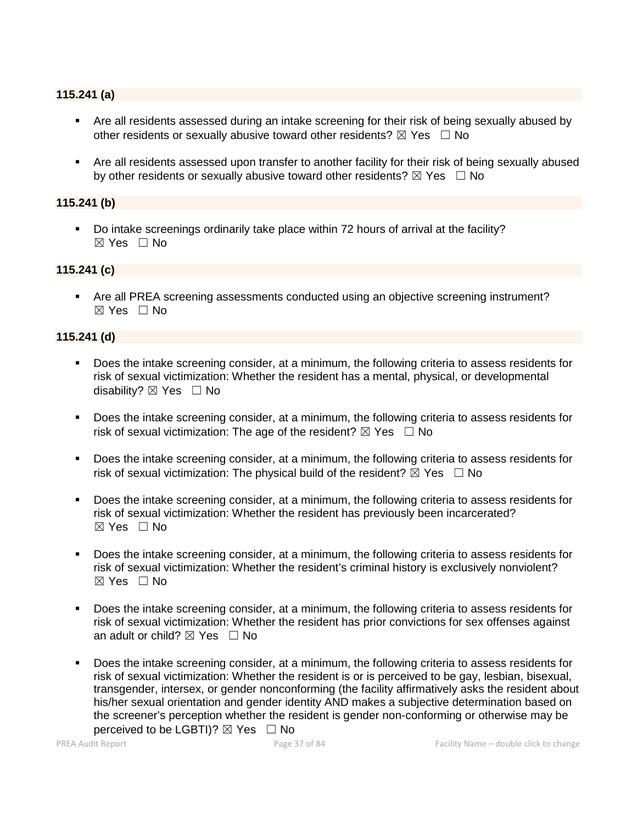#### **115.241 (a)**

- Are all residents assessed during an intake screening for their risk of being sexually abused by other residents or sexually abusive toward other residents?  $\boxtimes$  Yes  $\Box$  No
- Are all residents assessed upon transfer to another facility for their risk of being sexually abused by other residents or sexually abusive toward other residents?  $\boxtimes$  Yes  $\Box$  No

#### **115.241 (b)**

 Do intake screenings ordinarily take place within 72 hours of arrival at the facility?  $\boxtimes$  Yes  $\Box$  No

#### **115.241 (c)**

 Are all PREA screening assessments conducted using an objective screening instrument? ☒ Yes ☐ No

#### **115.241 (d)**

- Does the intake screening consider, at a minimum, the following criteria to assess residents for risk of sexual victimization: Whether the resident has a mental, physical, or developmental disability?  $\boxtimes$  Yes  $\Box$  No
- Does the intake screening consider, at a minimum, the following criteria to assess residents for risk of sexual victimization: The age of the resident?  $\boxtimes$  Yes  $\Box$  No
- Does the intake screening consider, at a minimum, the following criteria to assess residents for risk of sexual victimization: The physical build of the resident?  $\boxtimes$  Yes  $\Box$  No
- Does the intake screening consider, at a minimum, the following criteria to assess residents for risk of sexual victimization: Whether the resident has previously been incarcerated? ☒ Yes ☐ No
- Does the intake screening consider, at a minimum, the following criteria to assess residents for risk of sexual victimization: Whether the resident's criminal history is exclusively nonviolent?  $\boxtimes$  Yes  $\Box$  No
- Does the intake screening consider, at a minimum, the following criteria to assess residents for risk of sexual victimization: Whether the resident has prior convictions for sex offenses against an adult or child?  $\boxtimes$  Yes  $\Box$  No
- Does the intake screening consider, at a minimum, the following criteria to assess residents for risk of sexual victimization: Whether the resident is or is perceived to be gay, lesbian, bisexual, transgender, intersex, or gender nonconforming (the facility affirmatively asks the resident about his/her sexual orientation and gender identity AND makes a subjective determination based on the screener's perception whether the resident is gender non-conforming or otherwise may be perceived to be LGBTI)?  $\boxtimes$  Yes  $\Box$  No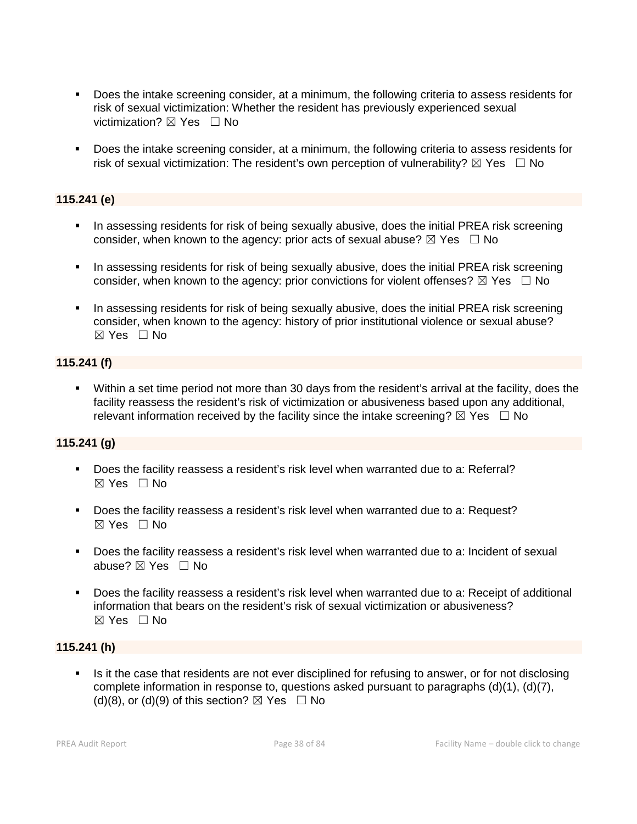- Does the intake screening consider, at a minimum, the following criteria to assess residents for risk of sexual victimization: Whether the resident has previously experienced sexual victimization?  $\boxtimes$  Yes  $\Box$  No
- Does the intake screening consider, at a minimum, the following criteria to assess residents for risk of sexual victimization: The resident's own perception of vulnerability?  $\boxtimes$  Yes  $\Box$  No

#### **115.241 (e)**

- In assessing residents for risk of being sexually abusive, does the initial PREA risk screening consider, when known to the agency: prior acts of sexual abuse?  $\boxtimes$  Yes  $\Box$  No
- In assessing residents for risk of being sexually abusive, does the initial PREA risk screening consider, when known to the agency: prior convictions for violent offenses?  $\boxtimes$  Yes  $\Box$  No
- In assessing residents for risk of being sexually abusive, does the initial PREA risk screening consider, when known to the agency: history of prior institutional violence or sexual abuse?  $\boxtimes$  Yes  $\Box$  No

#### **115.241 (f)**

 Within a set time period not more than 30 days from the resident's arrival at the facility, does the facility reassess the resident's risk of victimization or abusiveness based upon any additional, relevant information received by the facility since the intake screening?  $\boxtimes$  Yes  $\Box$  No

#### **115.241 (g)**

- Does the facility reassess a resident's risk level when warranted due to a: Referral?  $\boxtimes$  Yes  $\Box$  No
- Does the facility reassess a resident's risk level when warranted due to a: Request?  $\boxtimes$  Yes  $\Box$  No
- Does the facility reassess a resident's risk level when warranted due to a: Incident of sexual abuse? ⊠ Yes □ No
- Does the facility reassess a resident's risk level when warranted due to a: Receipt of additional information that bears on the resident's risk of sexual victimization or abusiveness?  $\boxtimes$  Yes  $\Box$  No

#### **115.241 (h)**

 Is it the case that residents are not ever disciplined for refusing to answer, or for not disclosing complete information in response to, questions asked pursuant to paragraphs (d)(1), (d)(7), (d)(8), or (d)(9) of this section?  $\boxtimes$  Yes  $\Box$  No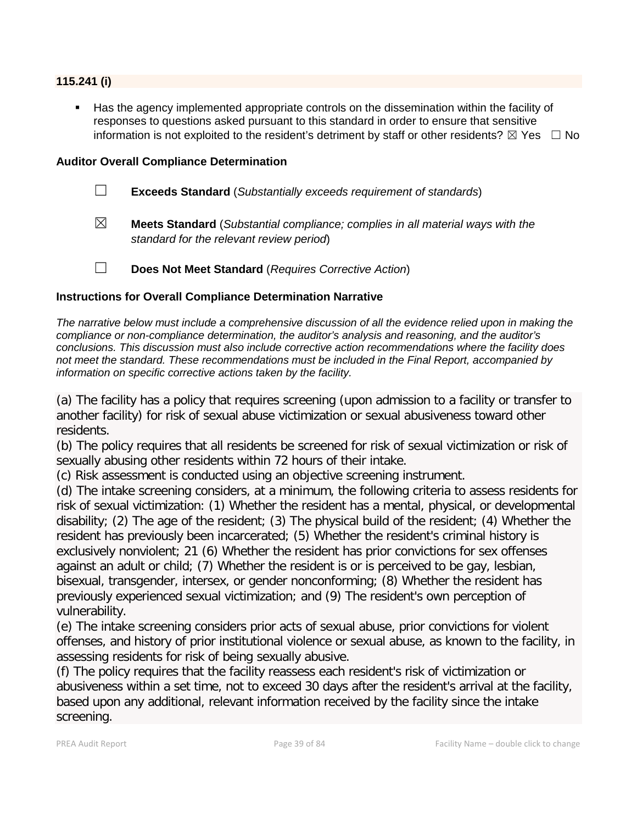#### **115.241 (i)**

 Has the agency implemented appropriate controls on the dissemination within the facility of responses to questions asked pursuant to this standard in order to ensure that sensitive information is not exploited to the resident's detriment by staff or other residents?  $\boxtimes$  Yes  $\Box$  No

#### **Auditor Overall Compliance Determination**

- ☐ **Exceeds Standard** (*Substantially exceeds requirement of standards*)
- ☒ **Meets Standard** (*Substantial compliance; complies in all material ways with the standard for the relevant review period*)
- ☐ **Does Not Meet Standard** (*Requires Corrective Action*)

#### **Instructions for Overall Compliance Determination Narrative**

*The narrative below must include a comprehensive discussion of all the evidence relied upon in making the compliance or non-compliance determination, the auditor's analysis and reasoning, and the auditor's conclusions. This discussion must also include corrective action recommendations where the facility does not meet the standard. These recommendations must be included in the Final Report, accompanied by information on specific corrective actions taken by the facility.*

(a) The facility has a policy that requires screening (upon admission to a facility or transfer to another facility) for risk of sexual abuse victimization or sexual abusiveness toward other residents.

(b) The policy requires that all residents be screened for risk of sexual victimization or risk of sexually abusing other residents within 72 hours of their intake.

(c) Risk assessment is conducted using an objective screening instrument.

(d) The intake screening considers, at a minimum, the following criteria to assess residents for risk of sexual victimization: (1) Whether the resident has a mental, physical, or developmental disability; (2) The age of the resident; (3) The physical build of the resident; (4) Whether the resident has previously been incarcerated; (5) Whether the resident's criminal history is exclusively nonviolent; 21 (6) Whether the resident has prior convictions for sex offenses against an adult or child; (7) Whether the resident is or is perceived to be gay, lesbian, bisexual, transgender, intersex, or gender nonconforming; (8) Whether the resident has previously experienced sexual victimization; and (9) The resident's own perception of vulnerability.

(e) The intake screening considers prior acts of sexual abuse, prior convictions for violent offenses, and history of prior institutional violence or sexual abuse, as known to the facility, in assessing residents for risk of being sexually abusive.

(f) The policy requires that the facility reassess each resident's risk of victimization or abusiveness within a set time, not to exceed 30 days after the resident's arrival at the facility, based upon any additional, relevant information received by the facility since the intake screening.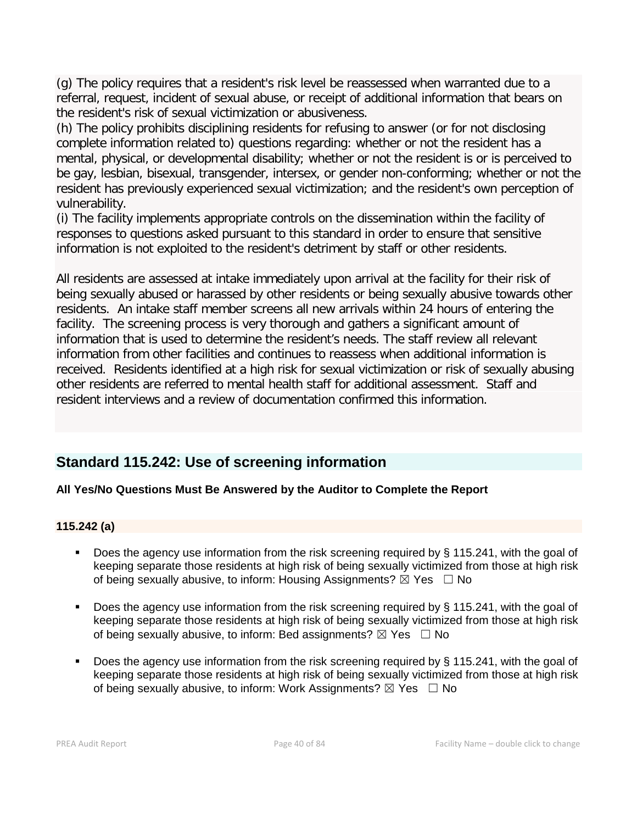(g) The policy requires that a resident's risk level be reassessed when warranted due to a referral, request, incident of sexual abuse, or receipt of additional information that bears on the resident's risk of sexual victimization or abusiveness.

(h) The policy prohibits disciplining residents for refusing to answer (or for not disclosing complete information related to) questions regarding: whether or not the resident has a mental, physical, or developmental disability; whether or not the resident is or is perceived to be gay, lesbian, bisexual, transgender, intersex, or gender non-conforming; whether or not the resident has previously experienced sexual victimization; and the resident's own perception of vulnerability.

(i) The facility implements appropriate controls on the dissemination within the facility of responses to questions asked pursuant to this standard in order to ensure that sensitive information is not exploited to the resident's detriment by staff or other residents.

All residents are assessed at intake immediately upon arrival at the facility for their risk of being sexually abused or harassed by other residents or being sexually abusive towards other residents. An intake staff member screens all new arrivals within 24 hours of entering the facility. The screening process is very thorough and gathers a significant amount of information that is used to determine the resident's needs. The staff review all relevant information from other facilities and continues to reassess when additional information is received. Residents identified at a high risk for sexual victimization or risk of sexually abusing other residents are referred to mental health staff for additional assessment. Staff and resident interviews and a review of documentation confirmed this information.

## **Standard 115.242: Use of screening information**

### **All Yes/No Questions Must Be Answered by the Auditor to Complete the Report**

#### **115.242 (a)**

- Does the agency use information from the risk screening required by § 115.241, with the goal of keeping separate those residents at high risk of being sexually victimized from those at high risk of being sexually abusive, to inform: Housing Assignments?  $\boxtimes$  Yes  $\Box$  No
- Does the agency use information from the risk screening required by § 115.241, with the goal of keeping separate those residents at high risk of being sexually victimized from those at high risk of being sexually abusive, to inform: Bed assignments?  $\boxtimes$  Yes  $\Box$  No
- Does the agency use information from the risk screening required by § 115.241, with the goal of keeping separate those residents at high risk of being sexually victimized from those at high risk of being sexually abusive, to inform: Work Assignments?  $\boxtimes$  Yes  $\Box$  No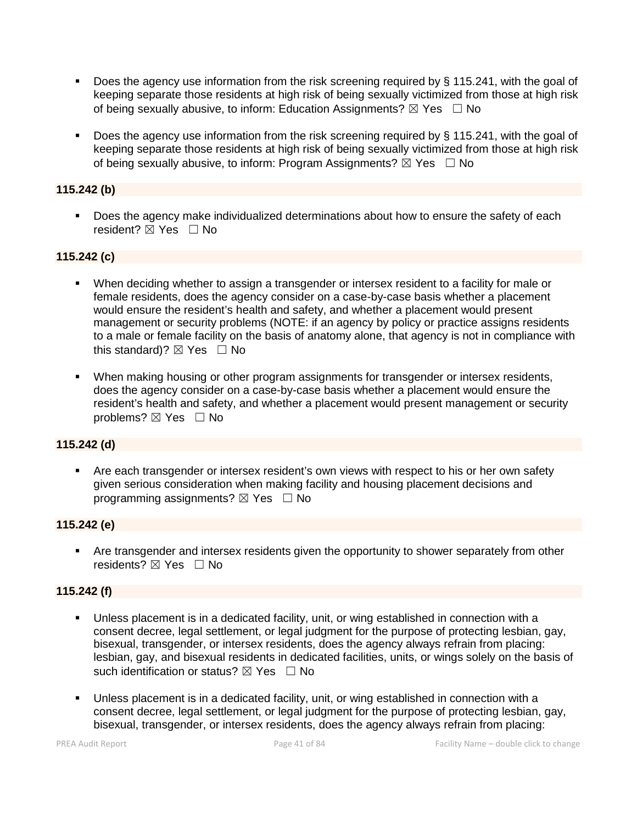- Does the agency use information from the risk screening required by § 115.241, with the goal of keeping separate those residents at high risk of being sexually victimized from those at high risk of being sexually abusive, to inform: Education Assignments?  $\boxtimes$  Yes  $\Box$  No
- Does the agency use information from the risk screening required by § 115.241, with the goal of keeping separate those residents at high risk of being sexually victimized from those at high risk of being sexually abusive, to inform: Program Assignments?  $\boxtimes$  Yes  $\Box$  No

#### **115.242 (b)**

**Does the agency make individualized determinations about how to ensure the safety of each** resident? ⊠ Yes □ No

#### **115.242 (c)**

- When deciding whether to assign a transgender or intersex resident to a facility for male or female residents, does the agency consider on a case-by-case basis whether a placement would ensure the resident's health and safety, and whether a placement would present management or security problems (NOTE: if an agency by policy or practice assigns residents to a male or female facility on the basis of anatomy alone, that agency is not in compliance with this standard)?  $\boxtimes$  Yes  $\Box$  No
- When making housing or other program assignments for transgender or intersex residents, does the agency consider on a case-by-case basis whether a placement would ensure the resident's health and safety, and whether a placement would present management or security problems? ⊠ Yes □ No

#### **115.242 (d)**

 Are each transgender or intersex resident's own views with respect to his or her own safety given serious consideration when making facility and housing placement decisions and programming assignments?  $\boxtimes$  Yes  $\Box$  No

#### **115.242 (e)**

 Are transgender and intersex residents given the opportunity to shower separately from other residents?  $\boxtimes$  Yes  $\Box$  No

#### **115.242 (f)**

- Unless placement is in a dedicated facility, unit, or wing established in connection with a consent decree, legal settlement, or legal judgment for the purpose of protecting lesbian, gay, bisexual, transgender, or intersex residents, does the agency always refrain from placing: lesbian, gay, and bisexual residents in dedicated facilities, units, or wings solely on the basis of such identification or status?  $\boxtimes$  Yes  $\Box$  No
- Unless placement is in a dedicated facility, unit, or wing established in connection with a consent decree, legal settlement, or legal judgment for the purpose of protecting lesbian, gay, bisexual, transgender, or intersex residents, does the agency always refrain from placing: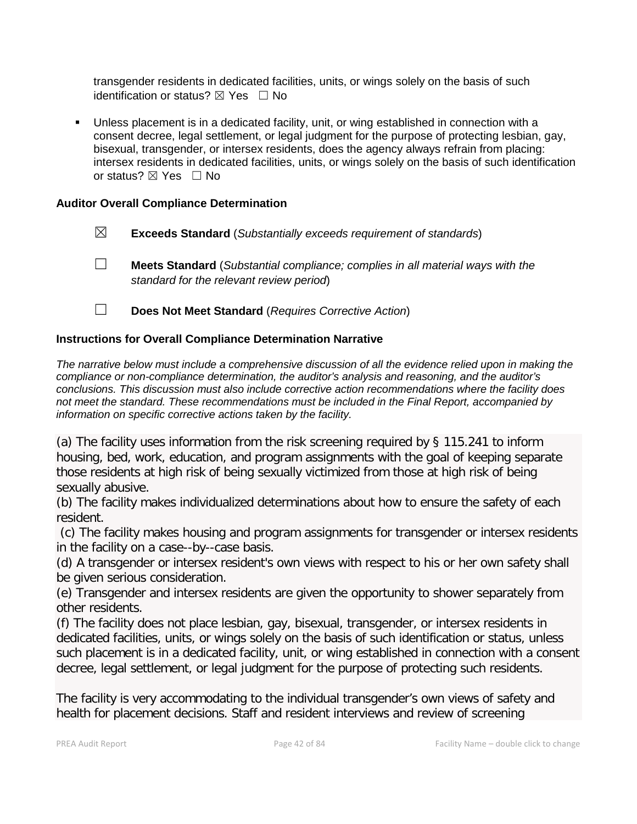transgender residents in dedicated facilities, units, or wings solely on the basis of such identification or status?  $\boxtimes$  Yes  $\Box$  No

 Unless placement is in a dedicated facility, unit, or wing established in connection with a consent decree, legal settlement, or legal judgment for the purpose of protecting lesbian, gay, bisexual, transgender, or intersex residents, does the agency always refrain from placing: intersex residents in dedicated facilities, units, or wings solely on the basis of such identification or status?  $\boxtimes$  Yes  $\Box$  No

#### **Auditor Overall Compliance Determination**

- ☒ **Exceeds Standard** (*Substantially exceeds requirement of standards*)
- ☐ **Meets Standard** (*Substantial compliance; complies in all material ways with the standard for the relevant review period*)
- ☐ **Does Not Meet Standard** (*Requires Corrective Action*)

#### **Instructions for Overall Compliance Determination Narrative**

*The narrative below must include a comprehensive discussion of all the evidence relied upon in making the compliance or non-compliance determination, the auditor's analysis and reasoning, and the auditor's conclusions. This discussion must also include corrective action recommendations where the facility does not meet the standard. These recommendations must be included in the Final Report, accompanied by information on specific corrective actions taken by the facility.*

(a) The facility uses information from the risk screening required by § 115.241 to inform housing, bed, work, education, and program assignments with the goal of keeping separate those residents at high risk of being sexually victimized from those at high risk of being sexually abusive.

(b) The facility makes individualized determinations about how to ensure the safety of each resident.

(c) The facility makes housing and program assignments for transgender or intersex residents in the facility on a case--by--case basis.

(d) A transgender or intersex resident's own views with respect to his or her own safety shall be given serious consideration.

(e) Transgender and intersex residents are given the opportunity to shower separately from other residents.

(f) The facility does not place lesbian, gay, bisexual, transgender, or intersex residents in dedicated facilities, units, or wings solely on the basis of such identification or status, unless such placement is in a dedicated facility, unit, or wing established in connection with a consent decree, legal settlement, or legal judgment for the purpose of protecting such residents.

The facility is very accommodating to the individual transgender's own views of safety and health for placement decisions. Staff and resident interviews and review of screening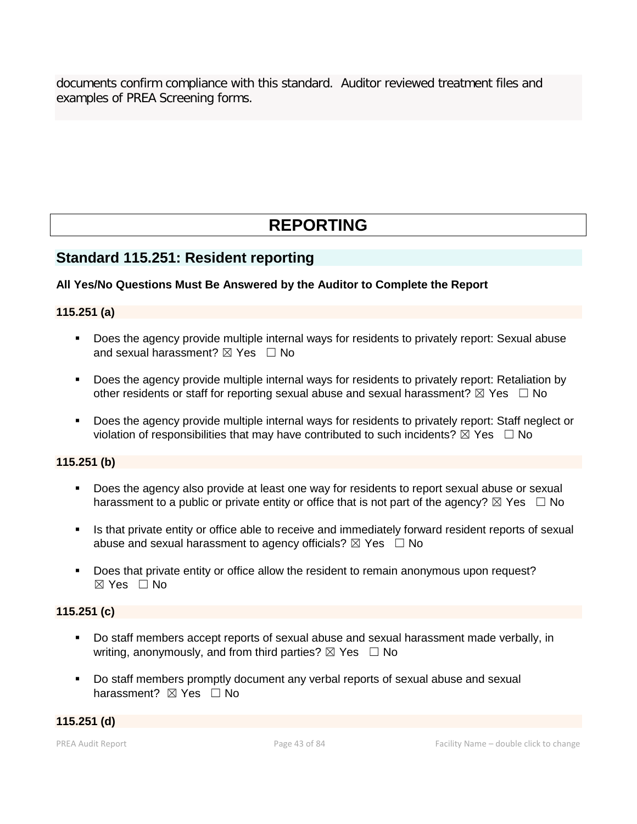documents confirm compliance with this standard. Auditor reviewed treatment files and examples of PREA Screening forms.

# **REPORTING**

## **Standard 115.251: Resident reporting**

#### **All Yes/No Questions Must Be Answered by the Auditor to Complete the Report**

#### **115.251 (a)**

- Does the agency provide multiple internal ways for residents to privately report: Sexual abuse and sexual harassment?  $\boxtimes$  Yes  $\Box$  No
- Does the agency provide multiple internal ways for residents to privately report: Retaliation by other residents or staff for reporting sexual abuse and sexual harassment?  $\boxtimes$  Yes  $\Box$  No
- Does the agency provide multiple internal ways for residents to privately report: Staff neglect or violation of responsibilities that may have contributed to such incidents?  $\boxtimes$  Yes  $\Box$  No

#### **115.251 (b)**

- Does the agency also provide at least one way for residents to report sexual abuse or sexual harassment to a public or private entity or office that is not part of the agency?  $\boxtimes$  Yes  $\Box$  No
- Is that private entity or office able to receive and immediately forward resident reports of sexual abuse and sexual harassment to agency officials?  $\boxtimes$  Yes  $\Box$  No
- Does that private entity or office allow the resident to remain anonymous upon request? ☒ Yes ☐ No

#### **115.251 (c)**

- Do staff members accept reports of sexual abuse and sexual harassment made verbally, in writing, anonymously, and from third parties?  $\boxtimes$  Yes  $\Box$  No
- Do staff members promptly document any verbal reports of sexual abuse and sexual harassment? **⊠** Yes □ No

**115.251 (d)**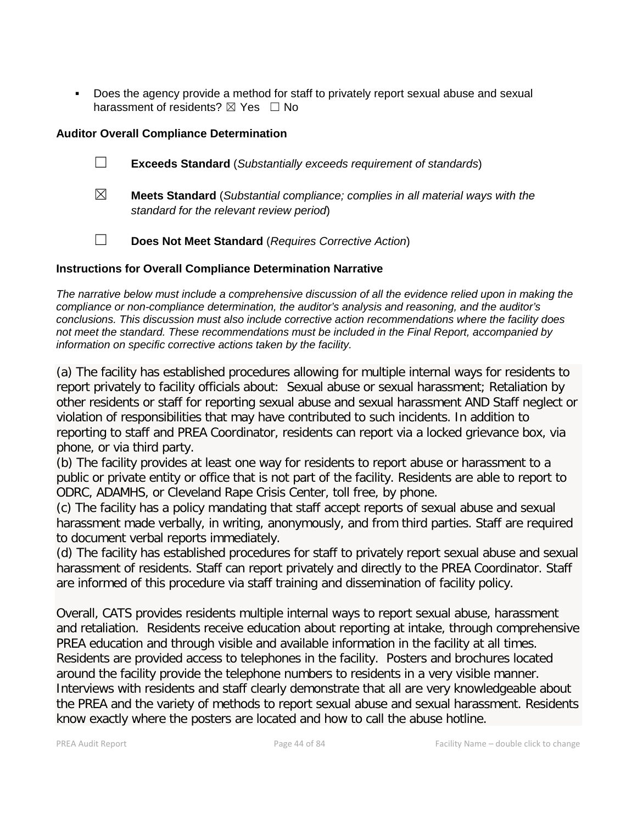Does the agency provide a method for staff to privately report sexual abuse and sexual harassment of residents?  $\boxtimes$  Yes  $\Box$  No

#### **Auditor Overall Compliance Determination**

- ☐ **Exceeds Standard** (*Substantially exceeds requirement of standards*)
- ☒ **Meets Standard** (*Substantial compliance; complies in all material ways with the standard for the relevant review period*)
- ☐ **Does Not Meet Standard** (*Requires Corrective Action*)

#### **Instructions for Overall Compliance Determination Narrative**

*The narrative below must include a comprehensive discussion of all the evidence relied upon in making the compliance or non-compliance determination, the auditor's analysis and reasoning, and the auditor's conclusions. This discussion must also include corrective action recommendations where the facility does not meet the standard. These recommendations must be included in the Final Report, accompanied by information on specific corrective actions taken by the facility.*

(a) The facility has established procedures allowing for multiple internal ways for residents to report privately to facility officials about: Sexual abuse or sexual harassment; Retaliation by other residents or staff for reporting sexual abuse and sexual harassment AND Staff neglect or violation of responsibilities that may have contributed to such incidents. In addition to reporting to staff and PREA Coordinator, residents can report via a locked grievance box, via phone, or via third party.

(b) The facility provides at least one way for residents to report abuse or harassment to a public or private entity or office that is not part of the facility. Residents are able to report to ODRC, ADAMHS, or Cleveland Rape Crisis Center, toll free, by phone.

(c) The facility has a policy mandating that staff accept reports of sexual abuse and sexual harassment made verbally, in writing, anonymously, and from third parties. Staff are required to document verbal reports immediately.

(d) The facility has established procedures for staff to privately report sexual abuse and sexual harassment of residents. Staff can report privately and directly to the PREA Coordinator. Staff are informed of this procedure via staff training and dissemination of facility policy.

Overall, CATS provides residents multiple internal ways to report sexual abuse, harassment and retaliation. Residents receive education about reporting at intake, through comprehensive PREA education and through visible and available information in the facility at all times. Residents are provided access to telephones in the facility. Posters and brochures located around the facility provide the telephone numbers to residents in a very visible manner. Interviews with residents and staff clearly demonstrate that all are very knowledgeable about the PREA and the variety of methods to report sexual abuse and sexual harassment. Residents know exactly where the posters are located and how to call the abuse hotline.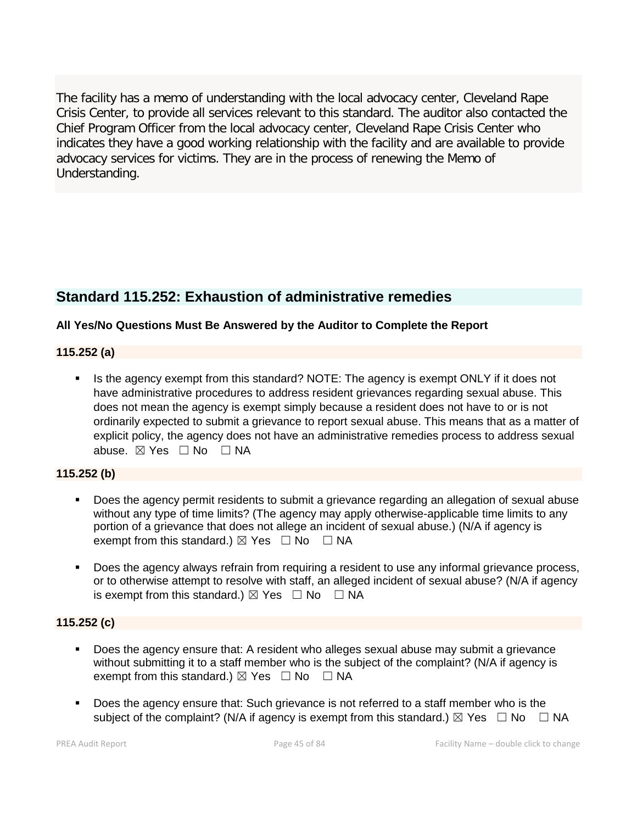The facility has a memo of understanding with the local advocacy center, Cleveland Rape Crisis Center, to provide all services relevant to this standard. The auditor also contacted the Chief Program Officer from the local advocacy center, Cleveland Rape Crisis Center who indicates they have a good working relationship with the facility and are available to provide advocacy services for victims. They are in the process of renewing the Memo of Understanding.

## **Standard 115.252: Exhaustion of administrative remedies**

#### **All Yes/No Questions Must Be Answered by the Auditor to Complete the Report**

#### **115.252 (a)**

Is the agency exempt from this standard? NOTE: The agency is exempt ONLY if it does not have administrative procedures to address resident grievances regarding sexual abuse. This does not mean the agency is exempt simply because a resident does not have to or is not ordinarily expected to submit a grievance to report sexual abuse. This means that as a matter of explicit policy, the agency does not have an administrative remedies process to address sexual abuse. ⊠ Yes □ No □ NA

#### **115.252 (b)**

- Does the agency permit residents to submit a grievance regarding an allegation of sexual abuse without any type of time limits? (The agency may apply otherwise-applicable time limits to any portion of a grievance that does not allege an incident of sexual abuse.) (N/A if agency is exempt from this standard.)  $\boxtimes$  Yes  $\Box$  No  $\Box$  NA
- Does the agency always refrain from requiring a resident to use any informal grievance process, or to otherwise attempt to resolve with staff, an alleged incident of sexual abuse? (N/A if agency is exempt from this standard.)  $\boxtimes$  Yes  $\Box$  No  $\Box$  NA

#### **115.252 (c)**

- Does the agency ensure that: A resident who alleges sexual abuse may submit a grievance without submitting it to a staff member who is the subject of the complaint? (N/A if agency is exempt from this standard.)  $\boxtimes$  Yes  $\Box$  No  $\Box$  NA
- Does the agency ensure that: Such grievance is not referred to a staff member who is the subject of the complaint? (N/A if agency is exempt from this standard.)  $\boxtimes$  Yes  $\Box$  No  $\Box$  NA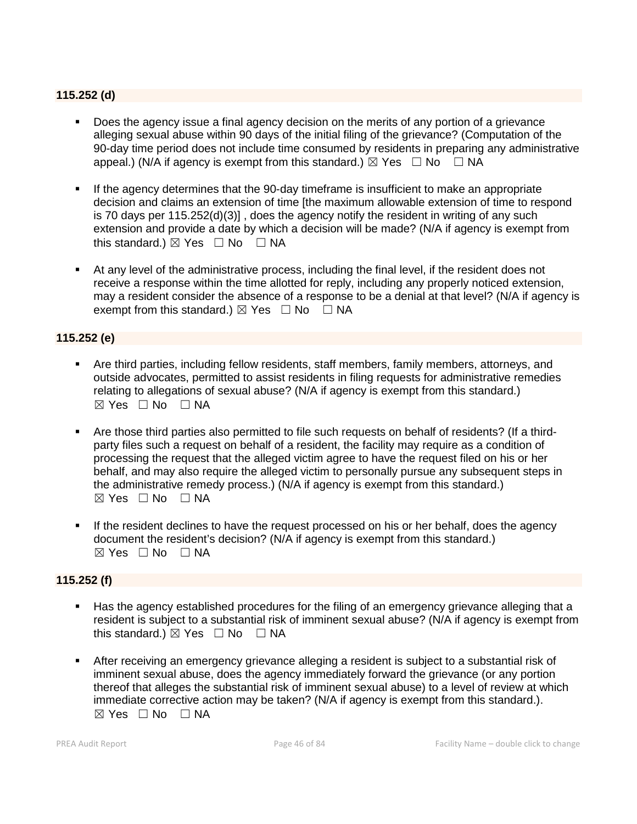#### **115.252 (d)**

- Does the agency issue a final agency decision on the merits of any portion of a grievance alleging sexual abuse within 90 days of the initial filing of the grievance? (Computation of the 90-day time period does not include time consumed by residents in preparing any administrative appeal.) (N/A if agency is exempt from this standard.)  $\boxtimes$  Yes  $\Box$  No  $\Box$  NA
- If the agency determines that the 90-day timeframe is insufficient to make an appropriate decision and claims an extension of time [the maximum allowable extension of time to respond is 70 days per 115.252(d)(3)] , does the agency notify the resident in writing of any such extension and provide a date by which a decision will be made? (N/A if agency is exempt from this standard.)  $\boxtimes$  Yes  $\Box$  No  $\Box$  NA
- At any level of the administrative process, including the final level, if the resident does not receive a response within the time allotted for reply, including any properly noticed extension, may a resident consider the absence of a response to be a denial at that level? (N/A if agency is exempt from this standard.)  $\boxtimes$  Yes  $\Box$  No  $\Box$  NA

#### **115.252 (e)**

- Are third parties, including fellow residents, staff members, family members, attorneys, and outside advocates, permitted to assist residents in filing requests for administrative remedies relating to allegations of sexual abuse? (N/A if agency is exempt from this standard.)  $⊠ Yes ⊡ No ⊡ NA$
- Are those third parties also permitted to file such requests on behalf of residents? (If a thirdparty files such a request on behalf of a resident, the facility may require as a condition of processing the request that the alleged victim agree to have the request filed on his or her behalf, and may also require the alleged victim to personally pursue any subsequent steps in the administrative remedy process.) (N/A if agency is exempt from this standard.)  $\boxtimes$  Yes  $\Box$  No  $\Box$  NA
- If the resident declines to have the request processed on his or her behalf, does the agency document the resident's decision? (N/A if agency is exempt from this standard.)  $\boxtimes$  Yes  $\Box$  No  $\Box$  NA

#### **115.252 (f)**

- Has the agency established procedures for the filing of an emergency grievance alleging that a resident is subject to a substantial risk of imminent sexual abuse? (N/A if agency is exempt from this standard.)  $\boxtimes$  Yes  $\Box$  No  $\Box$  NA
- After receiving an emergency grievance alleging a resident is subject to a substantial risk of imminent sexual abuse, does the agency immediately forward the grievance (or any portion thereof that alleges the substantial risk of imminent sexual abuse) to a level of review at which immediate corrective action may be taken? (N/A if agency is exempt from this standard.).  $\boxtimes$  Yes  $\Box$  No  $\Box$  NA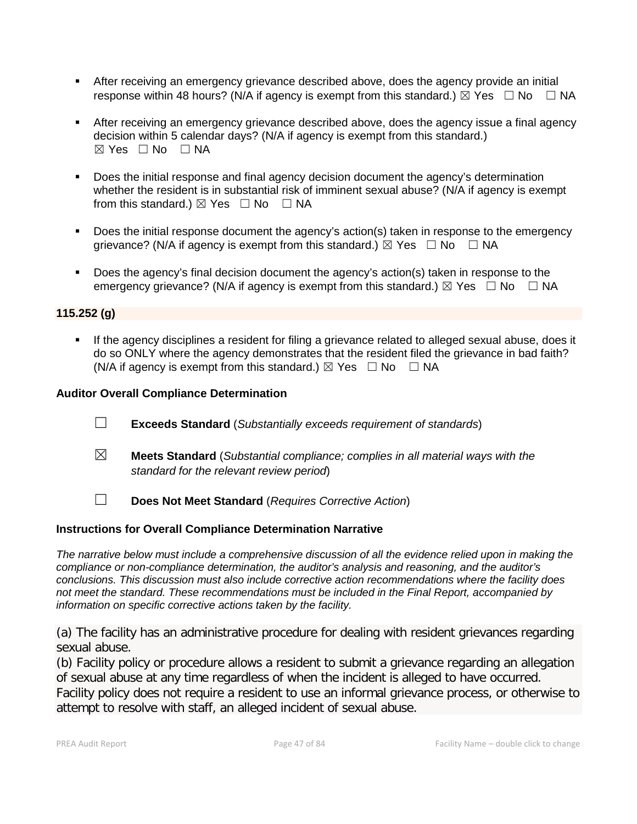- After receiving an emergency grievance described above, does the agency provide an initial response within 48 hours? (N/A if agency is exempt from this standard.)  $\boxtimes$  Yes  $\Box$  No  $\Box$  NA
- After receiving an emergency grievance described above, does the agency issue a final agency decision within 5 calendar days? (N/A if agency is exempt from this standard.)  $\boxtimes$  Yes  $\Box$  No  $\Box$  NA
- **Does the initial response and final agency decision document the agency's determination** whether the resident is in substantial risk of imminent sexual abuse? (N/A if agency is exempt from this standard.)  $\boxtimes$  Yes  $\Box$  No  $\Box$  NA
- Does the initial response document the agency's action(s) taken in response to the emergency grievance? (N/A if agency is exempt from this standard.)  $\boxtimes$  Yes  $\Box$  No  $\Box$  NA
- Does the agency's final decision document the agency's action(s) taken in response to the emergency grievance? (N/A if agency is exempt from this standard.)  $\boxtimes$  Yes  $\Box$  No  $\Box$  NA

#### **115.252 (g)**

 If the agency disciplines a resident for filing a grievance related to alleged sexual abuse, does it do so ONLY where the agency demonstrates that the resident filed the grievance in bad faith? (N/A if agency is exempt from this standard.)  $\boxtimes$  Yes  $\Box$  No  $\Box$  NA

#### **Auditor Overall Compliance Determination**

- ☐ **Exceeds Standard** (*Substantially exceeds requirement of standards*)
- ☒ **Meets Standard** (*Substantial compliance; complies in all material ways with the standard for the relevant review period*)
- ☐ **Does Not Meet Standard** (*Requires Corrective Action*)

#### **Instructions for Overall Compliance Determination Narrative**

*The narrative below must include a comprehensive discussion of all the evidence relied upon in making the compliance or non-compliance determination, the auditor's analysis and reasoning, and the auditor's conclusions. This discussion must also include corrective action recommendations where the facility does not meet the standard. These recommendations must be included in the Final Report, accompanied by information on specific corrective actions taken by the facility.*

(a) The facility has an administrative procedure for dealing with resident grievances regarding sexual abuse.

(b) Facility policy or procedure allows a resident to submit a grievance regarding an allegation of sexual abuse at any time regardless of when the incident is alleged to have occurred. Facility policy does not require a resident to use an informal grievance process, or otherwise to attempt to resolve with staff, an alleged incident of sexual abuse.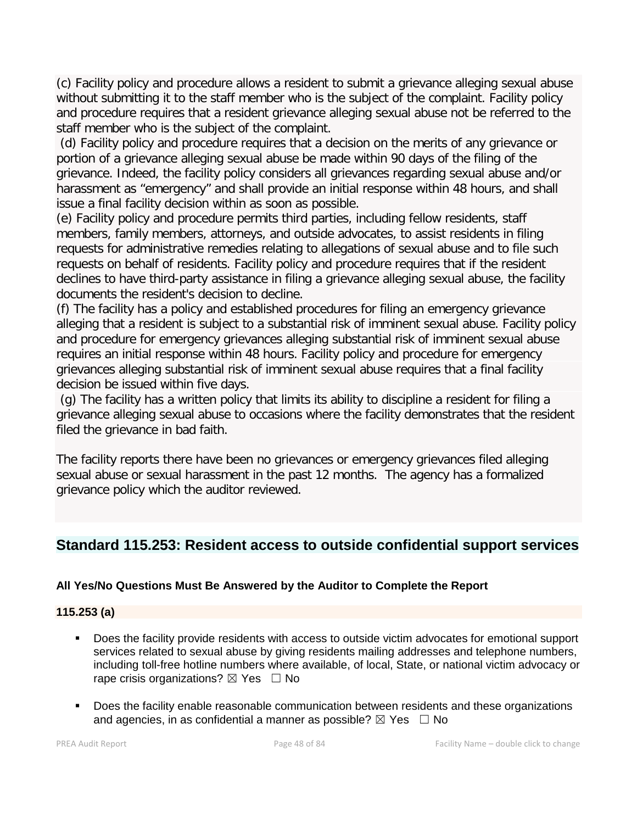(c) Facility policy and procedure allows a resident to submit a grievance alleging sexual abuse without submitting it to the staff member who is the subject of the complaint. Facility policy and procedure requires that a resident grievance alleging sexual abuse not be referred to the staff member who is the subject of the complaint.

(d) Facility policy and procedure requires that a decision on the merits of any grievance or portion of a grievance alleging sexual abuse be made within 90 days of the filing of the grievance. Indeed, the facility policy considers all grievances regarding sexual abuse and/or harassment as "emergency" and shall provide an initial response within 48 hours, and shall issue a final facility decision within as soon as possible.

(e) Facility policy and procedure permits third parties, including fellow residents, staff members, family members, attorneys, and outside advocates, to assist residents in filing requests for administrative remedies relating to allegations of sexual abuse and to file such requests on behalf of residents. Facility policy and procedure requires that if the resident declines to have third-party assistance in filing a grievance alleging sexual abuse, the facility documents the resident's decision to decline.

(f) The facility has a policy and established procedures for filing an emergency grievance alleging that a resident is subject to a substantial risk of imminent sexual abuse. Facility policy and procedure for emergency grievances alleging substantial risk of imminent sexual abuse requires an initial response within 48 hours. Facility policy and procedure for emergency grievances alleging substantial risk of imminent sexual abuse requires that a final facility decision be issued within five days.

(g) The facility has a written policy that limits its ability to discipline a resident for filing a grievance alleging sexual abuse to occasions where the facility demonstrates that the resident filed the grievance in bad faith.

The facility reports there have been no grievances or emergency grievances filed alleging sexual abuse or sexual harassment in the past 12 months. The agency has a formalized grievance policy which the auditor reviewed.

## **Standard 115.253: Resident access to outside confidential support services**

#### **All Yes/No Questions Must Be Answered by the Auditor to Complete the Report**

#### **115.253 (a)**

- Does the facility provide residents with access to outside victim advocates for emotional support services related to sexual abuse by giving residents mailing addresses and telephone numbers, including toll-free hotline numbers where available, of local, State, or national victim advocacy or rape crisis organizations?  $\boxtimes$  Yes  $\Box$  No
- **Does the facility enable reasonable communication between residents and these organizations** and agencies, in as confidential a manner as possible?  $\boxtimes$  Yes  $\Box$  No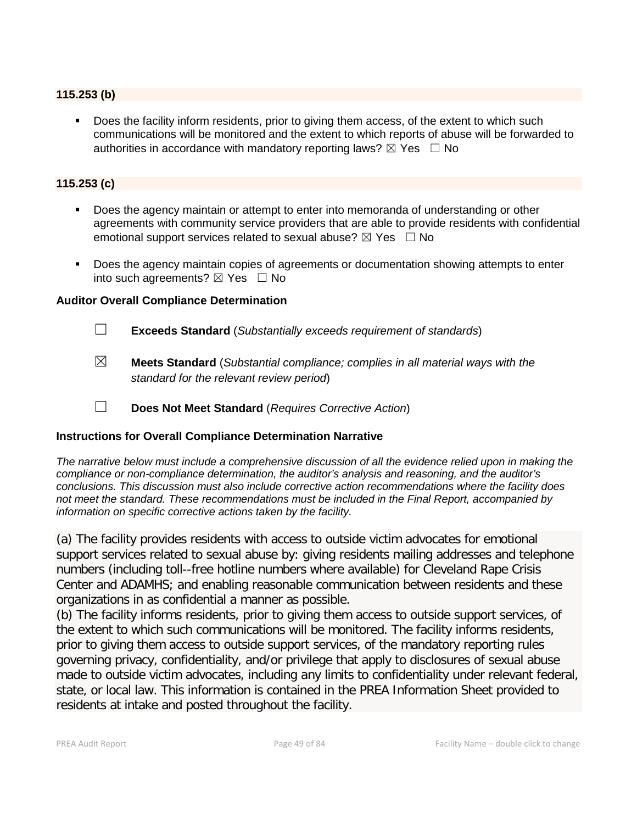#### **115.253 (b)**

 Does the facility inform residents, prior to giving them access, of the extent to which such communications will be monitored and the extent to which reports of abuse will be forwarded to authorities in accordance with mandatory reporting laws?  $\boxtimes$  Yes  $\Box$  No

#### **115.253 (c)**

- Does the agency maintain or attempt to enter into memoranda of understanding or other agreements with community service providers that are able to provide residents with confidential emotional support services related to sexual abuse?  $\boxtimes$  Yes  $\Box$  No
- Does the agency maintain copies of agreements or documentation showing attempts to enter into such agreements?  $\boxtimes$  Yes  $\Box$  No

#### **Auditor Overall Compliance Determination**

- ☐ **Exceeds Standard** (*Substantially exceeds requirement of standards*)
- ☒ **Meets Standard** (*Substantial compliance; complies in all material ways with the standard for the relevant review period*)
- ☐ **Does Not Meet Standard** (*Requires Corrective Action*)

#### **Instructions for Overall Compliance Determination Narrative**

*The narrative below must include a comprehensive discussion of all the evidence relied upon in making the compliance or non-compliance determination, the auditor's analysis and reasoning, and the auditor's conclusions. This discussion must also include corrective action recommendations where the facility does not meet the standard. These recommendations must be included in the Final Report, accompanied by information on specific corrective actions taken by the facility.*

(a) The facility provides residents with access to outside victim advocates for emotional support services related to sexual abuse by: giving residents mailing addresses and telephone numbers (including toll--free hotline numbers where available) for Cleveland Rape Crisis Center and ADAMHS; and enabling reasonable communication between residents and these organizations in as confidential a manner as possible.

(b) The facility informs residents, prior to giving them access to outside support services, of the extent to which such communications will be monitored. The facility informs residents, prior to giving them access to outside support services, of the mandatory reporting rules governing privacy, confidentiality, and/or privilege that apply to disclosures of sexual abuse made to outside victim advocates, including any limits to confidentiality under relevant federal, state, or local law. This information is contained in the PREA Information Sheet provided to residents at intake and posted throughout the facility.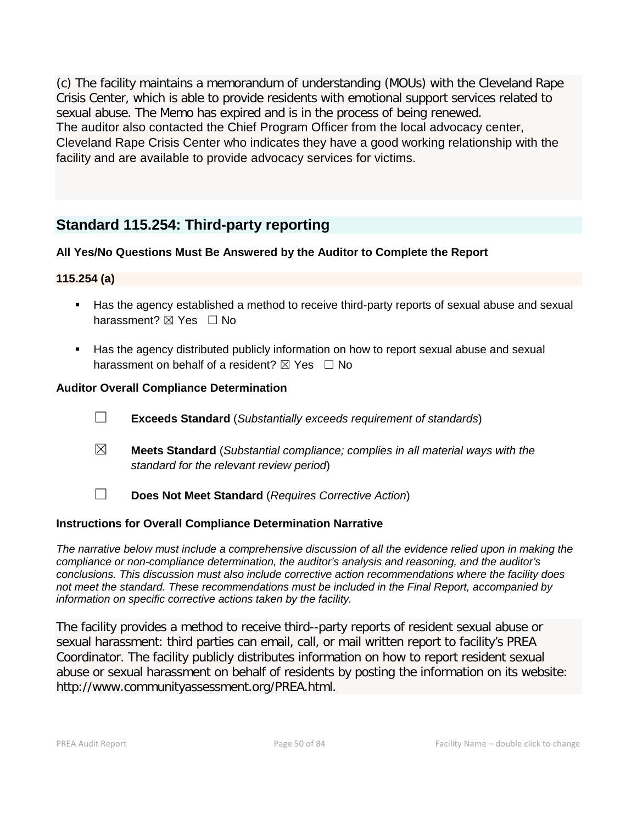(c) The facility maintains a memorandum of understanding (MOUs) with the Cleveland Rape Crisis Center, which is able to provide residents with emotional support services related to sexual abuse. The Memo has expired and is in the process of being renewed. The auditor also contacted the Chief Program Officer from the local advocacy center, Cleveland Rape Crisis Center who indicates they have a good working relationship with the facility and are available to provide advocacy services for victims.

## **Standard 115.254: Third-party reporting**

#### **All Yes/No Questions Must Be Answered by the Auditor to Complete the Report**

#### **115.254 (a)**

- Has the agency established a method to receive third-party reports of sexual abuse and sexual harassment? ⊠ Yes □ No
- Has the agency distributed publicly information on how to report sexual abuse and sexual harassment on behalf of a resident?  $\boxtimes$  Yes  $\Box$  No

#### **Auditor Overall Compliance Determination**

- ☐ **Exceeds Standard** (*Substantially exceeds requirement of standards*)
- ☒ **Meets Standard** (*Substantial compliance; complies in all material ways with the standard for the relevant review period*)
- ☐ **Does Not Meet Standard** (*Requires Corrective Action*)

#### **Instructions for Overall Compliance Determination Narrative**

*The narrative below must include a comprehensive discussion of all the evidence relied upon in making the compliance or non-compliance determination, the auditor's analysis and reasoning, and the auditor's conclusions. This discussion must also include corrective action recommendations where the facility does not meet the standard. These recommendations must be included in the Final Report, accompanied by information on specific corrective actions taken by the facility.*

The facility provides a method to receive third--party reports of resident sexual abuse or sexual harassment: third parties can email, call, or mail written report to facility's PREA Coordinator. The facility publicly distributes information on how to report resident sexual abuse or sexual harassment on behalf of residents by posting the information on its website: http://www.communityassessment.org/PREA.html.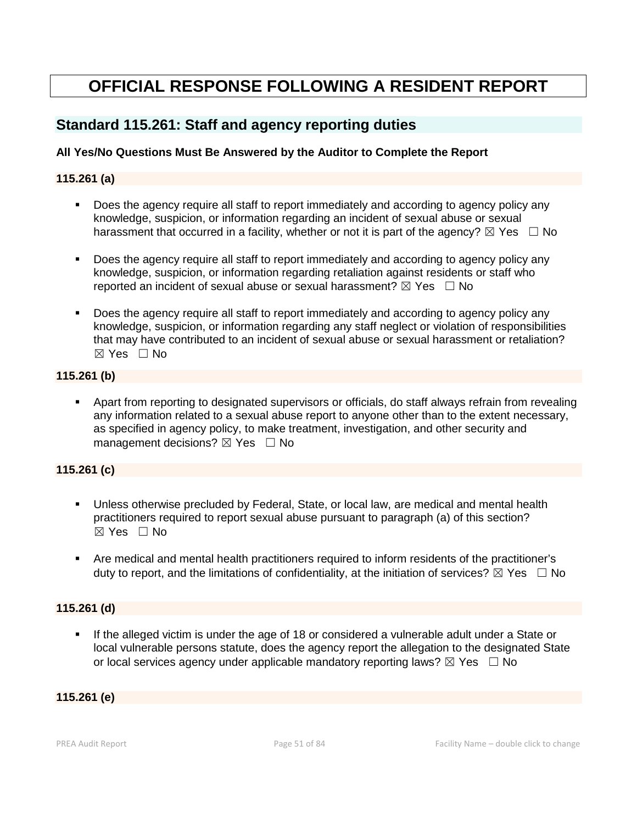# **OFFICIAL RESPONSE FOLLOWING A RESIDENT REPORT**

## **Standard 115.261: Staff and agency reporting duties**

#### **All Yes/No Questions Must Be Answered by the Auditor to Complete the Report**

#### **115.261 (a)**

- Does the agency require all staff to report immediately and according to agency policy any knowledge, suspicion, or information regarding an incident of sexual abuse or sexual harassment that occurred in a facility, whether or not it is part of the agency?  $\boxtimes$  Yes  $\Box$  No
- Does the agency require all staff to report immediately and according to agency policy any knowledge, suspicion, or information regarding retaliation against residents or staff who reported an incident of sexual abuse or sexual harassment?  $\boxtimes$  Yes  $\Box$  No
- Does the agency require all staff to report immediately and according to agency policy any knowledge, suspicion, or information regarding any staff neglect or violation of responsibilities that may have contributed to an incident of sexual abuse or sexual harassment or retaliation?  $\boxtimes$  Yes  $\Box$  No

#### **115.261 (b)**

 Apart from reporting to designated supervisors or officials, do staff always refrain from revealing any information related to a sexual abuse report to anyone other than to the extent necessary, as specified in agency policy, to make treatment, investigation, and other security and management decisions?  $\boxtimes$  Yes  $\Box$  No

#### **115.261 (c)**

- Unless otherwise precluded by Federal, State, or local law, are medical and mental health practitioners required to report sexual abuse pursuant to paragraph (a) of this section? ☒ Yes ☐ No
- Are medical and mental health practitioners required to inform residents of the practitioner's duty to report, and the limitations of confidentiality, at the initiation of services?  $\boxtimes$  Yes  $\Box$  No

#### **115.261 (d)**

 If the alleged victim is under the age of 18 or considered a vulnerable adult under a State or local vulnerable persons statute, does the agency report the allegation to the designated State or local services agency under applicable mandatory reporting laws?  $\boxtimes$  Yes  $\Box$  No

#### **115.261 (e)**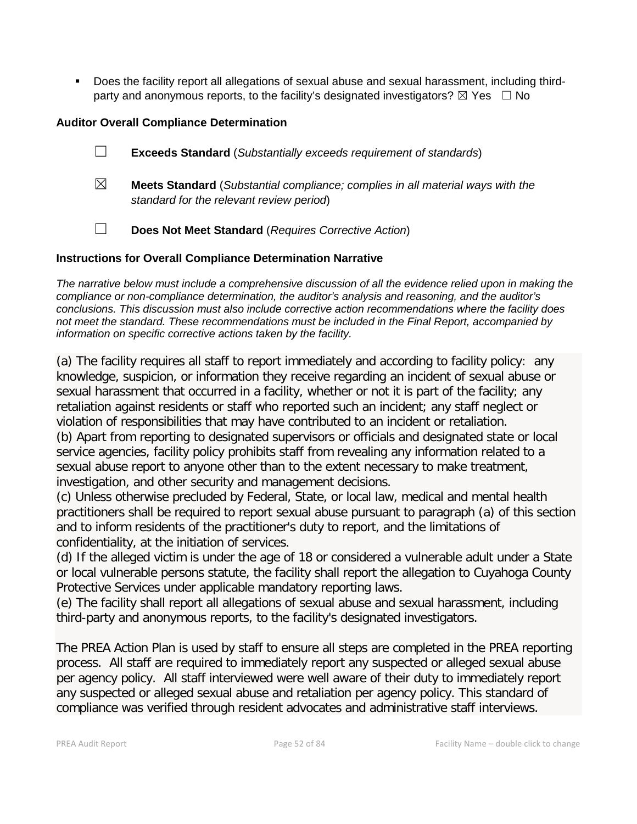Does the facility report all allegations of sexual abuse and sexual harassment, including thirdparty and anonymous reports, to the facility's designated investigators?  $\boxtimes$  Yes  $\Box$  No

#### **Auditor Overall Compliance Determination**

- ☐ **Exceeds Standard** (*Substantially exceeds requirement of standards*)
- ☒ **Meets Standard** (*Substantial compliance; complies in all material ways with the standard for the relevant review period*)
- ☐ **Does Not Meet Standard** (*Requires Corrective Action*)

#### **Instructions for Overall Compliance Determination Narrative**

*The narrative below must include a comprehensive discussion of all the evidence relied upon in making the compliance or non-compliance determination, the auditor's analysis and reasoning, and the auditor's conclusions. This discussion must also include corrective action recommendations where the facility does not meet the standard. These recommendations must be included in the Final Report, accompanied by information on specific corrective actions taken by the facility.*

(a) The facility requires all staff to report immediately and according to facility policy: any knowledge, suspicion, or information they receive regarding an incident of sexual abuse or sexual harassment that occurred in a facility, whether or not it is part of the facility; any retaliation against residents or staff who reported such an incident; any staff neglect or violation of responsibilities that may have contributed to an incident or retaliation. (b) Apart from reporting to designated supervisors or officials and designated state or local

service agencies, facility policy prohibits staff from revealing any information related to a sexual abuse report to anyone other than to the extent necessary to make treatment, investigation, and other security and management decisions.

(c) Unless otherwise precluded by Federal, State, or local law, medical and mental health practitioners shall be required to report sexual abuse pursuant to paragraph (a) of this section and to inform residents of the practitioner's duty to report, and the limitations of confidentiality, at the initiation of services.

(d) If the alleged victim is under the age of 18 or considered a vulnerable adult under a State or local vulnerable persons statute, the facility shall report the allegation to Cuyahoga County Protective Services under applicable mandatory reporting laws.

(e) The facility shall report all allegations of sexual abuse and sexual harassment, including third-party and anonymous reports, to the facility's designated investigators.

The PREA Action Plan is used by staff to ensure all steps are completed in the PREA reporting process. All staff are required to immediately report any suspected or alleged sexual abuse per agency policy. All staff interviewed were well aware of their duty to immediately report any suspected or alleged sexual abuse and retaliation per agency policy. This standard of compliance was verified through resident advocates and administrative staff interviews.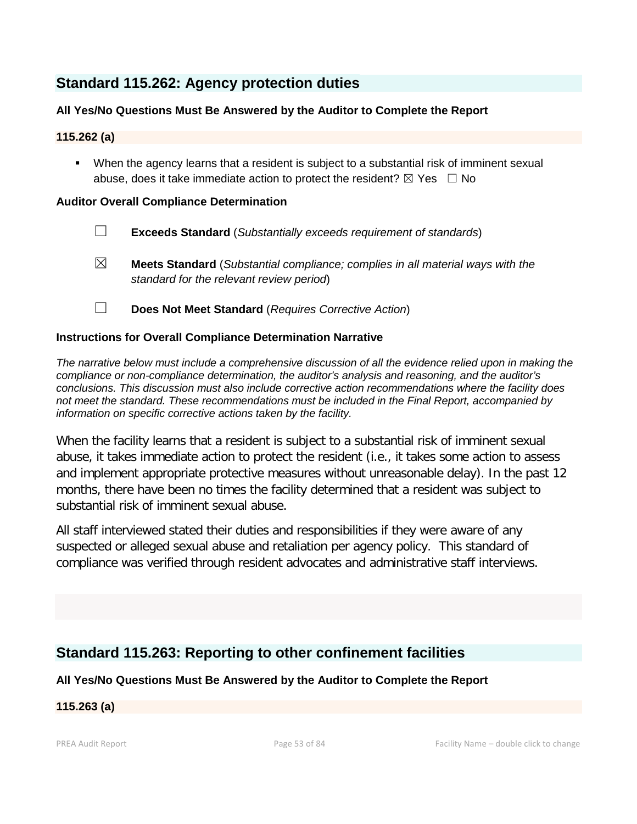## **Standard 115.262: Agency protection duties**

#### **All Yes/No Questions Must Be Answered by the Auditor to Complete the Report**

#### **115.262 (a)**

 When the agency learns that a resident is subject to a substantial risk of imminent sexual abuse, does it take immediate action to protect the resident?  $\boxtimes$  Yes  $\Box$  No

#### **Auditor Overall Compliance Determination**

- ☐ **Exceeds Standard** (*Substantially exceeds requirement of standards*)
- ☒ **Meets Standard** (*Substantial compliance; complies in all material ways with the standard for the relevant review period*)
- ☐ **Does Not Meet Standard** (*Requires Corrective Action*)

#### **Instructions for Overall Compliance Determination Narrative**

*The narrative below must include a comprehensive discussion of all the evidence relied upon in making the compliance or non-compliance determination, the auditor's analysis and reasoning, and the auditor's conclusions. This discussion must also include corrective action recommendations where the facility does not meet the standard. These recommendations must be included in the Final Report, accompanied by information on specific corrective actions taken by the facility.*

When the facility learns that a resident is subject to a substantial risk of imminent sexual abuse, it takes immediate action to protect the resident (i.e., it takes some action to assess and implement appropriate protective measures without unreasonable delay). In the past 12 months, there have been no times the facility determined that a resident was subject to substantial risk of imminent sexual abuse.

All staff interviewed stated their duties and responsibilities if they were aware of any suspected or alleged sexual abuse and retaliation per agency policy. This standard of compliance was verified through resident advocates and administrative staff interviews.

## **Standard 115.263: Reporting to other confinement facilities**

**All Yes/No Questions Must Be Answered by the Auditor to Complete the Report**

#### **115.263 (a)**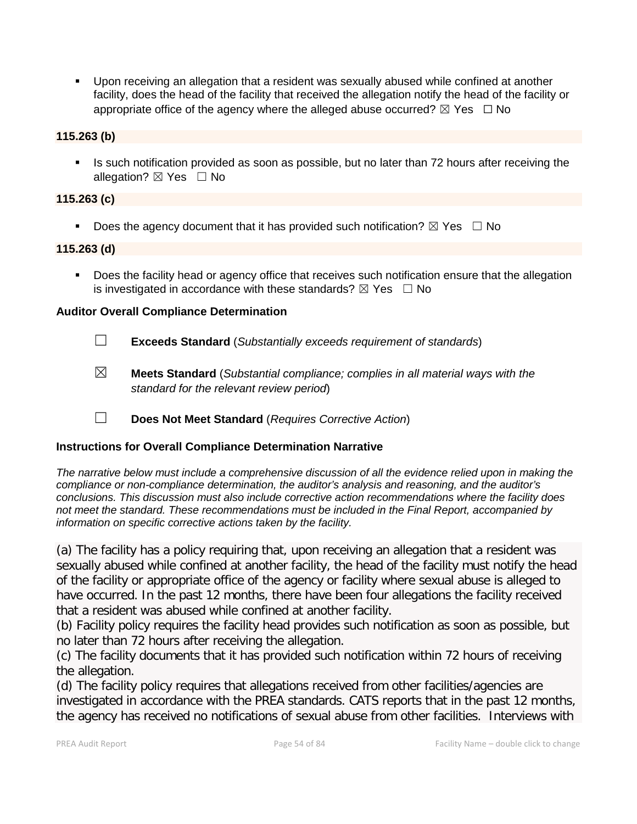Upon receiving an allegation that a resident was sexually abused while confined at another facility, does the head of the facility that received the allegation notify the head of the facility or appropriate office of the agency where the alleged abuse occurred?  $\boxtimes$  Yes  $\Box$  No

#### **115.263 (b)**

 Is such notification provided as soon as possible, but no later than 72 hours after receiving the allegation?  $\boxtimes$  Yes  $\Box$  No

#### **115.263 (c)**

Does the agency document that it has provided such notification?  $\boxtimes$  Yes  $\Box$  No

#### **115.263 (d)**

**Does the facility head or agency office that receives such notification ensure that the allegation** is investigated in accordance with these standards?  $\boxtimes$  Yes  $\Box$  No

#### **Auditor Overall Compliance Determination**

- ☐ **Exceeds Standard** (*Substantially exceeds requirement of standards*)
- ☒ **Meets Standard** (*Substantial compliance; complies in all material ways with the standard for the relevant review period*)
- ☐ **Does Not Meet Standard** (*Requires Corrective Action*)

#### **Instructions for Overall Compliance Determination Narrative**

*The narrative below must include a comprehensive discussion of all the evidence relied upon in making the compliance or non-compliance determination, the auditor's analysis and reasoning, and the auditor's conclusions. This discussion must also include corrective action recommendations where the facility does not meet the standard. These recommendations must be included in the Final Report, accompanied by information on specific corrective actions taken by the facility.*

(a) The facility has a policy requiring that, upon receiving an allegation that a resident was sexually abused while confined at another facility, the head of the facility must notify the head of the facility or appropriate office of the agency or facility where sexual abuse is alleged to have occurred. In the past 12 months, there have been four allegations the facility received that a resident was abused while confined at another facility.

(b) Facility policy requires the facility head provides such notification as soon as possible, but no later than 72 hours after receiving the allegation.

(c) The facility documents that it has provided such notification within 72 hours of receiving the allegation.

(d) The facility policy requires that allegations received from other facilities/agencies are investigated in accordance with the PREA standards. CATS reports that in the past 12 months, the agency has received no notifications of sexual abuse from other facilities. Interviews with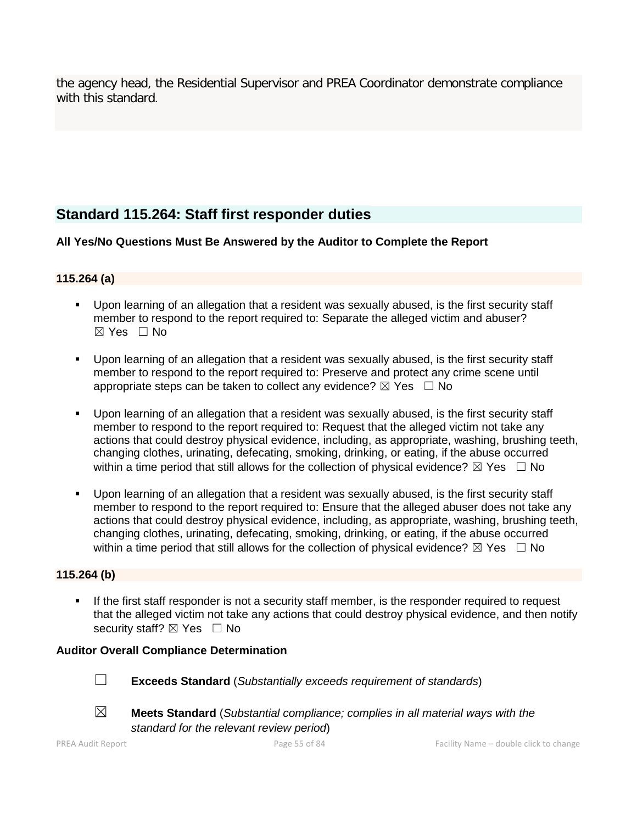the agency head, the Residential Supervisor and PREA Coordinator demonstrate compliance with this standard.

## **Standard 115.264: Staff first responder duties**

**All Yes/No Questions Must Be Answered by the Auditor to Complete the Report**

#### **115.264 (a)**

- Upon learning of an allegation that a resident was sexually abused, is the first security staff member to respond to the report required to: Separate the alleged victim and abuser?  $\boxtimes$  Yes  $\Box$  No
- Upon learning of an allegation that a resident was sexually abused, is the first security staff member to respond to the report required to: Preserve and protect any crime scene until appropriate steps can be taken to collect any evidence?  $\boxtimes$  Yes  $\Box$  No
- Upon learning of an allegation that a resident was sexually abused, is the first security staff member to respond to the report required to: Request that the alleged victim not take any actions that could destroy physical evidence, including, as appropriate, washing, brushing teeth, changing clothes, urinating, defecating, smoking, drinking, or eating, if the abuse occurred within a time period that still allows for the collection of physical evidence?  $\boxtimes$  Yes  $\Box$  No
- Upon learning of an allegation that a resident was sexually abused, is the first security staff member to respond to the report required to: Ensure that the alleged abuser does not take any actions that could destroy physical evidence, including, as appropriate, washing, brushing teeth, changing clothes, urinating, defecating, smoking, drinking, or eating, if the abuse occurred within a time period that still allows for the collection of physical evidence?  $\boxtimes$  Yes  $\Box$  No

#### **115.264 (b)**

 If the first staff responder is not a security staff member, is the responder required to request that the alleged victim not take any actions that could destroy physical evidence, and then notify security staff? ⊠ Yes □ No

#### **Auditor Overall Compliance Determination**



☐ **Exceeds Standard** (*Substantially exceeds requirement of standards*)



☒ **Meets Standard** (*Substantial compliance; complies in all material ways with the* 

*standard for the relevant review period*)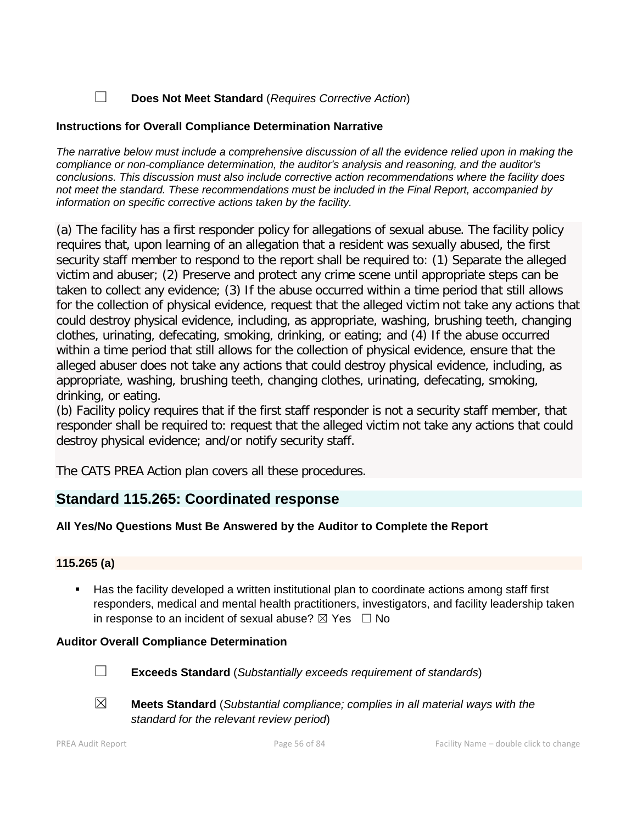#### ☐ **Does Not Meet Standard** (*Requires Corrective Action*)

#### **Instructions for Overall Compliance Determination Narrative**

*The narrative below must include a comprehensive discussion of all the evidence relied upon in making the compliance or non-compliance determination, the auditor's analysis and reasoning, and the auditor's conclusions. This discussion must also include corrective action recommendations where the facility does not meet the standard. These recommendations must be included in the Final Report, accompanied by information on specific corrective actions taken by the facility.*

(a) The facility has a first responder policy for allegations of sexual abuse. The facility policy requires that, upon learning of an allegation that a resident was sexually abused, the first security staff member to respond to the report shall be required to: (1) Separate the alleged victim and abuser; (2) Preserve and protect any crime scene until appropriate steps can be taken to collect any evidence; (3) If the abuse occurred within a time period that still allows for the collection of physical evidence, request that the alleged victim not take any actions that could destroy physical evidence, including, as appropriate, washing, brushing teeth, changing clothes, urinating, defecating, smoking, drinking, or eating; and (4) If the abuse occurred within a time period that still allows for the collection of physical evidence, ensure that the alleged abuser does not take any actions that could destroy physical evidence, including, as appropriate, washing, brushing teeth, changing clothes, urinating, defecating, smoking, drinking, or eating.

(b) Facility policy requires that if the first staff responder is not a security staff member, that responder shall be required to: request that the alleged victim not take any actions that could destroy physical evidence; and/or notify security staff.

The CATS PREA Action plan covers all these procedures.

## **Standard 115.265: Coordinated response**

#### **All Yes/No Questions Must Be Answered by the Auditor to Complete the Report**

#### **115.265 (a)**

 Has the facility developed a written institutional plan to coordinate actions among staff first responders, medical and mental health practitioners, investigators, and facility leadership taken in response to an incident of sexual abuse?  $\boxtimes$  Yes  $\Box$  No

#### **Auditor Overall Compliance Determination**



- ☐ **Exceeds Standard** (*Substantially exceeds requirement of standards*)
- 
- ☒ **Meets Standard** (*Substantial compliance; complies in all material ways with the standard for the relevant review period*)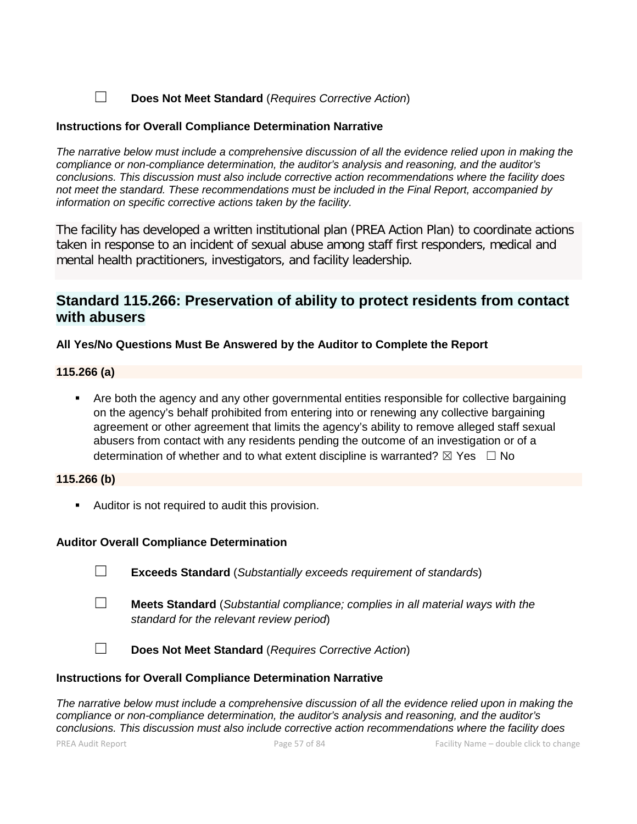☐ **Does Not Meet Standard** (*Requires Corrective Action*)

#### **Instructions for Overall Compliance Determination Narrative**

*The narrative below must include a comprehensive discussion of all the evidence relied upon in making the compliance or non-compliance determination, the auditor's analysis and reasoning, and the auditor's conclusions. This discussion must also include corrective action recommendations where the facility does not meet the standard. These recommendations must be included in the Final Report, accompanied by information on specific corrective actions taken by the facility.*

The facility has developed a written institutional plan (PREA Action Plan) to coordinate actions taken in response to an incident of sexual abuse among staff first responders, medical and mental health practitioners, investigators, and facility leadership.

## **Standard 115.266: Preservation of ability to protect residents from contact with abusers**

#### **All Yes/No Questions Must Be Answered by the Auditor to Complete the Report**

#### **115.266 (a)**

 Are both the agency and any other governmental entities responsible for collective bargaining on the agency's behalf prohibited from entering into or renewing any collective bargaining agreement or other agreement that limits the agency's ability to remove alleged staff sexual abusers from contact with any residents pending the outcome of an investigation or of a determination of whether and to what extent discipline is warranted?  $\boxtimes$  Yes  $\Box$  No

#### **115.266 (b)**

**Auditor is not required to audit this provision.** 

#### **Auditor Overall Compliance Determination**

☐ **Exceeds Standard** (*Substantially exceeds requirement of standards*)

- ☐ **Meets Standard** (*Substantial compliance; complies in all material ways with the standard for the relevant review period*)
	-

☐ **Does Not Meet Standard** (*Requires Corrective Action*)

#### **Instructions for Overall Compliance Determination Narrative**

*The narrative below must include a comprehensive discussion of all the evidence relied upon in making the compliance or non-compliance determination, the auditor's analysis and reasoning, and the auditor's conclusions. This discussion must also include corrective action recommendations where the facility does*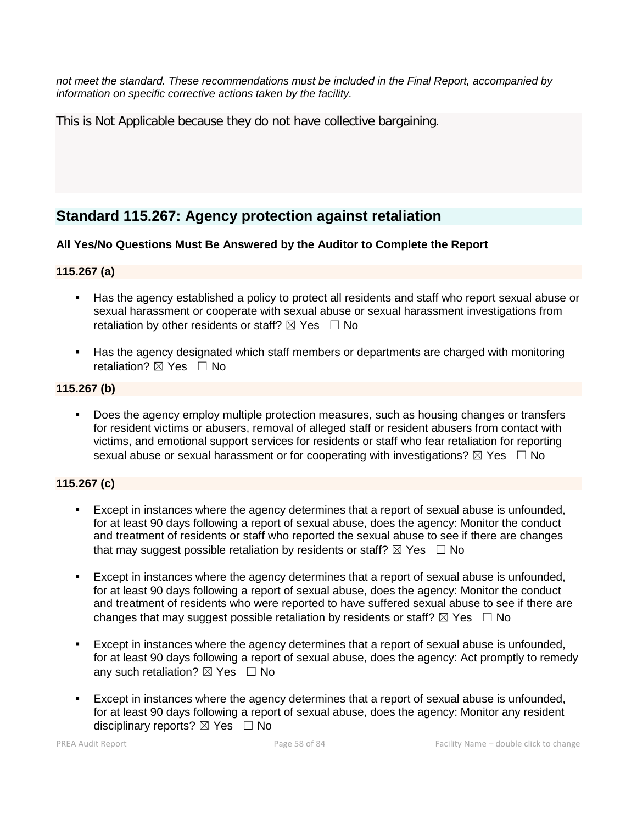*not meet the standard. These recommendations must be included in the Final Report, accompanied by information on specific corrective actions taken by the facility.*

This is Not Applicable because they do not have collective bargaining.

## **Standard 115.267: Agency protection against retaliation**

#### **All Yes/No Questions Must Be Answered by the Auditor to Complete the Report**

#### **115.267 (a)**

- Has the agency established a policy to protect all residents and staff who report sexual abuse or sexual harassment or cooperate with sexual abuse or sexual harassment investigations from retaliation by other residents or staff?  $\boxtimes$  Yes  $\Box$  No
- Has the agency designated which staff members or departments are charged with monitoring retaliation? ⊠ Yes □ No

#### **115.267 (b)**

 Does the agency employ multiple protection measures, such as housing changes or transfers for resident victims or abusers, removal of alleged staff or resident abusers from contact with victims, and emotional support services for residents or staff who fear retaliation for reporting sexual abuse or sexual harassment or for cooperating with investigations?  $\boxtimes$  Yes  $\Box$  No

#### **115.267 (c)**

- Except in instances where the agency determines that a report of sexual abuse is unfounded, for at least 90 days following a report of sexual abuse, does the agency: Monitor the conduct and treatment of residents or staff who reported the sexual abuse to see if there are changes that may suggest possible retaliation by residents or staff?  $\boxtimes$  Yes  $\Box$  No
- Except in instances where the agency determines that a report of sexual abuse is unfounded, for at least 90 days following a report of sexual abuse, does the agency: Monitor the conduct and treatment of residents who were reported to have suffered sexual abuse to see if there are changes that may suggest possible retaliation by residents or staff?  $\boxtimes$  Yes  $\Box$  No
- Except in instances where the agency determines that a report of sexual abuse is unfounded, for at least 90 days following a report of sexual abuse, does the agency: Act promptly to remedy any such retaliation?  $\boxtimes$  Yes  $\Box$  No
- Except in instances where the agency determines that a report of sexual abuse is unfounded, for at least 90 days following a report of sexual abuse, does the agency: Monitor any resident disciplinary reports?  $\boxtimes$  Yes  $\Box$  No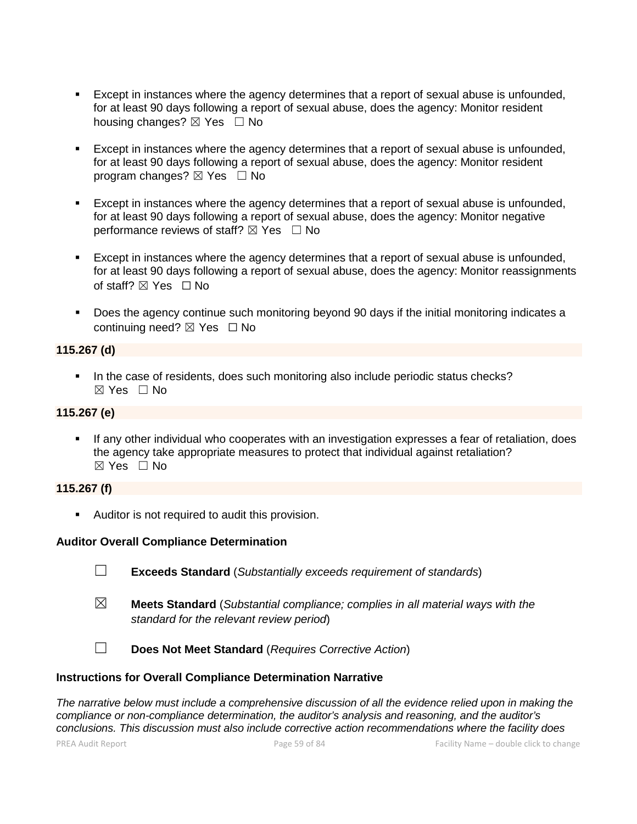- Except in instances where the agency determines that a report of sexual abuse is unfounded, for at least 90 days following a report of sexual abuse, does the agency: Monitor resident housing changes? ⊠ Yes □ No
- Except in instances where the agency determines that a report of sexual abuse is unfounded, for at least 90 days following a report of sexual abuse, does the agency: Monitor resident program changes?  $\boxtimes$  Yes  $\Box$  No
- Except in instances where the agency determines that a report of sexual abuse is unfounded, for at least 90 days following a report of sexual abuse, does the agency: Monitor negative performance reviews of staff?  $\boxtimes$  Yes  $\Box$  No
- Except in instances where the agency determines that a report of sexual abuse is unfounded, for at least 90 days following a report of sexual abuse, does the agency: Monitor reassignments of staff?  $\boxtimes$  Yes  $\Box$  No
- Does the agency continue such monitoring beyond 90 days if the initial monitoring indicates a continuing need? ☒ Yes ☐ No

#### **115.267 (d)**

In the case of residents, does such monitoring also include periodic status checks? ☒ Yes ☐ No

#### **115.267 (e)**

 If any other individual who cooperates with an investigation expresses a fear of retaliation, does the agency take appropriate measures to protect that individual against retaliation?  $\boxtimes$  Yes  $\Box$  No

#### **115.267 (f)**

**Auditor is not required to audit this provision.** 

#### **Auditor Overall Compliance Determination**

- ☐ **Exceeds Standard** (*Substantially exceeds requirement of standards*)
- ☒ **Meets Standard** (*Substantial compliance; complies in all material ways with the standard for the relevant review period*)

☐ **Does Not Meet Standard** (*Requires Corrective Action*)

#### **Instructions for Overall Compliance Determination Narrative**

*The narrative below must include a comprehensive discussion of all the evidence relied upon in making the compliance or non-compliance determination, the auditor's analysis and reasoning, and the auditor's conclusions. This discussion must also include corrective action recommendations where the facility does*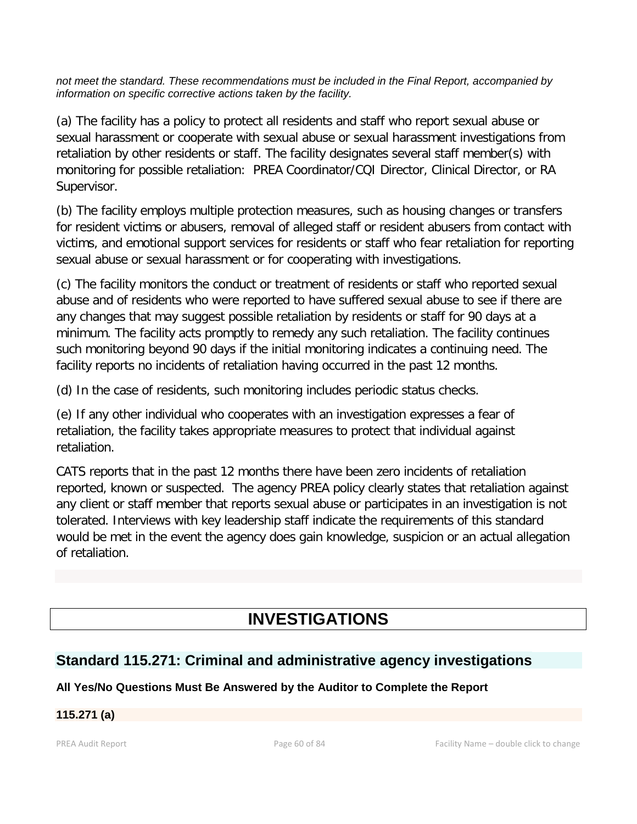*not meet the standard. These recommendations must be included in the Final Report, accompanied by information on specific corrective actions taken by the facility.*

(a) The facility has a policy to protect all residents and staff who report sexual abuse or sexual harassment or cooperate with sexual abuse or sexual harassment investigations from retaliation by other residents or staff. The facility designates several staff member(s) with monitoring for possible retaliation: PREA Coordinator/CQI Director, Clinical Director, or RA Supervisor.

(b) The facility employs multiple protection measures, such as housing changes or transfers for resident victims or abusers, removal of alleged staff or resident abusers from contact with victims, and emotional support services for residents or staff who fear retaliation for reporting sexual abuse or sexual harassment or for cooperating with investigations.

(c) The facility monitors the conduct or treatment of residents or staff who reported sexual abuse and of residents who were reported to have suffered sexual abuse to see if there are any changes that may suggest possible retaliation by residents or staff for 90 days at a minimum. The facility acts promptly to remedy any such retaliation. The facility continues such monitoring beyond 90 days if the initial monitoring indicates a continuing need. The facility reports no incidents of retaliation having occurred in the past 12 months.

(d) In the case of residents, such monitoring includes periodic status checks.

(e) If any other individual who cooperates with an investigation expresses a fear of retaliation, the facility takes appropriate measures to protect that individual against retaliation.

CATS reports that in the past 12 months there have been zero incidents of retaliation reported, known or suspected. The agency PREA policy clearly states that retaliation against any client or staff member that reports sexual abuse or participates in an investigation is not tolerated. Interviews with key leadership staff indicate the requirements of this standard would be met in the event the agency does gain knowledge, suspicion or an actual allegation of retaliation.

# **INVESTIGATIONS**

## **Standard 115.271: Criminal and administrative agency investigations**

## **All Yes/No Questions Must Be Answered by the Auditor to Complete the Report**

### **115.271 (a)**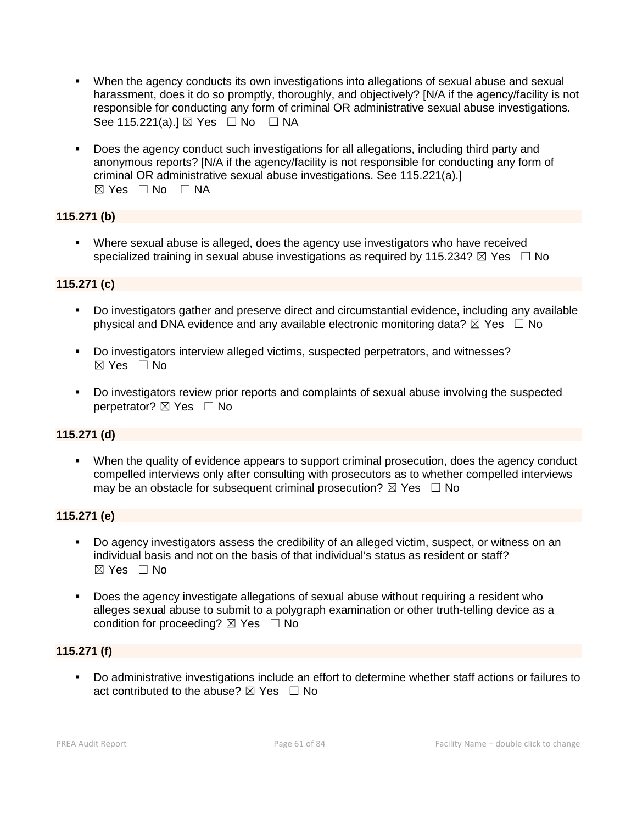- When the agency conducts its own investigations into allegations of sexual abuse and sexual harassment, does it do so promptly, thoroughly, and objectively? [N/A if the agency/facility is not responsible for conducting any form of criminal OR administrative sexual abuse investigations. See 115.221(a).] ⊠ Yes □ No □ NA
- Does the agency conduct such investigations for all allegations, including third party and anonymous reports? [N/A if the agency/facility is not responsible for conducting any form of criminal OR administrative sexual abuse investigations. See 115.221(a).] ☒ Yes ☐ No ☐ NA

#### **115.271 (b)**

 Where sexual abuse is alleged, does the agency use investigators who have received specialized training in sexual abuse investigations as required by 115.234?  $\boxtimes$  Yes  $\Box$  No

#### **115.271 (c)**

- Do investigators gather and preserve direct and circumstantial evidence, including any available physical and DNA evidence and any available electronic monitoring data?  $\boxtimes$  Yes  $\Box$  No
- Do investigators interview alleged victims, suspected perpetrators, and witnesses? ☒ Yes ☐ No
- Do investigators review prior reports and complaints of sexual abuse involving the suspected perpetrator? ⊠ Yes □ No

#### **115.271 (d)**

 When the quality of evidence appears to support criminal prosecution, does the agency conduct compelled interviews only after consulting with prosecutors as to whether compelled interviews may be an obstacle for subsequent criminal prosecution?  $\boxtimes$  Yes  $\Box$  No

#### **115.271 (e)**

- Do agency investigators assess the credibility of an alleged victim, suspect, or witness on an individual basis and not on the basis of that individual's status as resident or staff?  $\boxtimes$  Yes  $\Box$  No
- Does the agency investigate allegations of sexual abuse without requiring a resident who alleges sexual abuse to submit to a polygraph examination or other truth-telling device as a condition for proceeding?  $\boxtimes$  Yes  $\Box$  No

#### **115.271 (f)**

 Do administrative investigations include an effort to determine whether staff actions or failures to act contributed to the abuse?  $\boxtimes$  Yes  $\Box$  No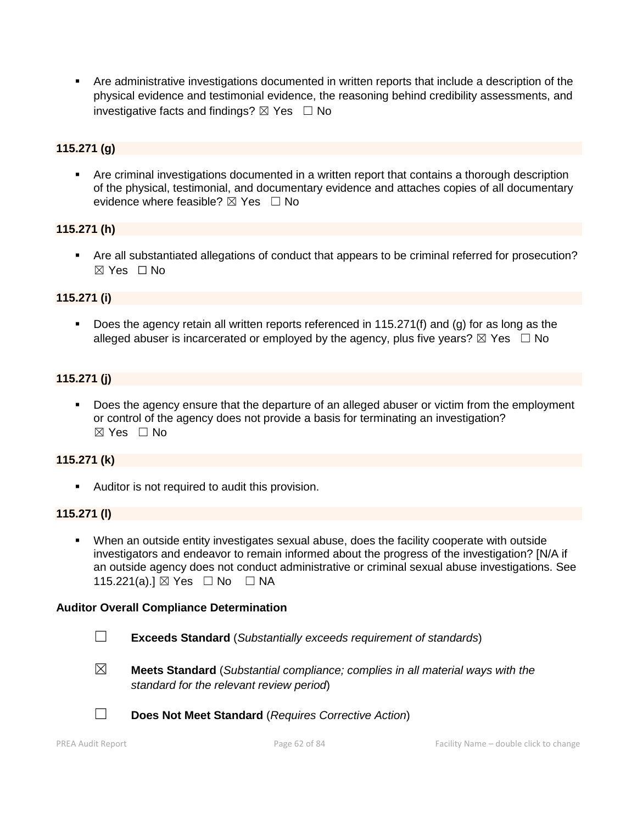Are administrative investigations documented in written reports that include a description of the physical evidence and testimonial evidence, the reasoning behind credibility assessments, and investigative facts and findings?  $\boxtimes$  Yes  $\Box$  No

#### **115.271 (g)**

 Are criminal investigations documented in a written report that contains a thorough description of the physical, testimonial, and documentary evidence and attaches copies of all documentary evidence where feasible?  $\boxtimes$  Yes  $\Box$  No

#### **115.271 (h)**

 Are all substantiated allegations of conduct that appears to be criminal referred for prosecution? ☒ Yes ☐ No

#### **115.271 (i)**

 Does the agency retain all written reports referenced in 115.271(f) and (g) for as long as the alleged abuser is incarcerated or employed by the agency, plus five years?  $\boxtimes$  Yes  $\Box$  No

#### **115.271 (j)**

 Does the agency ensure that the departure of an alleged abuser or victim from the employment or control of the agency does not provide a basis for terminating an investigation?  $\boxtimes$  Yes  $\Box$  No

#### **115.271 (k)**

Auditor is not required to audit this provision.

#### **115.271 (l)**

 When an outside entity investigates sexual abuse, does the facility cooperate with outside investigators and endeavor to remain informed about the progress of the investigation? [N/A if an outside agency does not conduct administrative or criminal sexual abuse investigations. See 115.221(a).] ⊠ Yes □ No □ NA

#### **Auditor Overall Compliance Determination**

- ☐ **Exceeds Standard** (*Substantially exceeds requirement of standards*)
- ☒ **Meets Standard** (*Substantial compliance; complies in all material ways with the standard for the relevant review period*)
- ☐ **Does Not Meet Standard** (*Requires Corrective Action*)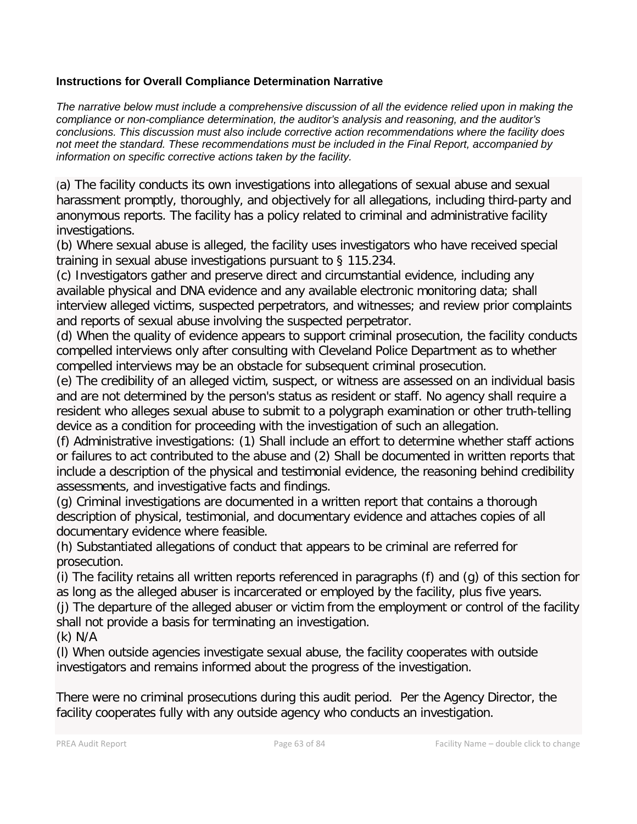#### **Instructions for Overall Compliance Determination Narrative**

*The narrative below must include a comprehensive discussion of all the evidence relied upon in making the compliance or non-compliance determination, the auditor's analysis and reasoning, and the auditor's conclusions. This discussion must also include corrective action recommendations where the facility does not meet the standard. These recommendations must be included in the Final Report, accompanied by information on specific corrective actions taken by the facility.*

(a) The facility conducts its own investigations into allegations of sexual abuse and sexual harassment promptly, thoroughly, and objectively for all allegations, including third-party and anonymous reports. The facility has a policy related to criminal and administrative facility investigations.

(b) Where sexual abuse is alleged, the facility uses investigators who have received special training in sexual abuse investigations pursuant to § 115.234.

(c) Investigators gather and preserve direct and circumstantial evidence, including any available physical and DNA evidence and any available electronic monitoring data; shall interview alleged victims, suspected perpetrators, and witnesses; and review prior complaints and reports of sexual abuse involving the suspected perpetrator.

(d) When the quality of evidence appears to support criminal prosecution, the facility conducts compelled interviews only after consulting with Cleveland Police Department as to whether compelled interviews may be an obstacle for subsequent criminal prosecution.

(e) The credibility of an alleged victim, suspect, or witness are assessed on an individual basis and are not determined by the person's status as resident or staff. No agency shall require a resident who alleges sexual abuse to submit to a polygraph examination or other truth-telling device as a condition for proceeding with the investigation of such an allegation.

(f) Administrative investigations: (1) Shall include an effort to determine whether staff actions or failures to act contributed to the abuse and (2) Shall be documented in written reports that include a description of the physical and testimonial evidence, the reasoning behind credibility assessments, and investigative facts and findings.

(g) Criminal investigations are documented in a written report that contains a thorough description of physical, testimonial, and documentary evidence and attaches copies of all documentary evidence where feasible.

(h) Substantiated allegations of conduct that appears to be criminal are referred for prosecution.

(i) The facility retains all written reports referenced in paragraphs (f) and (g) of this section for as long as the alleged abuser is incarcerated or employed by the facility, plus five years.

(j) The departure of the alleged abuser or victim from the employment or control of the facility shall not provide a basis for terminating an investigation.

(k) N/A

(l) When outside agencies investigate sexual abuse, the facility cooperates with outside investigators and remains informed about the progress of the investigation.

There were no criminal prosecutions during this audit period. Per the Agency Director, the facility cooperates fully with any outside agency who conducts an investigation.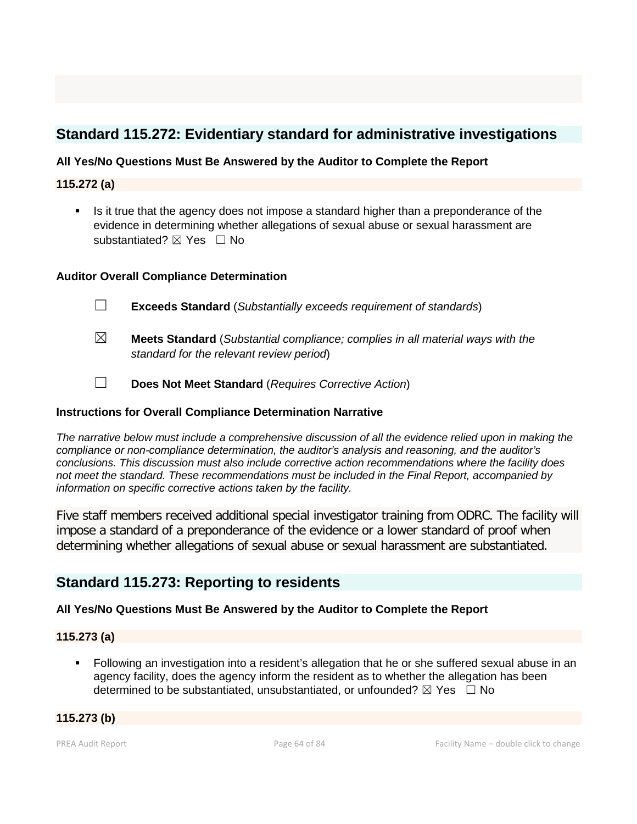## **Standard 115.272: Evidentiary standard for administrative investigations**

#### **All Yes/No Questions Must Be Answered by the Auditor to Complete the Report**

#### **115.272 (a)**

 Is it true that the agency does not impose a standard higher than a preponderance of the evidence in determining whether allegations of sexual abuse or sexual harassment are substantiated? **⊠** Yes □ No

#### **Auditor Overall Compliance Determination**

- ☐ **Exceeds Standard** (*Substantially exceeds requirement of standards*)
- ☒ **Meets Standard** (*Substantial compliance; complies in all material ways with the standard for the relevant review period*)
- ☐ **Does Not Meet Standard** (*Requires Corrective Action*)

#### **Instructions for Overall Compliance Determination Narrative**

*The narrative below must include a comprehensive discussion of all the evidence relied upon in making the compliance or non-compliance determination, the auditor's analysis and reasoning, and the auditor's conclusions. This discussion must also include corrective action recommendations where the facility does not meet the standard. These recommendations must be included in the Final Report, accompanied by information on specific corrective actions taken by the facility.*

Five staff members received additional special investigator training from ODRC. The facility will impose a standard of a preponderance of the evidence or a lower standard of proof when determining whether allegations of sexual abuse or sexual harassment are substantiated.

### **Standard 115.273: Reporting to residents**

#### **All Yes/No Questions Must Be Answered by the Auditor to Complete the Report**

#### **115.273 (a)**

**Following an investigation into a resident's allegation that he or she suffered sexual abuse in an** agency facility, does the agency inform the resident as to whether the allegation has been determined to be substantiated, unsubstantiated, or unfounded?  $\boxtimes$  Yes  $\Box$  No

#### **115.273 (b)**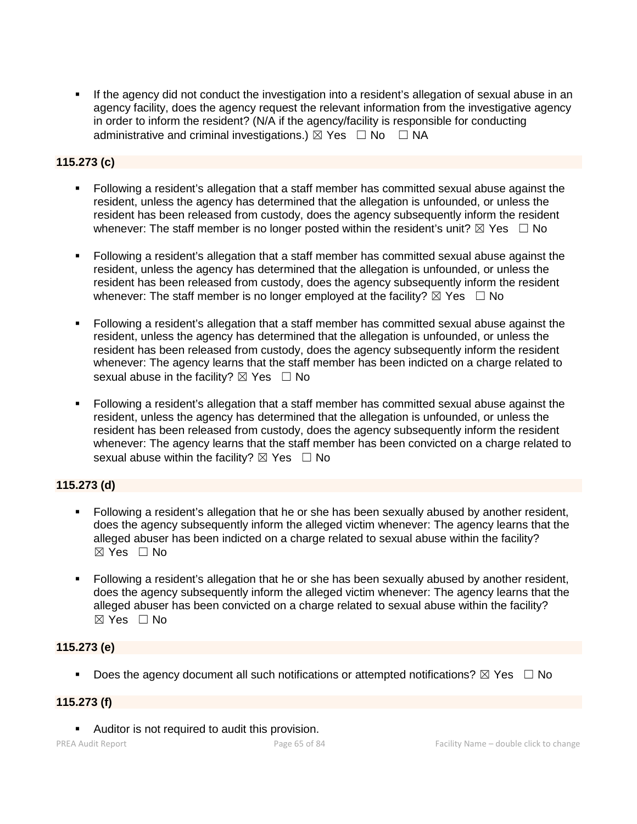If the agency did not conduct the investigation into a resident's allegation of sexual abuse in an agency facility, does the agency request the relevant information from the investigative agency in order to inform the resident? (N/A if the agency/facility is responsible for conducting administrative and criminal investigations.)  $\boxtimes$  Yes  $\Box$  No  $\Box$  NA

#### **115.273 (c)**

- Following a resident's allegation that a staff member has committed sexual abuse against the resident, unless the agency has determined that the allegation is unfounded, or unless the resident has been released from custody, does the agency subsequently inform the resident whenever: The staff member is no longer posted within the resident's unit?  $\boxtimes$  Yes  $\Box$  No
- Following a resident's allegation that a staff member has committed sexual abuse against the resident, unless the agency has determined that the allegation is unfounded, or unless the resident has been released from custody, does the agency subsequently inform the resident whenever: The staff member is no longer employed at the facility?  $\boxtimes$  Yes  $\Box$  No
- Following a resident's allegation that a staff member has committed sexual abuse against the resident, unless the agency has determined that the allegation is unfounded, or unless the resident has been released from custody, does the agency subsequently inform the resident whenever: The agency learns that the staff member has been indicted on a charge related to sexual abuse in the facility?  $\boxtimes$  Yes  $\Box$  No
- Following a resident's allegation that a staff member has committed sexual abuse against the resident, unless the agency has determined that the allegation is unfounded, or unless the resident has been released from custody, does the agency subsequently inform the resident whenever: The agency learns that the staff member has been convicted on a charge related to sexual abuse within the facility?  $\boxtimes$  Yes  $\Box$  No

#### **115.273 (d)**

- Following a resident's allegation that he or she has been sexually abused by another resident, does the agency subsequently inform the alleged victim whenever: The agency learns that the alleged abuser has been indicted on a charge related to sexual abuse within the facility?  $\boxtimes$  Yes  $\Box$  No
- Following a resident's allegation that he or she has been sexually abused by another resident, does the agency subsequently inform the alleged victim whenever: The agency learns that the alleged abuser has been convicted on a charge related to sexual abuse within the facility? ☒ Yes ☐ No

#### **115.273 (e)**

Does the agency document all such notifications or attempted notifications?  $\boxtimes$  Yes  $\Box$  No

#### **115.273 (f)**

**Auditor is not required to audit this provision.**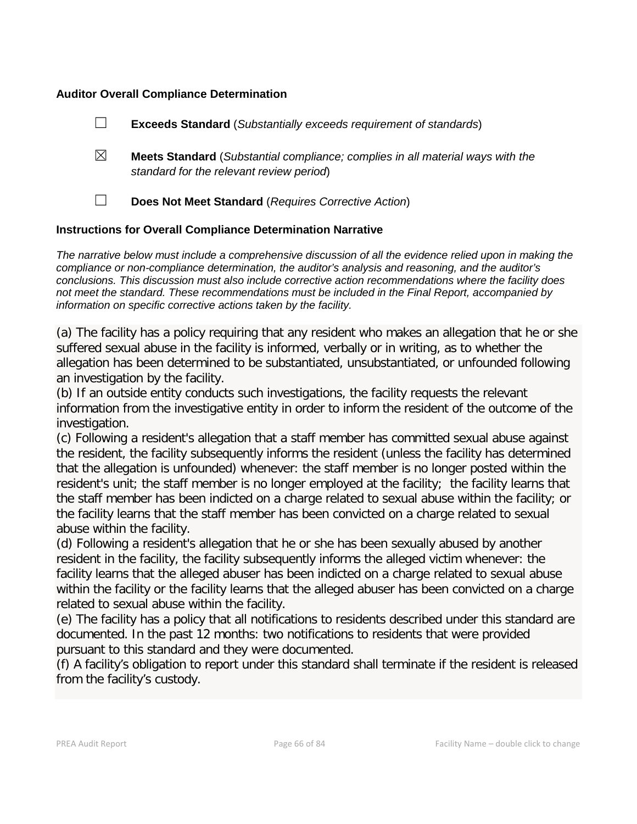#### **Auditor Overall Compliance Determination**

|                                                                    |             | <b>Exceeds Standard</b> (Substantially exceeds requirement of standards)                                                          |
|--------------------------------------------------------------------|-------------|-----------------------------------------------------------------------------------------------------------------------------------|
|                                                                    | $\boxtimes$ | <b>Meets Standard</b> (Substantial compliance; complies in all material ways with the<br>standard for the relevant review period) |
|                                                                    |             | Does Not Meet Standard (Requires Corrective Action)                                                                               |
| <b>Instructions for Overall Compliance Determination Narrative</b> |             |                                                                                                                                   |

*The narrative below must include a comprehensive discussion of all the evidence relied upon in making the compliance or non-compliance determination, the auditor's analysis and reasoning, and the auditor's conclusions. This discussion must also include corrective action recommendations where the facility does not meet the standard. These recommendations must be included in the Final Report, accompanied by information on specific corrective actions taken by the facility.*

(a) The facility has a policy requiring that any resident who makes an allegation that he or she suffered sexual abuse in the facility is informed, verbally or in writing, as to whether the allegation has been determined to be substantiated, unsubstantiated, or unfounded following an investigation by the facility.

(b) If an outside entity conducts such investigations, the facility requests the relevant information from the investigative entity in order to inform the resident of the outcome of the investigation.

(c) Following a resident's allegation that a staff member has committed sexual abuse against the resident, the facility subsequently informs the resident (unless the facility has determined that the allegation is unfounded) whenever: the staff member is no longer posted within the resident's unit; the staff member is no longer employed at the facility; the facility learns that the staff member has been indicted on a charge related to sexual abuse within the facility; or the facility learns that the staff member has been convicted on a charge related to sexual abuse within the facility.

(d) Following a resident's allegation that he or she has been sexually abused by another resident in the facility, the facility subsequently informs the alleged victim whenever: the facility learns that the alleged abuser has been indicted on a charge related to sexual abuse within the facility or the facility learns that the alleged abuser has been convicted on a charge related to sexual abuse within the facility.

(e) The facility has a policy that all notifications to residents described under this standard are documented. In the past 12 months: two notifications to residents that were provided pursuant to this standard and they were documented.

(f) A facility's obligation to report under this standard shall terminate if the resident is released from the facility's custody.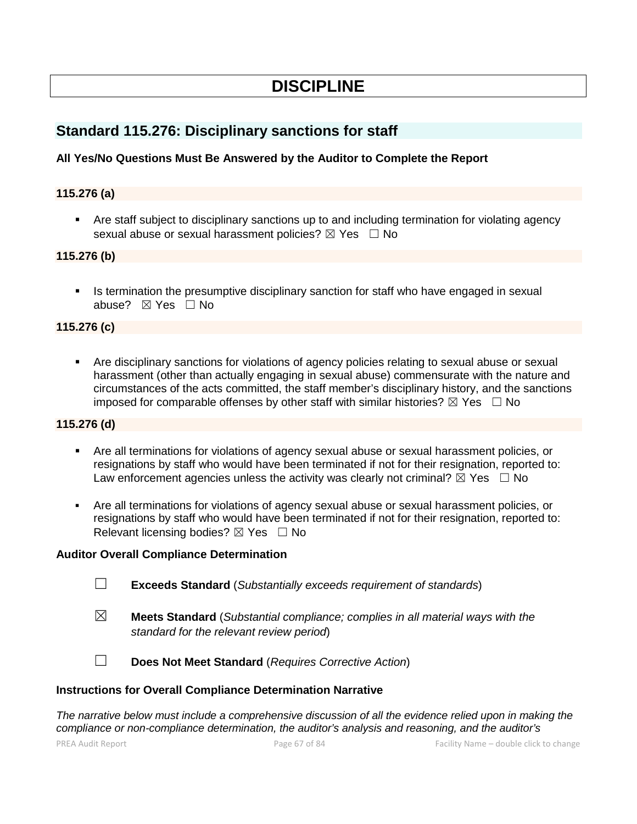## **DISCIPLINE**

## **Standard 115.276: Disciplinary sanctions for staff**

#### **All Yes/No Questions Must Be Answered by the Auditor to Complete the Report**

#### **115.276 (a)**

 Are staff subject to disciplinary sanctions up to and including termination for violating agency sexual abuse or sexual harassment policies? ⊠ Yes □ No

#### **115.276 (b)**

 Is termination the presumptive disciplinary sanction for staff who have engaged in sexual abuse? ☒ Yes ☐ No

#### **115.276 (c)**

 Are disciplinary sanctions for violations of agency policies relating to sexual abuse or sexual harassment (other than actually engaging in sexual abuse) commensurate with the nature and circumstances of the acts committed, the staff member's disciplinary history, and the sanctions imposed for comparable offenses by other staff with similar histories?  $\boxtimes$  Yes  $\Box$  No

#### **115.276 (d)**

- Are all terminations for violations of agency sexual abuse or sexual harassment policies, or resignations by staff who would have been terminated if not for their resignation, reported to: Law enforcement agencies unless the activity was clearly not criminal?  $\boxtimes$  Yes  $\Box$  No
- Are all terminations for violations of agency sexual abuse or sexual harassment policies, or resignations by staff who would have been terminated if not for their resignation, reported to: Relevant licensing bodies? ⊠ Yes □ No

#### **Auditor Overall Compliance Determination**

- ☐ **Exceeds Standard** (*Substantially exceeds requirement of standards*)
- ☒ **Meets Standard** (*Substantial compliance; complies in all material ways with the standard for the relevant review period*)

☐ **Does Not Meet Standard** (*Requires Corrective Action*)

#### **Instructions for Overall Compliance Determination Narrative**

*The narrative below must include a comprehensive discussion of all the evidence relied upon in making the compliance or non-compliance determination, the auditor's analysis and reasoning, and the auditor's*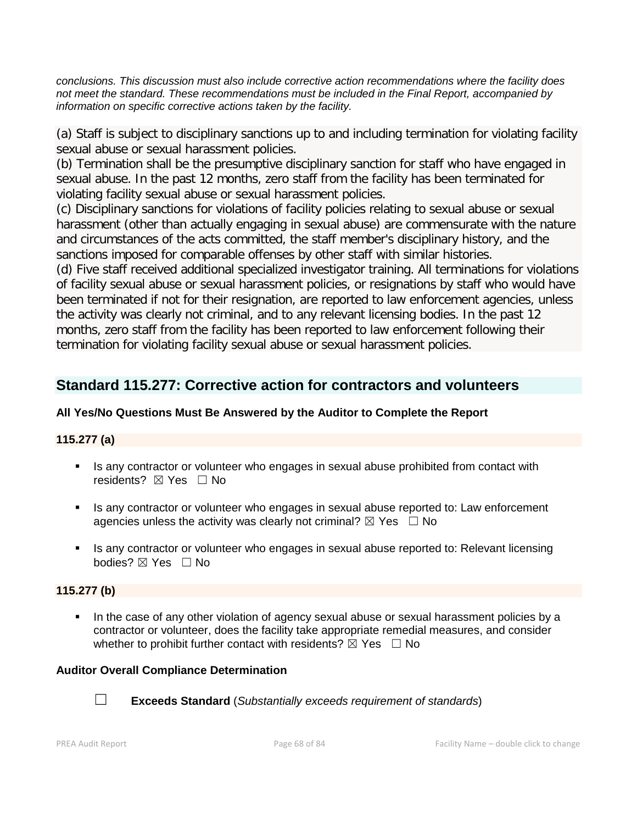*conclusions. This discussion must also include corrective action recommendations where the facility does not meet the standard. These recommendations must be included in the Final Report, accompanied by information on specific corrective actions taken by the facility.*

(a) Staff is subject to disciplinary sanctions up to and including termination for violating facility sexual abuse or sexual harassment policies.

(b) Termination shall be the presumptive disciplinary sanction for staff who have engaged in sexual abuse. In the past 12 months, zero staff from the facility has been terminated for violating facility sexual abuse or sexual harassment policies.

(c) Disciplinary sanctions for violations of facility policies relating to sexual abuse or sexual harassment (other than actually engaging in sexual abuse) are commensurate with the nature and circumstances of the acts committed, the staff member's disciplinary history, and the sanctions imposed for comparable offenses by other staff with similar histories.

(d) Five staff received additional specialized investigator training. All terminations for violations of facility sexual abuse or sexual harassment policies, or resignations by staff who would have been terminated if not for their resignation, are reported to law enforcement agencies, unless the activity was clearly not criminal, and to any relevant licensing bodies. In the past 12 months, zero staff from the facility has been reported to law enforcement following their termination for violating facility sexual abuse or sexual harassment policies.

## **Standard 115.277: Corrective action for contractors and volunteers**

#### **All Yes/No Questions Must Be Answered by the Auditor to Complete the Report**

#### **115.277 (a)**

- Is any contractor or volunteer who engages in sexual abuse prohibited from contact with residents?  $⊠$  Yes  $□$  No
- If any contractor or volunteer who engages in sexual abuse reported to: Law enforcement agencies unless the activity was clearly not criminal?  $\boxtimes$  Yes  $\Box$  No
- Is any contractor or volunteer who engages in sexual abuse reported to: Relevant licensing bodies? ⊠ Yes □ No

#### **115.277 (b)**

In the case of any other violation of agency sexual abuse or sexual harassment policies by a contractor or volunteer, does the facility take appropriate remedial measures, and consider whether to prohibit further contact with residents?  $\boxtimes$  Yes  $\Box$  No

#### **Auditor Overall Compliance Determination**



☐ **Exceeds Standard** (*Substantially exceeds requirement of standards*)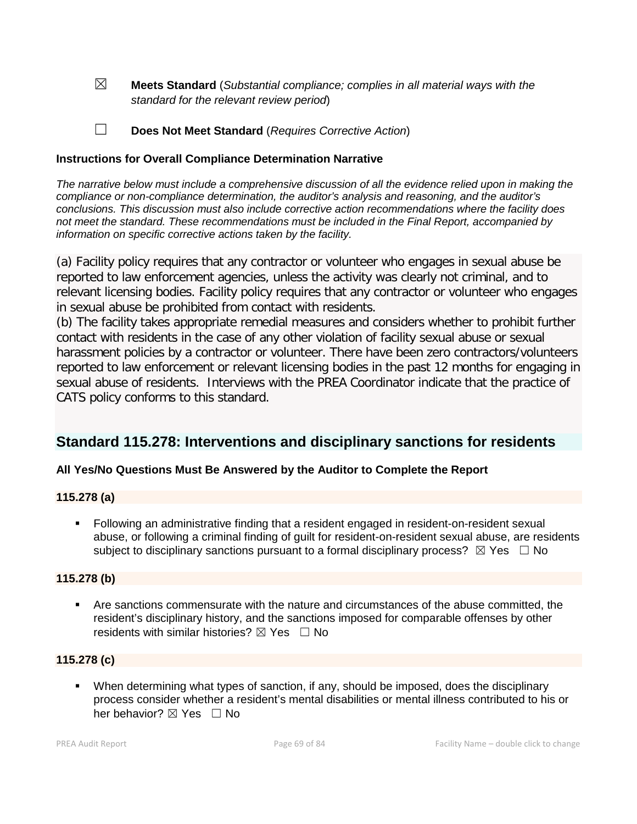☒ **Meets Standard** (*Substantial compliance; complies in all material ways with the standard for the relevant review period*)

☐ **Does Not Meet Standard** (*Requires Corrective Action*)

#### **Instructions for Overall Compliance Determination Narrative**

*The narrative below must include a comprehensive discussion of all the evidence relied upon in making the compliance or non-compliance determination, the auditor's analysis and reasoning, and the auditor's conclusions. This discussion must also include corrective action recommendations where the facility does not meet the standard. These recommendations must be included in the Final Report, accompanied by information on specific corrective actions taken by the facility.*

(a) Facility policy requires that any contractor or volunteer who engages in sexual abuse be reported to law enforcement agencies, unless the activity was clearly not criminal, and to relevant licensing bodies. Facility policy requires that any contractor or volunteer who engages in sexual abuse be prohibited from contact with residents.

(b) The facility takes appropriate remedial measures and considers whether to prohibit further contact with residents in the case of any other violation of facility sexual abuse or sexual harassment policies by a contractor or volunteer. There have been zero contractors/volunteers reported to law enforcement or relevant licensing bodies in the past 12 months for engaging in sexual abuse of residents. Interviews with the PREA Coordinator indicate that the practice of CATS policy conforms to this standard.

## **Standard 115.278: Interventions and disciplinary sanctions for residents**

#### **All Yes/No Questions Must Be Answered by the Auditor to Complete the Report**

#### **115.278 (a)**

 Following an administrative finding that a resident engaged in resident-on-resident sexual abuse, or following a criminal finding of guilt for resident-on-resident sexual abuse, are residents subject to disciplinary sanctions pursuant to a formal disciplinary process?  $\boxtimes$  Yes  $\Box$  No

#### **115.278 (b)**

 Are sanctions commensurate with the nature and circumstances of the abuse committed, the resident's disciplinary history, and the sanctions imposed for comparable offenses by other residents with similar histories?  $\boxtimes$  Yes  $\Box$  No

#### **115.278 (c)**

 When determining what types of sanction, if any, should be imposed, does the disciplinary process consider whether a resident's mental disabilities or mental illness contributed to his or her behavior? ⊠ Yes □ No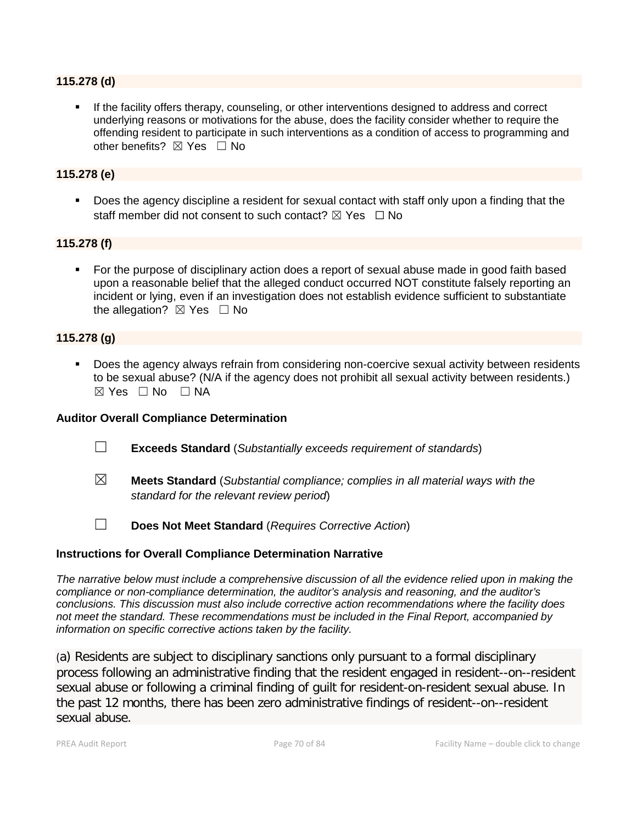#### **115.278 (d)**

 If the facility offers therapy, counseling, or other interventions designed to address and correct underlying reasons or motivations for the abuse, does the facility consider whether to require the offending resident to participate in such interventions as a condition of access to programming and other benefits?  $\boxtimes$  Yes  $\Box$  No

#### **115.278 (e)**

**Does the agency discipline a resident for sexual contact with staff only upon a finding that the** staff member did not consent to such contact?  $\boxtimes$  Yes  $\Box$  No

#### **115.278 (f)**

 For the purpose of disciplinary action does a report of sexual abuse made in good faith based upon a reasonable belief that the alleged conduct occurred NOT constitute falsely reporting an incident or lying, even if an investigation does not establish evidence sufficient to substantiate the allegation?  $\boxtimes$  Yes  $\Box$  No

#### **115.278 (g)**

 Does the agency always refrain from considering non-coercive sexual activity between residents to be sexual abuse? (N/A if the agency does not prohibit all sexual activity between residents.)  $\boxtimes$  Yes  $\Box$  No  $\Box$  NA

#### **Auditor Overall Compliance Determination**

- ☐ **Exceeds Standard** (*Substantially exceeds requirement of standards*)
- ☒ **Meets Standard** (*Substantial compliance; complies in all material ways with the standard for the relevant review period*)
- ☐ **Does Not Meet Standard** (*Requires Corrective Action*)

#### **Instructions for Overall Compliance Determination Narrative**

*The narrative below must include a comprehensive discussion of all the evidence relied upon in making the compliance or non-compliance determination, the auditor's analysis and reasoning, and the auditor's conclusions. This discussion must also include corrective action recommendations where the facility does not meet the standard. These recommendations must be included in the Final Report, accompanied by information on specific corrective actions taken by the facility.*

(a) Residents are subject to disciplinary sanctions only pursuant to a formal disciplinary process following an administrative finding that the resident engaged in resident--on--resident sexual abuse or following a criminal finding of guilt for resident-on-resident sexual abuse. In the past 12 months, there has been zero administrative findings of resident--on--resident sexual abuse.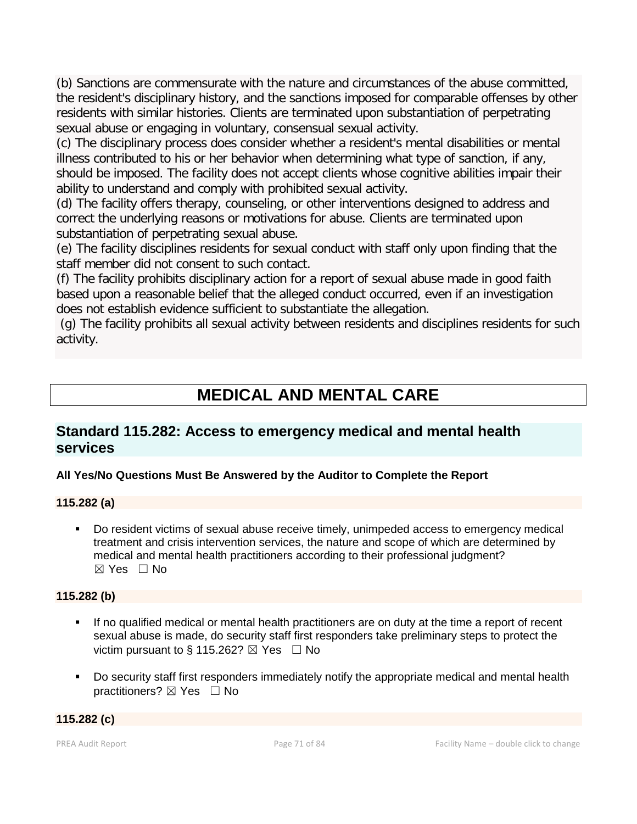(b) Sanctions are commensurate with the nature and circumstances of the abuse committed, the resident's disciplinary history, and the sanctions imposed for comparable offenses by other residents with similar histories. Clients are terminated upon substantiation of perpetrating sexual abuse or engaging in voluntary, consensual sexual activity.

(c) The disciplinary process does consider whether a resident's mental disabilities or mental illness contributed to his or her behavior when determining what type of sanction, if any, should be imposed. The facility does not accept clients whose cognitive abilities impair their ability to understand and comply with prohibited sexual activity.

(d) The facility offers therapy, counseling, or other interventions designed to address and correct the underlying reasons or motivations for abuse. Clients are terminated upon substantiation of perpetrating sexual abuse.

(e) The facility disciplines residents for sexual conduct with staff only upon finding that the staff member did not consent to such contact.

(f) The facility prohibits disciplinary action for a report of sexual abuse made in good faith based upon a reasonable belief that the alleged conduct occurred, even if an investigation does not establish evidence sufficient to substantiate the allegation.

(g) The facility prohibits all sexual activity between residents and disciplines residents for such activity.

# **MEDICAL AND MENTAL CARE**

## **Standard 115.282: Access to emergency medical and mental health services**

### **All Yes/No Questions Must Be Answered by the Auditor to Complete the Report**

#### **115.282 (a)**

 Do resident victims of sexual abuse receive timely, unimpeded access to emergency medical treatment and crisis intervention services, the nature and scope of which are determined by medical and mental health practitioners according to their professional judgment?  $\boxtimes$  Yes  $\Box$  No

#### **115.282 (b)**

- If no qualified medical or mental health practitioners are on duty at the time a report of recent sexual abuse is made, do security staff first responders take preliminary steps to protect the victim pursuant to § 115.262?  $\boxtimes$  Yes  $\Box$  No
- Do security staff first responders immediately notify the appropriate medical and mental health practitioners?  $\boxtimes$  Yes  $\Box$  No

#### **115.282 (c)**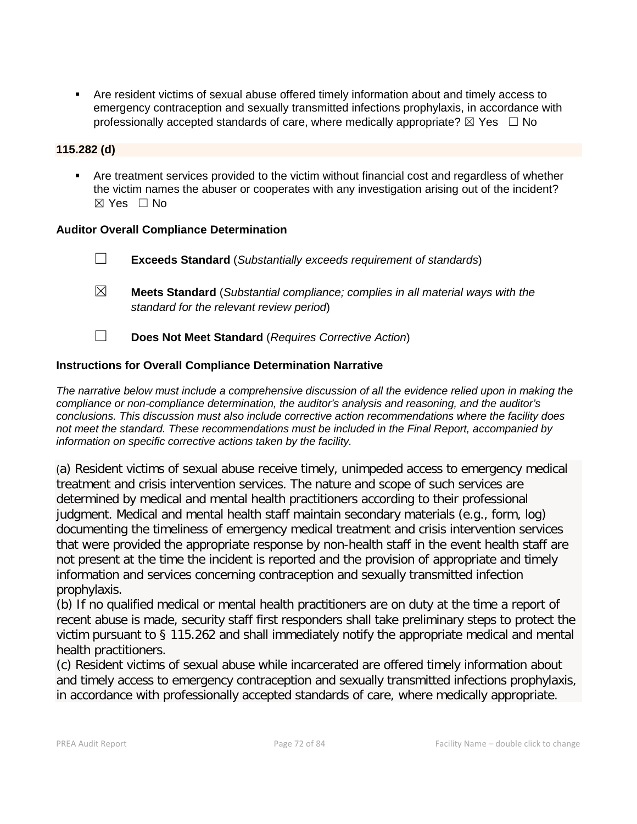Are resident victims of sexual abuse offered timely information about and timely access to emergency contraception and sexually transmitted infections prophylaxis, in accordance with professionally accepted standards of care, where medically appropriate?  $\boxtimes$  Yes  $\Box$  No

#### **115.282 (d)**

 Are treatment services provided to the victim without financial cost and regardless of whether the victim names the abuser or cooperates with any investigation arising out of the incident?  $\boxtimes$  Yes  $\Box$  No

#### **Auditor Overall Compliance Determination**

- ☐ **Exceeds Standard** (*Substantially exceeds requirement of standards*)
- ☒ **Meets Standard** (*Substantial compliance; complies in all material ways with the standard for the relevant review period*)
- ☐ **Does Not Meet Standard** (*Requires Corrective Action*)

#### **Instructions for Overall Compliance Determination Narrative**

*The narrative below must include a comprehensive discussion of all the evidence relied upon in making the compliance or non-compliance determination, the auditor's analysis and reasoning, and the auditor's conclusions. This discussion must also include corrective action recommendations where the facility does not meet the standard. These recommendations must be included in the Final Report, accompanied by information on specific corrective actions taken by the facility.*

(a) Resident victims of sexual abuse receive timely, unimpeded access to emergency medical treatment and crisis intervention services. The nature and scope of such services are determined by medical and mental health practitioners according to their professional judgment. Medical and mental health staff maintain secondary materials (e.g., form, log) documenting the timeliness of emergency medical treatment and crisis intervention services that were provided the appropriate response by non-health staff in the event health staff are not present at the time the incident is reported and the provision of appropriate and timely information and services concerning contraception and sexually transmitted infection prophylaxis.

(b) If no qualified medical or mental health practitioners are on duty at the time a report of recent abuse is made, security staff first responders shall take preliminary steps to protect the victim pursuant to § 115.262 and shall immediately notify the appropriate medical and mental health practitioners.

(c) Resident victims of sexual abuse while incarcerated are offered timely information about and timely access to emergency contraception and sexually transmitted infections prophylaxis, in accordance with professionally accepted standards of care, where medically appropriate.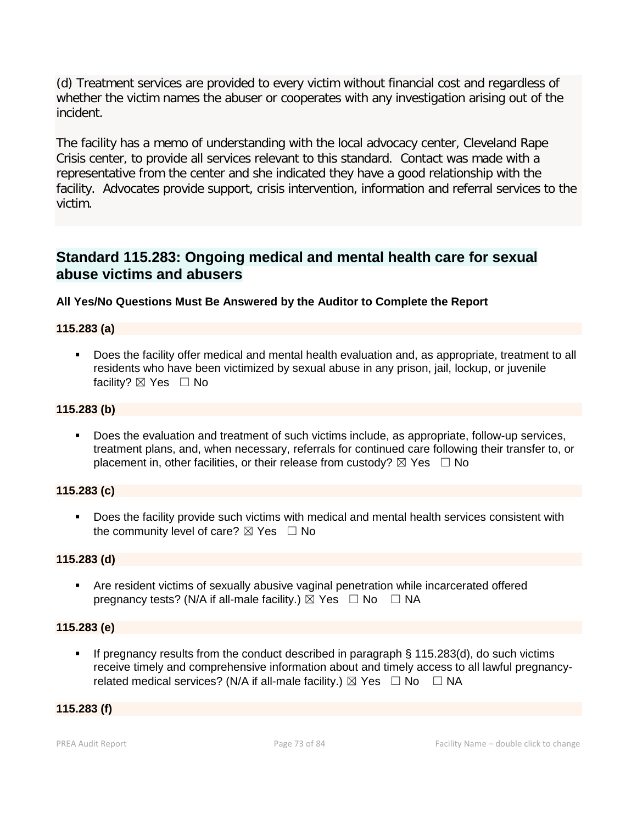(d) Treatment services are provided to every victim without financial cost and regardless of whether the victim names the abuser or cooperates with any investigation arising out of the incident.

The facility has a memo of understanding with the local advocacy center, Cleveland Rape Crisis center, to provide all services relevant to this standard. Contact was made with a representative from the center and she indicated they have a good relationship with the facility. Advocates provide support, crisis intervention, information and referral services to the victim.

### **Standard 115.283: Ongoing medical and mental health care for sexual abuse victims and abusers**

#### **All Yes/No Questions Must Be Answered by the Auditor to Complete the Report**

#### **115.283 (a)**

 Does the facility offer medical and mental health evaluation and, as appropriate, treatment to all residents who have been victimized by sexual abuse in any prison, jail, lockup, or juvenile facility? ⊠ Yes □ No

#### **115.283 (b)**

 Does the evaluation and treatment of such victims include, as appropriate, follow-up services, treatment plans, and, when necessary, referrals for continued care following their transfer to, or placement in, other facilities, or their release from custody?  $\boxtimes$  Yes  $\Box$  No

#### **115.283 (c)**

 Does the facility provide such victims with medical and mental health services consistent with the community level of care?  $\boxtimes$  Yes  $\Box$  No

#### **115.283 (d)**

 Are resident victims of sexually abusive vaginal penetration while incarcerated offered pregnancy tests? (N/A if all-male facility.)  $\boxtimes$  Yes  $\Box$  No  $\Box$  NA

#### **115.283 (e)**

 If pregnancy results from the conduct described in paragraph § 115.283(d), do such victims receive timely and comprehensive information about and timely access to all lawful pregnancyrelated medical services? (N/A if all-male facility.)  $\boxtimes$  Yes  $\Box$  No  $\Box$  NA

#### **115.283 (f)**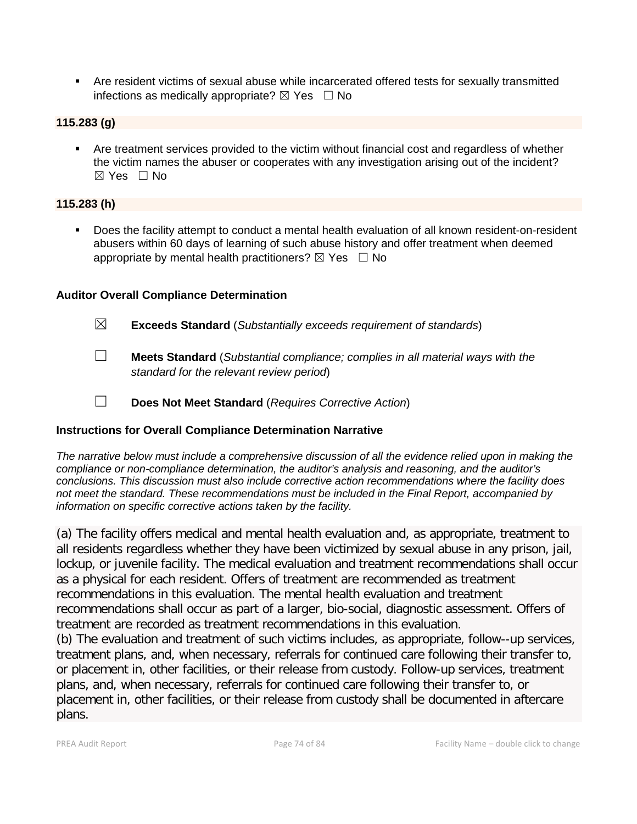Are resident victims of sexual abuse while incarcerated offered tests for sexually transmitted infections as medically appropriate?  $\boxtimes$  Yes  $\Box$  No

#### **115.283 (g)**

 Are treatment services provided to the victim without financial cost and regardless of whether the victim names the abuser or cooperates with any investigation arising out of the incident?  $\boxtimes$  Yes  $\Box$  No

#### **115.283 (h)**

 Does the facility attempt to conduct a mental health evaluation of all known resident-on-resident abusers within 60 days of learning of such abuse history and offer treatment when deemed appropriate by mental health practitioners?  $\boxtimes$  Yes  $\Box$  No

#### **Auditor Overall Compliance Determination**

☒ **Exceeds Standard** (*Substantially exceeds requirement of standards*) ☐ **Meets Standard** (*Substantial compliance; complies in all material ways with the standard for the relevant review period*) ☐ **Does Not Meet Standard** (*Requires Corrective Action*)

#### **Instructions for Overall Compliance Determination Narrative**

*The narrative below must include a comprehensive discussion of all the evidence relied upon in making the compliance or non-compliance determination, the auditor's analysis and reasoning, and the auditor's conclusions. This discussion must also include corrective action recommendations where the facility does not meet the standard. These recommendations must be included in the Final Report, accompanied by information on specific corrective actions taken by the facility.*

(a) The facility offers medical and mental health evaluation and, as appropriate, treatment to all residents regardless whether they have been victimized by sexual abuse in any prison, jail, lockup, or juvenile facility. The medical evaluation and treatment recommendations shall occur as a physical for each resident. Offers of treatment are recommended as treatment recommendations in this evaluation. The mental health evaluation and treatment recommendations shall occur as part of a larger, bio-social, diagnostic assessment. Offers of treatment are recorded as treatment recommendations in this evaluation.

(b) The evaluation and treatment of such victims includes, as appropriate, follow--up services, treatment plans, and, when necessary, referrals for continued care following their transfer to, or placement in, other facilities, or their release from custody. Follow-up services, treatment plans, and, when necessary, referrals for continued care following their transfer to, or placement in, other facilities, or their release from custody shall be documented in aftercare plans.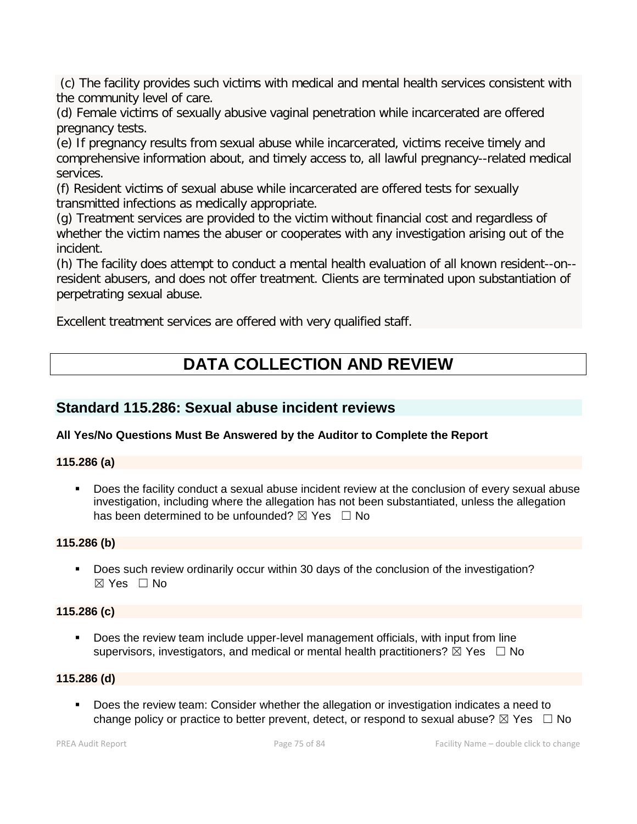(c) The facility provides such victims with medical and mental health services consistent with the community level of care.

(d) Female victims of sexually abusive vaginal penetration while incarcerated are offered pregnancy tests.

(e) If pregnancy results from sexual abuse while incarcerated, victims receive timely and comprehensive information about, and timely access to, all lawful pregnancy--related medical services.

(f) Resident victims of sexual abuse while incarcerated are offered tests for sexually transmitted infections as medically appropriate.

(g) Treatment services are provided to the victim without financial cost and regardless of whether the victim names the abuser or cooperates with any investigation arising out of the incident.

(h) The facility does attempt to conduct a mental health evaluation of all known resident--on- resident abusers, and does not offer treatment. Clients are terminated upon substantiation of perpetrating sexual abuse.

Excellent treatment services are offered with very qualified staff.

# **DATA COLLECTION AND REVIEW**

### **Standard 115.286: Sexual abuse incident reviews**

#### **All Yes/No Questions Must Be Answered by the Auditor to Complete the Report**

#### **115.286 (a)**

 Does the facility conduct a sexual abuse incident review at the conclusion of every sexual abuse investigation, including where the allegation has not been substantiated, unless the allegation has been determined to be unfounded?  $\boxtimes$  Yes  $\Box$  No

#### **115.286 (b)**

 Does such review ordinarily occur within 30 days of the conclusion of the investigation?  $\boxtimes$  Yes  $\Box$  No

#### **115.286 (c)**

 Does the review team include upper-level management officials, with input from line supervisors, investigators, and medical or mental health practitioners?  $\boxtimes$  Yes  $\Box$  No

#### **115.286 (d)**

 Does the review team: Consider whether the allegation or investigation indicates a need to change policy or practice to better prevent, detect, or respond to sexual abuse?  $\boxtimes$  Yes  $\Box$  No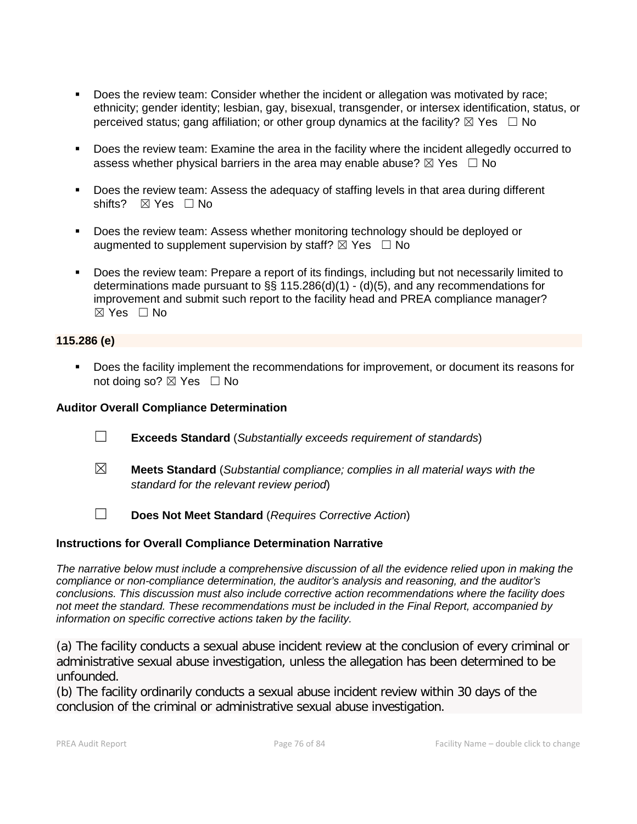- Does the review team: Consider whether the incident or allegation was motivated by race; ethnicity; gender identity; lesbian, gay, bisexual, transgender, or intersex identification, status, or perceived status; gang affiliation; or other group dynamics at the facility?  $\boxtimes$  Yes  $\Box$  No
- **Does the review team: Examine the area in the facility where the incident allegedly occurred to** assess whether physical barriers in the area may enable abuse?  $\boxtimes$  Yes  $\Box$  No
- Does the review team: Assess the adequacy of staffing levels in that area during different shifts? ⊠ Yes □ No
- **Does the review team: Assess whether monitoring technology should be deployed or** augmented to supplement supervision by staff?  $\boxtimes$  Yes  $\Box$  No
- Does the review team: Prepare a report of its findings, including but not necessarily limited to determinations made pursuant to §§ 115.286(d)(1) - (d)(5), and any recommendations for improvement and submit such report to the facility head and PREA compliance manager?  $\boxtimes$  Yes  $\Box$  No

#### **115.286 (e)**

Does the facility implement the recommendations for improvement, or document its reasons for not doing so?  $\boxtimes$  Yes  $\Box$  No

#### **Auditor Overall Compliance Determination**

- ☐ **Exceeds Standard** (*Substantially exceeds requirement of standards*)
- ☒ **Meets Standard** (*Substantial compliance; complies in all material ways with the standard for the relevant review period*)
- ☐ **Does Not Meet Standard** (*Requires Corrective Action*)

#### **Instructions for Overall Compliance Determination Narrative**

*The narrative below must include a comprehensive discussion of all the evidence relied upon in making the compliance or non-compliance determination, the auditor's analysis and reasoning, and the auditor's conclusions. This discussion must also include corrective action recommendations where the facility does not meet the standard. These recommendations must be included in the Final Report, accompanied by information on specific corrective actions taken by the facility.*

(a) The facility conducts a sexual abuse incident review at the conclusion of every criminal or administrative sexual abuse investigation, unless the allegation has been determined to be unfounded.

(b) The facility ordinarily conducts a sexual abuse incident review within 30 days of the conclusion of the criminal or administrative sexual abuse investigation.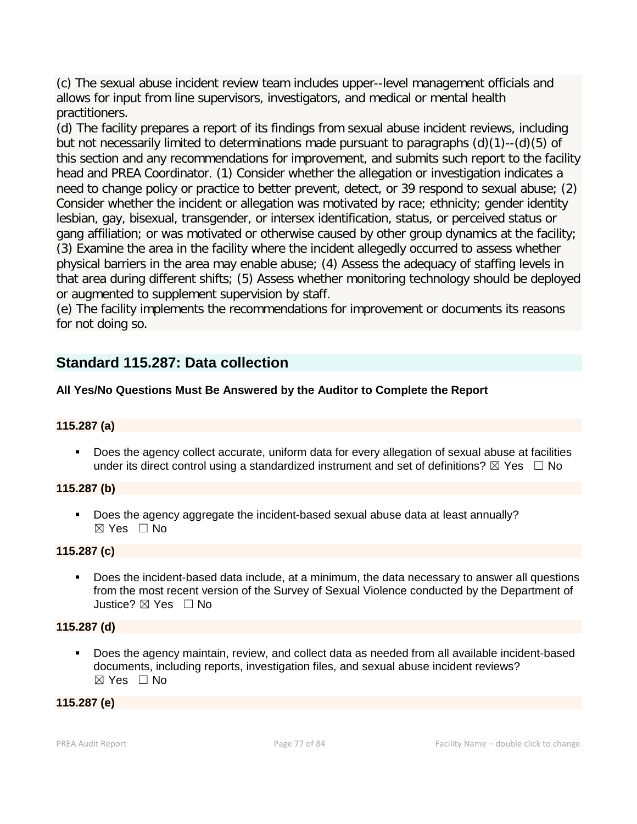(c) The sexual abuse incident review team includes upper--level management officials and allows for input from line supervisors, investigators, and medical or mental health practitioners.

(d) The facility prepares a report of its findings from sexual abuse incident reviews, including but not necessarily limited to determinations made pursuant to paragraphs (d)(1)--(d)(5) of this section and any recommendations for improvement, and submits such report to the facility head and PREA Coordinator. (1) Consider whether the allegation or investigation indicates a need to change policy or practice to better prevent, detect, or 39 respond to sexual abuse; (2) Consider whether the incident or allegation was motivated by race; ethnicity; gender identity lesbian, gay, bisexual, transgender, or intersex identification, status, or perceived status or gang affiliation; or was motivated or otherwise caused by other group dynamics at the facility; (3) Examine the area in the facility where the incident allegedly occurred to assess whether physical barriers in the area may enable abuse; (4) Assess the adequacy of staffing levels in that area during different shifts; (5) Assess whether monitoring technology should be deployed or augmented to supplement supervision by staff.

(e) The facility implements the recommendations for improvement or documents its reasons for not doing so.

### **Standard 115.287: Data collection**

### **All Yes/No Questions Must Be Answered by the Auditor to Complete the Report**

#### **115.287 (a)**

 Does the agency collect accurate, uniform data for every allegation of sexual abuse at facilities under its direct control using a standardized instrument and set of definitions?  $\boxtimes$  Yes  $\Box$  No

#### **115.287 (b)**

Does the agency aggregate the incident-based sexual abuse data at least annually?  $\boxtimes$  Yes  $\Box$  No

#### **115.287 (c)**

**Does the incident-based data include, at a minimum, the data necessary to answer all questions** from the most recent version of the Survey of Sexual Violence conducted by the Department of Justice? ☒ Yes ☐ No

#### **115.287 (d)**

 Does the agency maintain, review, and collect data as needed from all available incident-based documents, including reports, investigation files, and sexual abuse incident reviews? ☒ Yes ☐ No

#### **115.287 (e)**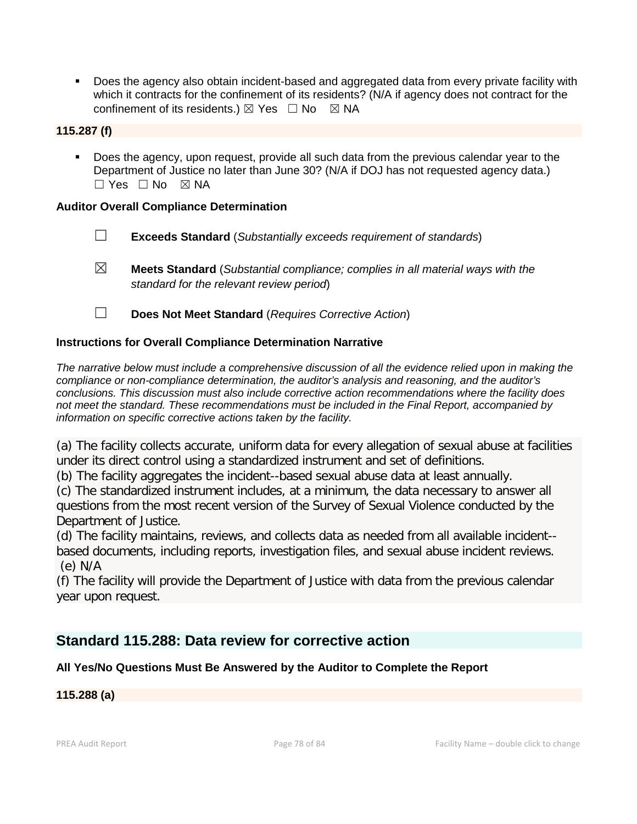Does the agency also obtain incident-based and aggregated data from every private facility with which it contracts for the confinement of its residents? (N/A if agency does not contract for the confinement of its residents.)  $\boxtimes$  Yes  $\Box$  No  $\boxtimes$  NA

#### **115.287 (f)**

 Does the agency, upon request, provide all such data from the previous calendar year to the Department of Justice no later than June 30? (N/A if DOJ has not requested agency data.)  $\Box$  Yes  $\Box$  No  $\boxtimes$  NA

#### **Auditor Overall Compliance Determination**

- ☐ **Exceeds Standard** (*Substantially exceeds requirement of standards*)
- ☒ **Meets Standard** (*Substantial compliance; complies in all material ways with the standard for the relevant review period*)
- ☐ **Does Not Meet Standard** (*Requires Corrective Action*)

#### **Instructions for Overall Compliance Determination Narrative**

*The narrative below must include a comprehensive discussion of all the evidence relied upon in making the compliance or non-compliance determination, the auditor's analysis and reasoning, and the auditor's conclusions. This discussion must also include corrective action recommendations where the facility does not meet the standard. These recommendations must be included in the Final Report, accompanied by information on specific corrective actions taken by the facility.*

(a) The facility collects accurate, uniform data for every allegation of sexual abuse at facilities under its direct control using a standardized instrument and set of definitions.

(b) The facility aggregates the incident--based sexual abuse data at least annually.

(c) The standardized instrument includes, at a minimum, the data necessary to answer all questions from the most recent version of the Survey of Sexual Violence conducted by the Department of Justice.

(d) The facility maintains, reviews, and collects data as needed from all available incident- based documents, including reports, investigation files, and sexual abuse incident reviews. (e) N/A

(f) The facility will provide the Department of Justice with data from the previous calendar year upon request.

### **Standard 115.288: Data review for corrective action**

#### **All Yes/No Questions Must Be Answered by the Auditor to Complete the Report**

#### **115.288 (a)**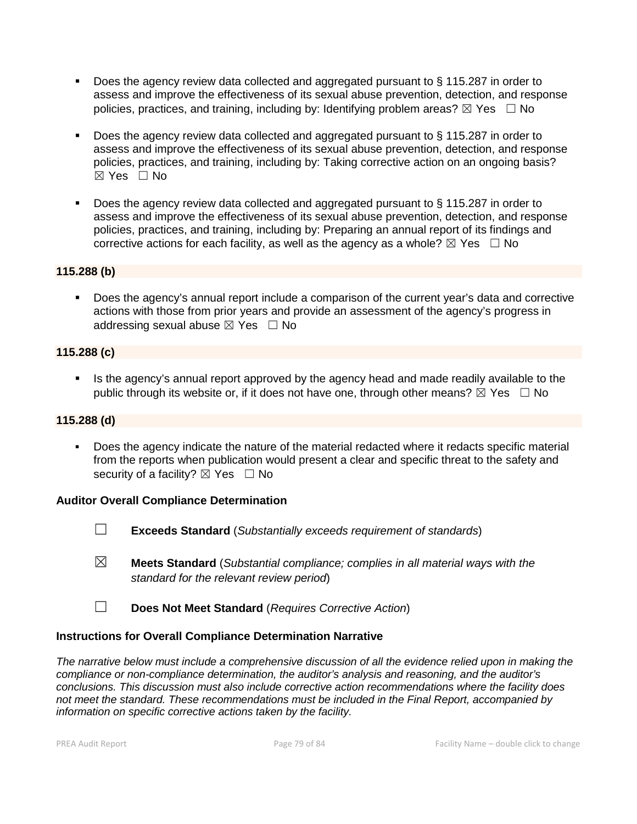- Does the agency review data collected and aggregated pursuant to § 115.287 in order to assess and improve the effectiveness of its sexual abuse prevention, detection, and response policies, practices, and training, including by: Identifying problem areas?  $\boxtimes$  Yes  $\Box$  No
- Does the agency review data collected and aggregated pursuant to § 115.287 in order to assess and improve the effectiveness of its sexual abuse prevention, detection, and response policies, practices, and training, including by: Taking corrective action on an ongoing basis?  $\boxtimes$  Yes  $\Box$  No
- Does the agency review data collected and aggregated pursuant to § 115.287 in order to assess and improve the effectiveness of its sexual abuse prevention, detection, and response policies, practices, and training, including by: Preparing an annual report of its findings and corrective actions for each facility, as well as the agency as a whole?  $\boxtimes$  Yes  $\Box$  No

#### **115.288 (b)**

 Does the agency's annual report include a comparison of the current year's data and corrective actions with those from prior years and provide an assessment of the agency's progress in addressing sexual abuse  $\boxtimes$  Yes  $\Box$  No

#### **115.288 (c)**

Is the agency's annual report approved by the agency head and made readily available to the public through its website or, if it does not have one, through other means?  $\boxtimes$  Yes  $\Box$  No

#### **115.288 (d)**

 Does the agency indicate the nature of the material redacted where it redacts specific material from the reports when publication would present a clear and specific threat to the safety and security of a facility?  $\boxtimes$  Yes  $\Box$  No

#### **Auditor Overall Compliance Determination**

- 
- ☐ **Exceeds Standard** (*Substantially exceeds requirement of standards*)
- ☒ **Meets Standard** (*Substantial compliance; complies in all material ways with the standard for the relevant review period*)
- ☐ **Does Not Meet Standard** (*Requires Corrective Action*)

#### **Instructions for Overall Compliance Determination Narrative**

*The narrative below must include a comprehensive discussion of all the evidence relied upon in making the compliance or non-compliance determination, the auditor's analysis and reasoning, and the auditor's conclusions. This discussion must also include corrective action recommendations where the facility does not meet the standard. These recommendations must be included in the Final Report, accompanied by information on specific corrective actions taken by the facility.*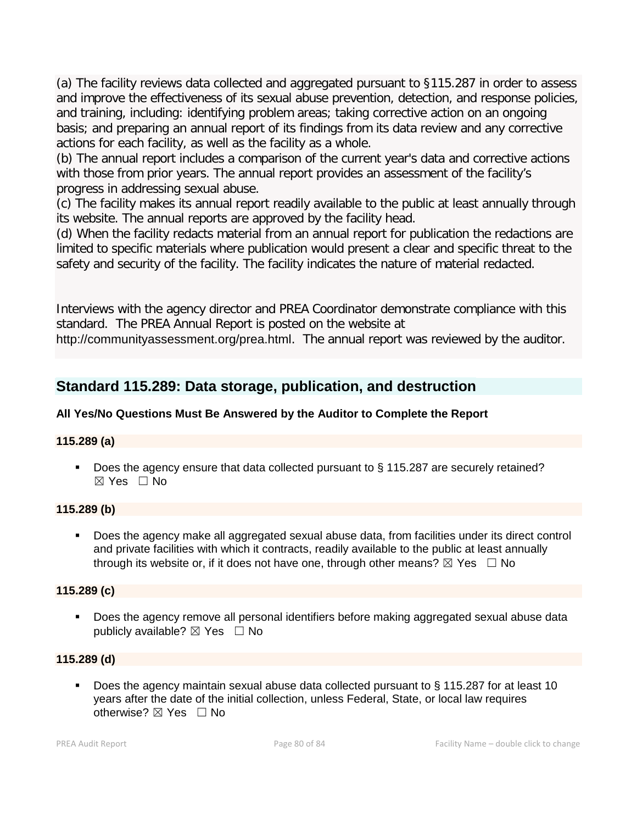(a) The facility reviews data collected and aggregated pursuant to §115.287 in order to assess and improve the effectiveness of its sexual abuse prevention, detection, and response policies, and training, including: identifying problem areas; taking corrective action on an ongoing basis; and preparing an annual report of its findings from its data review and any corrective actions for each facility, as well as the facility as a whole.

(b) The annual report includes a comparison of the current year's data and corrective actions with those from prior years. The annual report provides an assessment of the facility's progress in addressing sexual abuse.

(c) The facility makes its annual report readily available to the public at least annually through its website. The annual reports are approved by the facility head.

(d) When the facility redacts material from an annual report for publication the redactions are limited to specific materials where publication would present a clear and specific threat to the safety and security of the facility. The facility indicates the nature of material redacted.

Interviews with the agency director and PREA Coordinator demonstrate compliance with this standard. The PREA Annual Report is posted on the website at

http://communityassessment.org/prea.html. The annual report was reviewed by the auditor.

## **Standard 115.289: Data storage, publication, and destruction**

### **All Yes/No Questions Must Be Answered by the Auditor to Complete the Report**

#### **115.289 (a)**

Does the agency ensure that data collected pursuant to § 115.287 are securely retained?  $\boxtimes$  Yes  $\Box$  No

#### **115.289 (b)**

 Does the agency make all aggregated sexual abuse data, from facilities under its direct control and private facilities with which it contracts, readily available to the public at least annually through its website or, if it does not have one, through other means?  $\boxtimes$  Yes  $\Box$  No

#### **115.289 (c)**

**Does the agency remove all personal identifiers before making aggregated sexual abuse data** publicly available?  $\boxtimes$  Yes  $\Box$  No

#### **115.289 (d)**

■ Does the agency maintain sexual abuse data collected pursuant to § 115.287 for at least 10 years after the date of the initial collection, unless Federal, State, or local law requires otherwise?  $\boxtimes$  Yes  $\Box$  No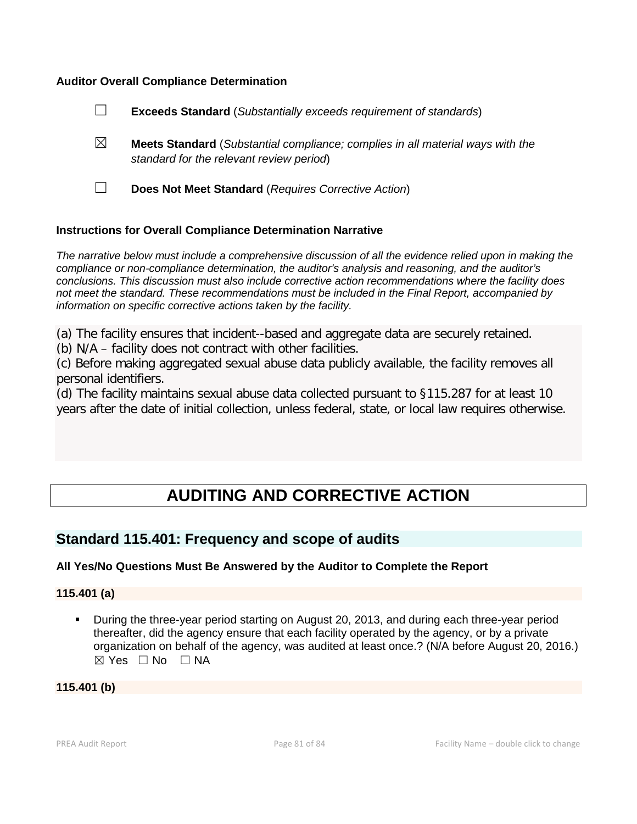#### **Auditor Overall Compliance Determination**



#### **Instructions for Overall Compliance Determination Narrative**

*The narrative below must include a comprehensive discussion of all the evidence relied upon in making the compliance or non-compliance determination, the auditor's analysis and reasoning, and the auditor's conclusions. This discussion must also include corrective action recommendations where the facility does not meet the standard. These recommendations must be included in the Final Report, accompanied by information on specific corrective actions taken by the facility.*

(a) The facility ensures that incident--based and aggregate data are securely retained.

(b) N/A – facility does not contract with other facilities.

(c) Before making aggregated sexual abuse data publicly available, the facility removes all personal identifiers.

(d) The facility maintains sexual abuse data collected pursuant to §115.287 for at least 10 years after the date of initial collection, unless federal, state, or local law requires otherwise.

# **AUDITING AND CORRECTIVE ACTION**

### **Standard 115.401: Frequency and scope of audits**

#### **All Yes/No Questions Must Be Answered by the Auditor to Complete the Report**

#### **115.401 (a)**

 During the three-year period starting on August 20, 2013, and during each three-year period thereafter, did the agency ensure that each facility operated by the agency, or by a private organization on behalf of the agency, was audited at least once.? (N/A before August 20, 2016.)  $\boxtimes$  Yes  $\Box$  No  $\Box$  NA

#### **115.401 (b)**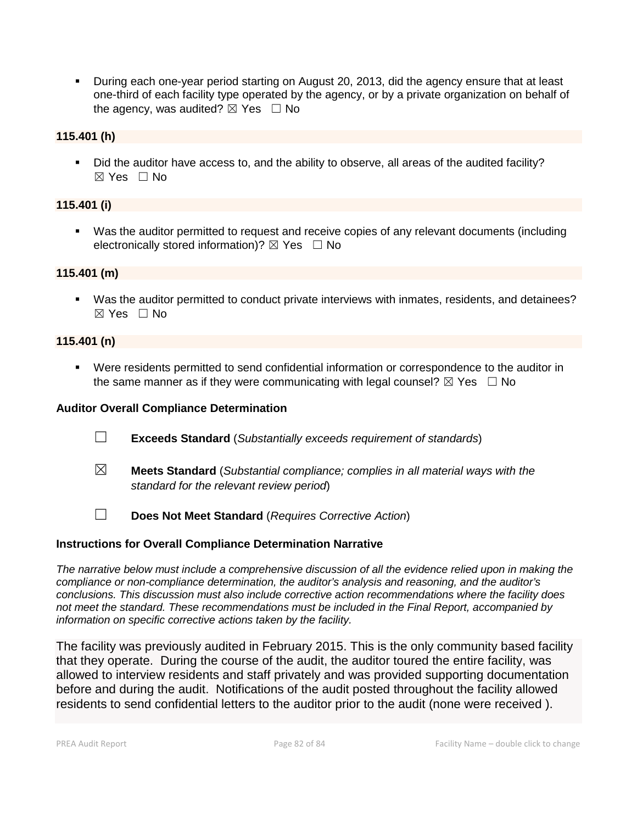During each one-year period starting on August 20, 2013, did the agency ensure that at least one-third of each facility type operated by the agency, or by a private organization on behalf of the agency, was audited?  $\boxtimes$  Yes  $\Box$  No

#### **115.401 (h)**

 Did the auditor have access to, and the ability to observe, all areas of the audited facility?  $\boxtimes$  Yes  $\Box$  No

#### **115.401 (i)**

 Was the auditor permitted to request and receive copies of any relevant documents (including electronically stored information)?  $\boxtimes$  Yes  $\Box$  No

#### **115.401 (m)**

 Was the auditor permitted to conduct private interviews with inmates, residents, and detainees?  $\boxtimes$  Yes  $\Box$  No

#### **115.401 (n)**

 Were residents permitted to send confidential information or correspondence to the auditor in the same manner as if they were communicating with legal counsel?  $\boxtimes$  Yes  $\Box$  No

#### **Auditor Overall Compliance Determination**

- ☐ **Exceeds Standard** (*Substantially exceeds requirement of standards*)
- ☒ **Meets Standard** (*Substantial compliance; complies in all material ways with the standard for the relevant review period*)
- ☐ **Does Not Meet Standard** (*Requires Corrective Action*)

#### **Instructions for Overall Compliance Determination Narrative**

*The narrative below must include a comprehensive discussion of all the evidence relied upon in making the compliance or non-compliance determination, the auditor's analysis and reasoning, and the auditor's conclusions. This discussion must also include corrective action recommendations where the facility does not meet the standard. These recommendations must be included in the Final Report, accompanied by information on specific corrective actions taken by the facility.*

The facility was previously audited in February 2015. This is the only community based facility that they operate. During the course of the audit, the auditor toured the entire facility, was allowed to interview residents and staff privately and was provided supporting documentation before and during the audit. Notifications of the audit posted throughout the facility allowed residents to send confidential letters to the auditor prior to the audit (none were received ).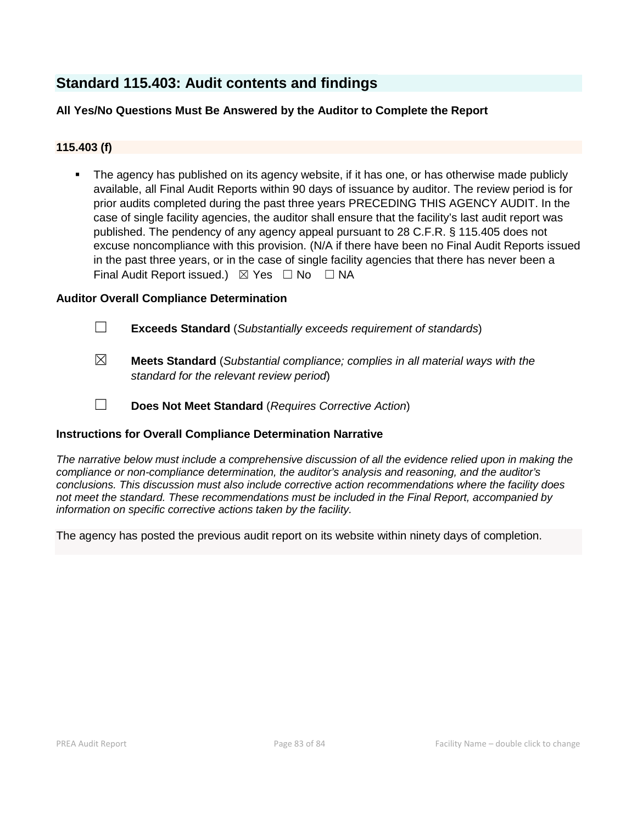### **Standard 115.403: Audit contents and findings**

#### **All Yes/No Questions Must Be Answered by the Auditor to Complete the Report**

#### **115.403 (f)**

 The agency has published on its agency website, if it has one, or has otherwise made publicly available, all Final Audit Reports within 90 days of issuance by auditor. The review period is for prior audits completed during the past three years PRECEDING THIS AGENCY AUDIT. In the case of single facility agencies, the auditor shall ensure that the facility's last audit report was published. The pendency of any agency appeal pursuant to 28 C.F.R. § 115.405 does not excuse noncompliance with this provision. (N/A if there have been no Final Audit Reports issued in the past three years, or in the case of single facility agencies that there has never been a Final Audit Report issued.)  $\boxtimes$  Yes  $\Box$  No  $\Box$  NA

#### **Auditor Overall Compliance Determination**

- ☐ **Exceeds Standard** (*Substantially exceeds requirement of standards*)
- ☒ **Meets Standard** (*Substantial compliance; complies in all material ways with the standard for the relevant review period*)
- ☐ **Does Not Meet Standard** (*Requires Corrective Action*)

#### **Instructions for Overall Compliance Determination Narrative**

*The narrative below must include a comprehensive discussion of all the evidence relied upon in making the compliance or non-compliance determination, the auditor's analysis and reasoning, and the auditor's conclusions. This discussion must also include corrective action recommendations where the facility does not meet the standard. These recommendations must be included in the Final Report, accompanied by information on specific corrective actions taken by the facility.*

The agency has posted the previous audit report on its website within ninety days of completion.